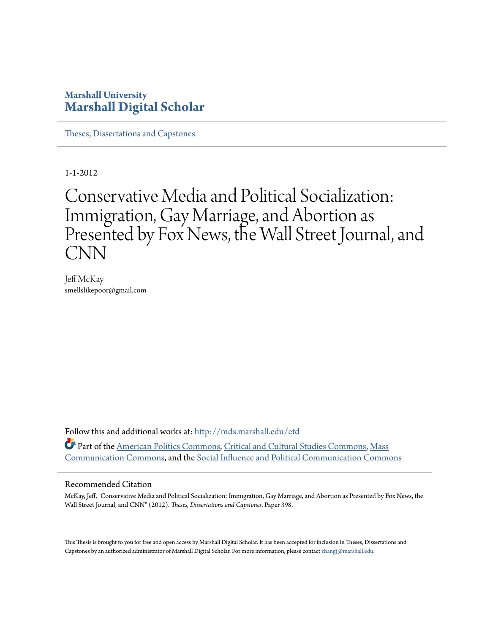# **Marshall University [Marshall Digital Scholar](http://mds.marshall.edu?utm_source=mds.marshall.edu%2Fetd%2F398&utm_medium=PDF&utm_campaign=PDFCoverPages)**

[Theses, Dissertations and Capstones](http://mds.marshall.edu/etd?utm_source=mds.marshall.edu%2Fetd%2F398&utm_medium=PDF&utm_campaign=PDFCoverPages)

1-1-2012

# Conservative Media and Political Socialization: Immigration, Gay Marriage, and Abortion as Presented by Fox News, the Wall Street Journal, and CNN

Jeff McKay smellslikepoor@gmail.com

Follow this and additional works at: [http://mds.marshall.edu/etd](http://mds.marshall.edu/etd?utm_source=mds.marshall.edu%2Fetd%2F398&utm_medium=PDF&utm_campaign=PDFCoverPages) Part of the [American Politics Commons](http://network.bepress.com/hgg/discipline/387?utm_source=mds.marshall.edu%2Fetd%2F398&utm_medium=PDF&utm_campaign=PDFCoverPages), [Critical and Cultural Studies Commons,](http://network.bepress.com/hgg/discipline/328?utm_source=mds.marshall.edu%2Fetd%2F398&utm_medium=PDF&utm_campaign=PDFCoverPages) [Mass](http://network.bepress.com/hgg/discipline/334?utm_source=mds.marshall.edu%2Fetd%2F398&utm_medium=PDF&utm_campaign=PDFCoverPages) [Communication Commons,](http://network.bepress.com/hgg/discipline/334?utm_source=mds.marshall.edu%2Fetd%2F398&utm_medium=PDF&utm_campaign=PDFCoverPages) and the [Social Influence and Political Communication Commons](http://network.bepress.com/hgg/discipline/337?utm_source=mds.marshall.edu%2Fetd%2F398&utm_medium=PDF&utm_campaign=PDFCoverPages)

#### Recommended Citation

McKay, Jeff, "Conservative Media and Political Socialization: Immigration, Gay Marriage, and Abortion as Presented by Fox News, the Wall Street Journal, and CNN" (2012). *Theses, Dissertations and Capstones.* Paper 398.

This Thesis is brought to you for free and open access by Marshall Digital Scholar. It has been accepted for inclusion in Theses, Dissertations and Capstones by an authorized administrator of Marshall Digital Scholar. For more information, please contact [zhangj@marshall.edu.](mailto:zhangj@marshall.edu)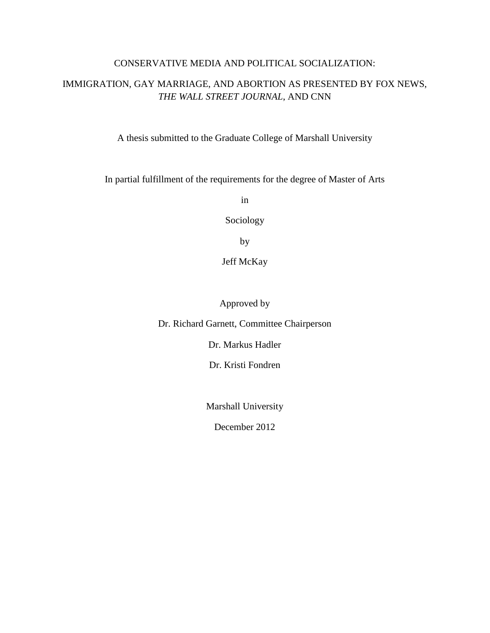# CONSERVATIVE MEDIA AND POLITICAL SOCIALIZATION:

# IMMIGRATION, GAY MARRIAGE, AND ABORTION AS PRESENTED BY FOX NEWS, *THE WALL STREET JOURNAL*, AND CNN

A thesis submitted to the Graduate College of Marshall University

In partial fulfillment of the requirements for the degree of Master of Arts

in

Sociology

by

Jeff McKay

Approved by

Dr. Richard Garnett, Committee Chairperson

Dr. Markus Hadler

Dr. Kristi Fondren

Marshall University

December 2012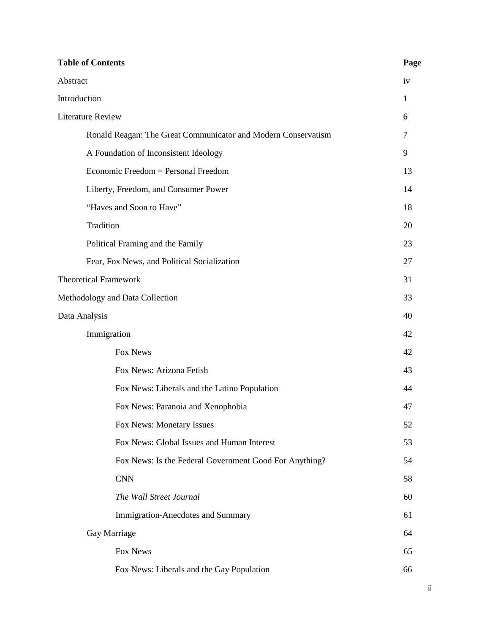| <b>Table of Contents</b>                                      | Page |
|---------------------------------------------------------------|------|
| Abstract                                                      | iv   |
| Introduction                                                  | 1    |
| <b>Literature Review</b>                                      | 6    |
| Ronald Reagan: The Great Communicator and Modern Conservatism | 7    |
| A Foundation of Inconsistent Ideology                         | 9    |
| Economic Freedom = Personal Freedom                           | 13   |
| Liberty, Freedom, and Consumer Power                          | 14   |
| "Haves and Soon to Have"                                      | 18   |
| Tradition                                                     | 20   |
| Political Framing and the Family                              | 23   |
| Fear, Fox News, and Political Socialization                   | 27   |
| <b>Theoretical Framework</b>                                  |      |
| Methodology and Data Collection                               |      |
| Data Analysis                                                 | 40   |
| Immigration                                                   | 42   |
| Fox News                                                      | 42   |
| Fox News: Arizona Fetish                                      | 43   |
| Fox News: Liberals and the Latino Population                  | 44   |
| Fox News: Paranoia and Xenophobia                             | 47   |
| Fox News: Monetary Issues                                     | 52   |
| Fox News: Global Issues and Human Interest                    | 53   |
| Fox News: Is the Federal Government Good For Anything?        | 54   |
| <b>CNN</b>                                                    | 58   |
| The Wall Street Journal                                       | 60   |
| Immigration-Anecdotes and Summary                             | 61   |
| Gay Marriage                                                  | 64   |
| Fox News                                                      | 65   |
| Fox News: Liberals and the Gay Population                     | 66   |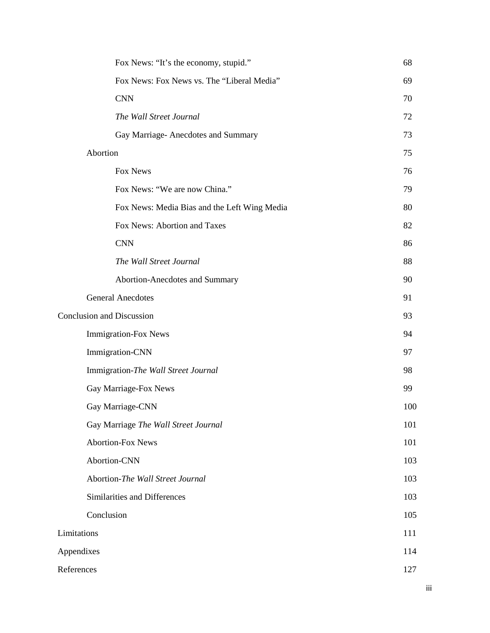|                                  | Fox News: "It's the economy, stupid."        | 68  |
|----------------------------------|----------------------------------------------|-----|
|                                  | Fox News: Fox News vs. The "Liberal Media"   | 69  |
|                                  | <b>CNN</b>                                   | 70  |
|                                  | The Wall Street Journal                      | 72  |
|                                  | Gay Marriage-Anecdotes and Summary           | 73  |
|                                  | Abortion                                     | 75  |
|                                  | Fox News                                     | 76  |
|                                  | Fox News: "We are now China."                | 79  |
|                                  | Fox News: Media Bias and the Left Wing Media | 80  |
|                                  | Fox News: Abortion and Taxes                 | 82  |
|                                  | <b>CNN</b>                                   | 86  |
|                                  | The Wall Street Journal                      | 88  |
|                                  | Abortion-Anecdotes and Summary               | 90  |
|                                  | <b>General Anecdotes</b>                     | 91  |
| <b>Conclusion and Discussion</b> |                                              | 93  |
|                                  | Immigration-Fox News                         | 94  |
|                                  | Immigration-CNN                              | 97  |
|                                  | Immigration-The Wall Street Journal          | 98  |
|                                  | Gay Marriage-Fox News                        | 99  |
|                                  | Gay Marriage-CNN                             | 100 |
|                                  | Gay Marriage The Wall Street Journal         | 101 |
|                                  | <b>Abortion-Fox News</b>                     | 101 |
|                                  | Abortion-CNN                                 | 103 |
|                                  | Abortion-The Wall Street Journal             | 103 |
|                                  | Similarities and Differences                 | 103 |
|                                  | Conclusion                                   | 105 |
| Limitations                      |                                              | 111 |
| Appendixes                       |                                              | 114 |
| References                       |                                              | 127 |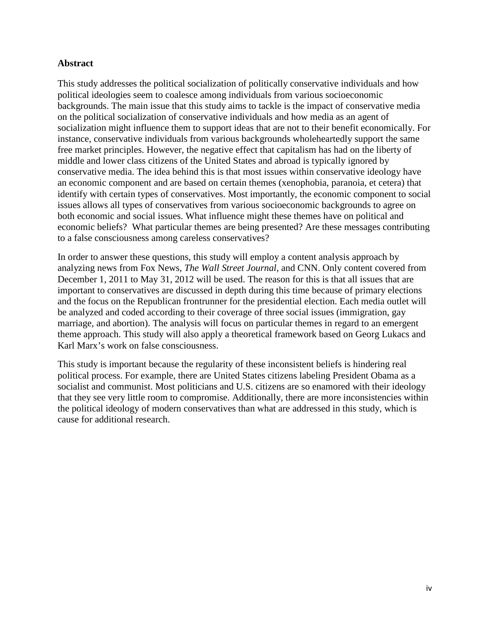# **Abstract**

This study addresses the political socialization of politically conservative individuals and how political ideologies seem to coalesce among individuals from various socioeconomic backgrounds. The main issue that this study aims to tackle is the impact of conservative media on the political socialization of conservative individuals and how media as an agent of socialization might influence them to support ideas that are not to their benefit economically. For instance, conservative individuals from various backgrounds wholeheartedly support the same free market principles. However, the negative effect that capitalism has had on the liberty of middle and lower class citizens of the United States and abroad is typically ignored by conservative media. The idea behind this is that most issues within conservative ideology have an economic component and are based on certain themes (xenophobia, paranoia, et cetera) that identify with certain types of conservatives. Most importantly, the economic component to social issues allows all types of conservatives from various socioeconomic backgrounds to agree on both economic and social issues. What influence might these themes have on political and economic beliefs? What particular themes are being presented? Are these messages contributing to a false consciousness among careless conservatives?

In order to answer these questions, this study will employ a content analysis approach by analyzing news from Fox News, *The Wall Street Journal*, and CNN. Only content covered from December 1, 2011 to May 31, 2012 will be used. The reason for this is that all issues that are important to conservatives are discussed in depth during this time because of primary elections and the focus on the Republican frontrunner for the presidential election. Each media outlet will be analyzed and coded according to their coverage of three social issues (immigration, gay marriage, and abortion). The analysis will focus on particular themes in regard to an emergent theme approach. This study will also apply a theoretical framework based on Georg Lukacs and Karl Marx's work on false consciousness.

This study is important because the regularity of these inconsistent beliefs is hindering real political process. For example, there are United States citizens labeling President Obama as a socialist and communist. Most politicians and U.S. citizens are so enamored with their ideology that they see very little room to compromise. Additionally, there are more inconsistencies within the political ideology of modern conservatives than what are addressed in this study, which is cause for additional research.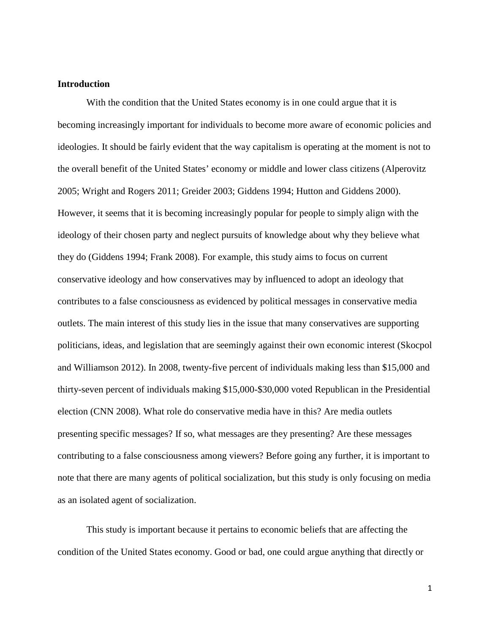# **Introduction**

With the condition that the United States economy is in one could argue that it is becoming increasingly important for individuals to become more aware of economic policies and ideologies. It should be fairly evident that the way capitalism is operating at the moment is not to the overall benefit of the United States' economy or middle and lower class citizens (Alperovitz 2005; Wright and Rogers 2011; Greider 2003; Giddens 1994; Hutton and Giddens 2000). However, it seems that it is becoming increasingly popular for people to simply align with the ideology of their chosen party and neglect pursuits of knowledge about why they believe what they do (Giddens 1994; Frank 2008). For example, this study aims to focus on current conservative ideology and how conservatives may by influenced to adopt an ideology that contributes to a false consciousness as evidenced by political messages in conservative media outlets. The main interest of this study lies in the issue that many conservatives are supporting politicians, ideas, and legislation that are seemingly against their own economic interest (Skocpol and Williamson 2012). In 2008, twenty-five percent of individuals making less than \$15,000 and thirty-seven percent of individuals making \$15,000-\$30,000 voted Republican in the Presidential election (CNN 2008). What role do conservative media have in this? Are media outlets presenting specific messages? If so, what messages are they presenting? Are these messages contributing to a false consciousness among viewers? Before going any further, it is important to note that there are many agents of political socialization, but this study is only focusing on media as an isolated agent of socialization.

This study is important because it pertains to economic beliefs that are affecting the condition of the United States economy. Good or bad, one could argue anything that directly or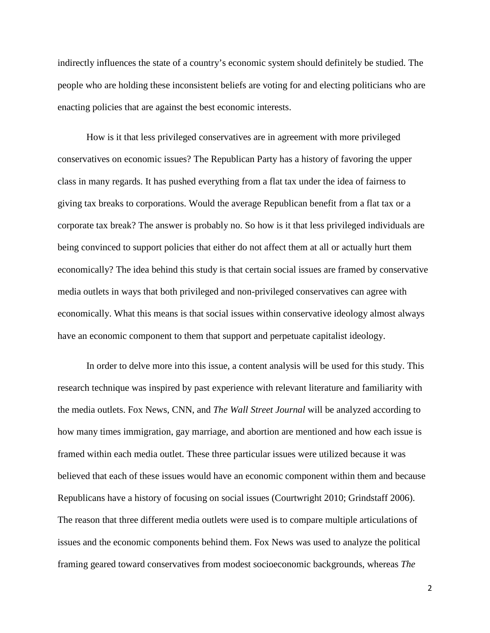indirectly influences the state of a country's economic system should definitely be studied. The people who are holding these inconsistent beliefs are voting for and electing politicians who are enacting policies that are against the best economic interests.

How is it that less privileged conservatives are in agreement with more privileged conservatives on economic issues? The Republican Party has a history of favoring the upper class in many regards. It has pushed everything from a flat tax under the idea of fairness to giving tax breaks to corporations. Would the average Republican benefit from a flat tax or a corporate tax break? The answer is probably no. So how is it that less privileged individuals are being convinced to support policies that either do not affect them at all or actually hurt them economically? The idea behind this study is that certain social issues are framed by conservative media outlets in ways that both privileged and non-privileged conservatives can agree with economically. What this means is that social issues within conservative ideology almost always have an economic component to them that support and perpetuate capitalist ideology.

In order to delve more into this issue, a content analysis will be used for this study. This research technique was inspired by past experience with relevant literature and familiarity with the media outlets. Fox News, CNN, and *The Wall Street Journal* will be analyzed according to how many times immigration, gay marriage, and abortion are mentioned and how each issue is framed within each media outlet. These three particular issues were utilized because it was believed that each of these issues would have an economic component within them and because Republicans have a history of focusing on social issues (Courtwright 2010; Grindstaff 2006). The reason that three different media outlets were used is to compare multiple articulations of issues and the economic components behind them. Fox News was used to analyze the political framing geared toward conservatives from modest socioeconomic backgrounds, whereas *The*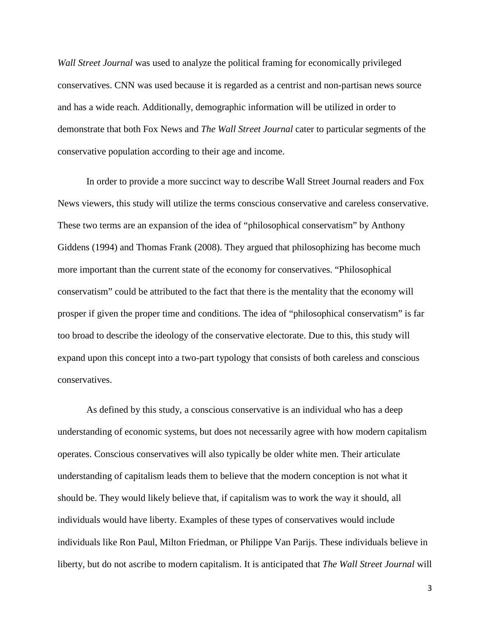*Wall Street Journal* was used to analyze the political framing for economically privileged conservatives. CNN was used because it is regarded as a centrist and non-partisan news source and has a wide reach. Additionally, demographic information will be utilized in order to demonstrate that both Fox News and *The Wall Street Journal* cater to particular segments of the conservative population according to their age and income.

In order to provide a more succinct way to describe Wall Street Journal readers and Fox News viewers, this study will utilize the terms conscious conservative and careless conservative. These two terms are an expansion of the idea of "philosophical conservatism" by Anthony Giddens (1994) and Thomas Frank (2008). They argued that philosophizing has become much more important than the current state of the economy for conservatives. "Philosophical conservatism" could be attributed to the fact that there is the mentality that the economy will prosper if given the proper time and conditions. The idea of "philosophical conservatism" is far too broad to describe the ideology of the conservative electorate. Due to this, this study will expand upon this concept into a two-part typology that consists of both careless and conscious conservatives.

As defined by this study, a conscious conservative is an individual who has a deep understanding of economic systems, but does not necessarily agree with how modern capitalism operates. Conscious conservatives will also typically be older white men. Their articulate understanding of capitalism leads them to believe that the modern conception is not what it should be. They would likely believe that, if capitalism was to work the way it should, all individuals would have liberty. Examples of these types of conservatives would include individuals like Ron Paul, Milton Friedman, or Philippe Van Parijs. These individuals believe in liberty, but do not ascribe to modern capitalism. It is anticipated that *The Wall Street Journal* will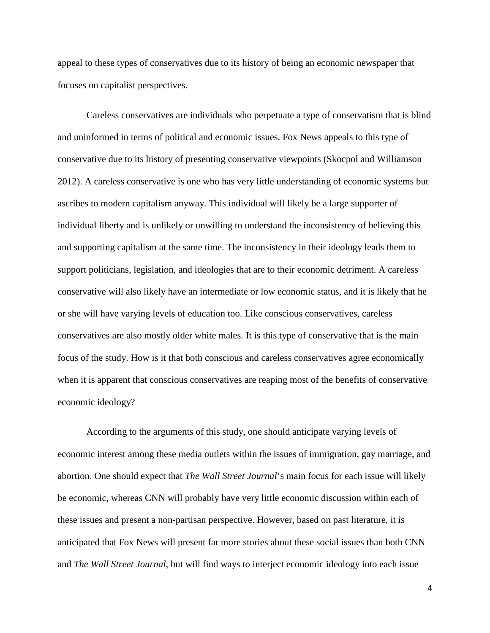appeal to these types of conservatives due to its history of being an economic newspaper that focuses on capitalist perspectives.

Careless conservatives are individuals who perpetuate a type of conservatism that is blind and uninformed in terms of political and economic issues. Fox News appeals to this type of conservative due to its history of presenting conservative viewpoints (Skocpol and Williamson 2012). A careless conservative is one who has very little understanding of economic systems but ascribes to modern capitalism anyway. This individual will likely be a large supporter of individual liberty and is unlikely or unwilling to understand the inconsistency of believing this and supporting capitalism at the same time. The inconsistency in their ideology leads them to support politicians, legislation, and ideologies that are to their economic detriment. A careless conservative will also likely have an intermediate or low economic status, and it is likely that he or she will have varying levels of education too. Like conscious conservatives, careless conservatives are also mostly older white males. It is this type of conservative that is the main focus of the study. How is it that both conscious and careless conservatives agree economically when it is apparent that conscious conservatives are reaping most of the benefits of conservative economic ideology?

According to the arguments of this study, one should anticipate varying levels of economic interest among these media outlets within the issues of immigration, gay marriage, and abortion. One should expect that *The Wall Street Journal*'s main focus for each issue will likely be economic, whereas CNN will probably have very little economic discussion within each of these issues and present a non-partisan perspective. However, based on past literature, it is anticipated that Fox News will present far more stories about these social issues than both CNN and *The Wall Street Journal*, but will find ways to interject economic ideology into each issue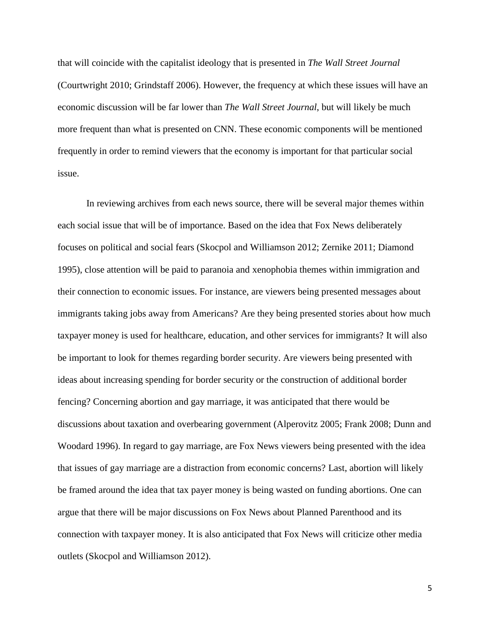that will coincide with the capitalist ideology that is presented in *The Wall Street Journal* (Courtwright 2010; Grindstaff 2006). However, the frequency at which these issues will have an economic discussion will be far lower than *The Wall Street Journal*, but will likely be much more frequent than what is presented on CNN. These economic components will be mentioned frequently in order to remind viewers that the economy is important for that particular social issue.

In reviewing archives from each news source, there will be several major themes within each social issue that will be of importance. Based on the idea that Fox News deliberately focuses on political and social fears (Skocpol and Williamson 2012; Zernike 2011; Diamond 1995), close attention will be paid to paranoia and xenophobia themes within immigration and their connection to economic issues. For instance, are viewers being presented messages about immigrants taking jobs away from Americans? Are they being presented stories about how much taxpayer money is used for healthcare, education, and other services for immigrants? It will also be important to look for themes regarding border security. Are viewers being presented with ideas about increasing spending for border security or the construction of additional border fencing? Concerning abortion and gay marriage, it was anticipated that there would be discussions about taxation and overbearing government (Alperovitz 2005; Frank 2008; Dunn and Woodard 1996). In regard to gay marriage, are Fox News viewers being presented with the idea that issues of gay marriage are a distraction from economic concerns? Last, abortion will likely be framed around the idea that tax payer money is being wasted on funding abortions. One can argue that there will be major discussions on Fox News about Planned Parenthood and its connection with taxpayer money. It is also anticipated that Fox News will criticize other media outlets (Skocpol and Williamson 2012).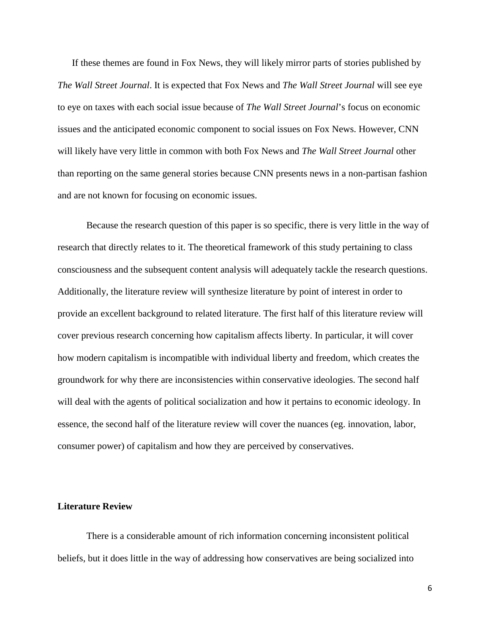If these themes are found in Fox News, they will likely mirror parts of stories published by *The Wall Street Journal*. It is expected that Fox News and *The Wall Street Journal* will see eye to eye on taxes with each social issue because of *The Wall Street Journal*'s focus on economic issues and the anticipated economic component to social issues on Fox News. However, CNN will likely have very little in common with both Fox News and *The Wall Street Journal* other than reporting on the same general stories because CNN presents news in a non-partisan fashion and are not known for focusing on economic issues.

Because the research question of this paper is so specific, there is very little in the way of research that directly relates to it. The theoretical framework of this study pertaining to class consciousness and the subsequent content analysis will adequately tackle the research questions. Additionally, the literature review will synthesize literature by point of interest in order to provide an excellent background to related literature. The first half of this literature review will cover previous research concerning how capitalism affects liberty. In particular, it will cover how modern capitalism is incompatible with individual liberty and freedom, which creates the groundwork for why there are inconsistencies within conservative ideologies. The second half will deal with the agents of political socialization and how it pertains to economic ideology. In essence, the second half of the literature review will cover the nuances (eg. innovation, labor, consumer power) of capitalism and how they are perceived by conservatives.

## **Literature Review**

There is a considerable amount of rich information concerning inconsistent political beliefs, but it does little in the way of addressing how conservatives are being socialized into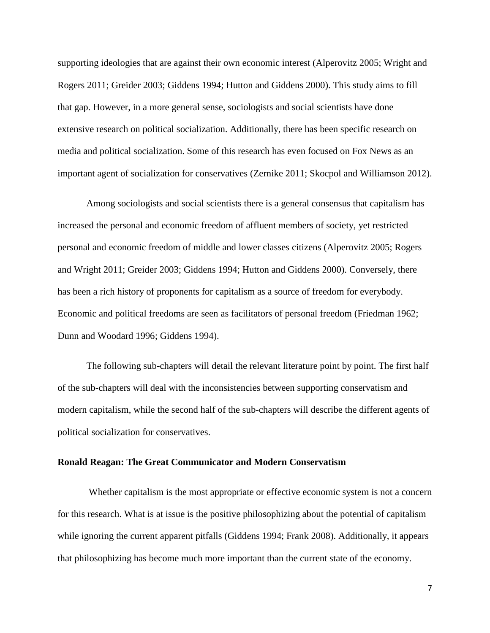supporting ideologies that are against their own economic interest (Alperovitz 2005; Wright and Rogers 2011; Greider 2003; Giddens 1994; Hutton and Giddens 2000). This study aims to fill that gap. However, in a more general sense, sociologists and social scientists have done extensive research on political socialization. Additionally, there has been specific research on media and political socialization. Some of this research has even focused on Fox News as an important agent of socialization for conservatives (Zernike 2011; Skocpol and Williamson 2012).

Among sociologists and social scientists there is a general consensus that capitalism has increased the personal and economic freedom of affluent members of society, yet restricted personal and economic freedom of middle and lower classes citizens (Alperovitz 2005; Rogers and Wright 2011; Greider 2003; Giddens 1994; Hutton and Giddens 2000). Conversely, there has been a rich history of proponents for capitalism as a source of freedom for everybody. Economic and political freedoms are seen as facilitators of personal freedom (Friedman 1962; Dunn and Woodard 1996; Giddens 1994).

The following sub-chapters will detail the relevant literature point by point. The first half of the sub-chapters will deal with the inconsistencies between supporting conservatism and modern capitalism, while the second half of the sub-chapters will describe the different agents of political socialization for conservatives.

### **Ronald Reagan: The Great Communicator and Modern Conservatism**

Whether capitalism is the most appropriate or effective economic system is not a concern for this research. What is at issue is the positive philosophizing about the potential of capitalism while ignoring the current apparent pitfalls (Giddens 1994; Frank 2008). Additionally, it appears that philosophizing has become much more important than the current state of the economy.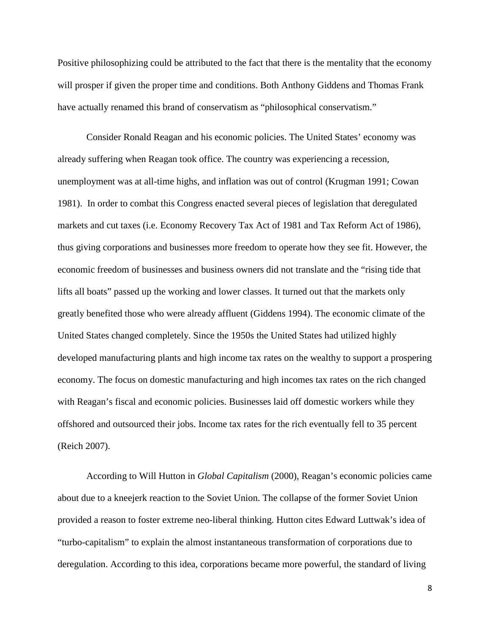Positive philosophizing could be attributed to the fact that there is the mentality that the economy will prosper if given the proper time and conditions. Both Anthony Giddens and Thomas Frank have actually renamed this brand of conservatism as "philosophical conservatism."

Consider Ronald Reagan and his economic policies. The United States' economy was already suffering when Reagan took office. The country was experiencing a recession, unemployment was at all-time highs, and inflation was out of control (Krugman 1991; Cowan 1981). In order to combat this Congress enacted several pieces of legislation that deregulated markets and cut taxes (i.e. Economy Recovery Tax Act of 1981 and Tax Reform Act of 1986), thus giving corporations and businesses more freedom to operate how they see fit. However, the economic freedom of businesses and business owners did not translate and the "rising tide that lifts all boats" passed up the working and lower classes. It turned out that the markets only greatly benefited those who were already affluent (Giddens 1994). The economic climate of the United States changed completely. Since the 1950s the United States had utilized highly developed manufacturing plants and high income tax rates on the wealthy to support a prospering economy. The focus on domestic manufacturing and high incomes tax rates on the rich changed with Reagan's fiscal and economic policies. Businesses laid off domestic workers while they offshored and outsourced their jobs. Income tax rates for the rich eventually fell to 35 percent (Reich 2007).

According to Will Hutton in *Global Capitalism* (2000), Reagan's economic policies came about due to a kneejerk reaction to the Soviet Union. The collapse of the former Soviet Union provided a reason to foster extreme neo-liberal thinking. Hutton cites Edward Luttwak's idea of "turbo-capitalism" to explain the almost instantaneous transformation of corporations due to deregulation. According to this idea, corporations became more powerful, the standard of living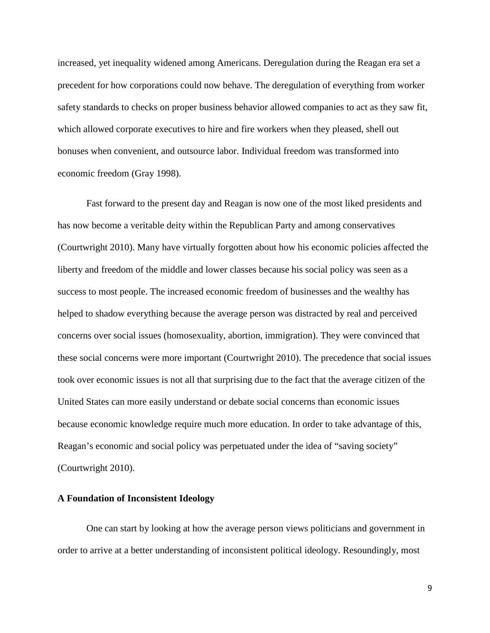increased, yet inequality widened among Americans. Deregulation during the Reagan era set a precedent for how corporations could now behave. The deregulation of everything from worker safety standards to checks on proper business behavior allowed companies to act as they saw fit, which allowed corporate executives to hire and fire workers when they pleased, shell out bonuses when convenient, and outsource labor. Individual freedom was transformed into economic freedom (Gray 1998).

Fast forward to the present day and Reagan is now one of the most liked presidents and has now become a veritable deity within the Republican Party and among conservatives (Courtwright 2010). Many have virtually forgotten about how his economic policies affected the liberty and freedom of the middle and lower classes because his social policy was seen as a success to most people. The increased economic freedom of businesses and the wealthy has helped to shadow everything because the average person was distracted by real and perceived concerns over social issues (homosexuality, abortion, immigration). They were convinced that these social concerns were more important (Courtwright 2010). The precedence that social issues took over economic issues is not all that surprising due to the fact that the average citizen of the United States can more easily understand or debate social concerns than economic issues because economic knowledge require much more education. In order to take advantage of this, Reagan's economic and social policy was perpetuated under the idea of "saving society" (Courtwright 2010).

# **A Foundation of Inconsistent Ideology**

One can start by looking at how the average person views politicians and government in order to arrive at a better understanding of inconsistent political ideology. Resoundingly, most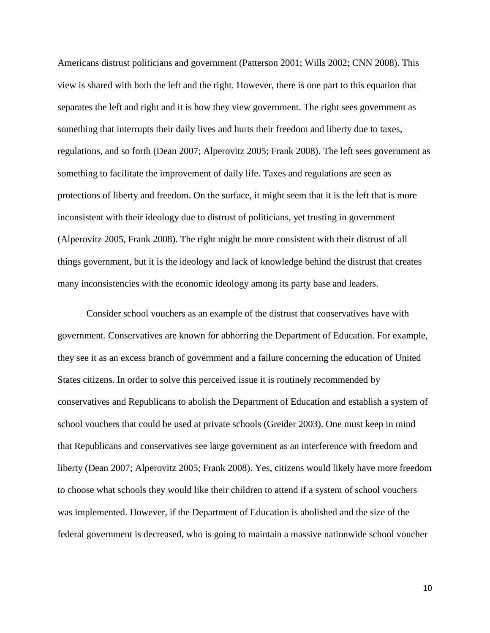Americans distrust politicians and government (Patterson 2001; Wills 2002; CNN 2008). This view is shared with both the left and the right. However, there is one part to this equation that separates the left and right and it is how they view government. The right sees government as something that interrupts their daily lives and hurts their freedom and liberty due to taxes, regulations, and so forth (Dean 2007; Alperovitz 2005; Frank 2008). The left sees government as something to facilitate the improvement of daily life. Taxes and regulations are seen as protections of liberty and freedom. On the surface, it might seem that it is the left that is more inconsistent with their ideology due to distrust of politicians, yet trusting in government (Alperovitz 2005, Frank 2008). The right might be more consistent with their distrust of all things government, but it is the ideology and lack of knowledge behind the distrust that creates many inconsistencies with the economic ideology among its party base and leaders.

Consider school vouchers as an example of the distrust that conservatives have with government. Conservatives are known for abhorring the Department of Education. For example, they see it as an excess branch of government and a failure concerning the education of United States citizens. In order to solve this perceived issue it is routinely recommended by conservatives and Republicans to abolish the Department of Education and establish a system of school vouchers that could be used at private schools (Greider 2003). One must keep in mind that Republicans and conservatives see large government as an interference with freedom and liberty (Dean 2007; Alperovitz 2005; Frank 2008). Yes, citizens would likely have more freedom to choose what schools they would like their children to attend if a system of school vouchers was implemented. However, if the Department of Education is abolished and the size of the federal government is decreased, who is going to maintain a massive nationwide school voucher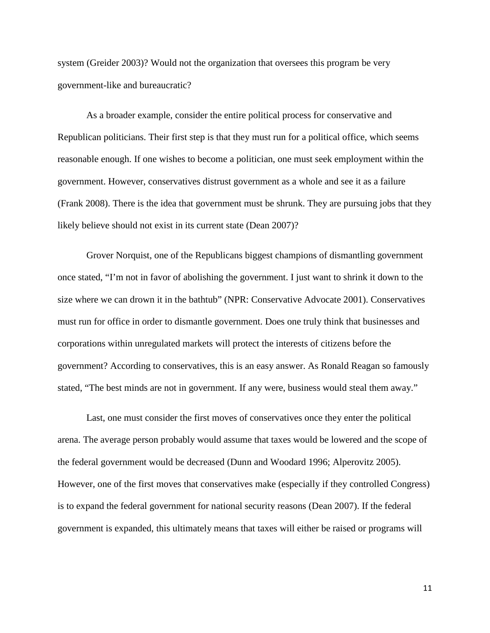system (Greider 2003)? Would not the organization that oversees this program be very government-like and bureaucratic?

As a broader example, consider the entire political process for conservative and Republican politicians. Their first step is that they must run for a political office, which seems reasonable enough. If one wishes to become a politician, one must seek employment within the government. However, conservatives distrust government as a whole and see it as a failure (Frank 2008). There is the idea that government must be shrunk. They are pursuing jobs that they likely believe should not exist in its current state (Dean 2007)?

Grover Norquist, one of the Republicans biggest champions of dismantling government once stated, "I'm not in favor of abolishing the government. I just want to shrink it down to the size where we can drown it in the bathtub" (NPR: Conservative Advocate 2001). Conservatives must run for office in order to dismantle government. Does one truly think that businesses and corporations within unregulated markets will protect the interests of citizens before the government? According to conservatives, this is an easy answer. As Ronald Reagan so famously stated, "The best minds are not in government. If any were, business would steal them away."

Last, one must consider the first moves of conservatives once they enter the political arena. The average person probably would assume that taxes would be lowered and the scope of the federal government would be decreased (Dunn and Woodard 1996; Alperovitz 2005). However, one of the first moves that conservatives make (especially if they controlled Congress) is to expand the federal government for national security reasons (Dean 2007). If the federal government is expanded, this ultimately means that taxes will either be raised or programs will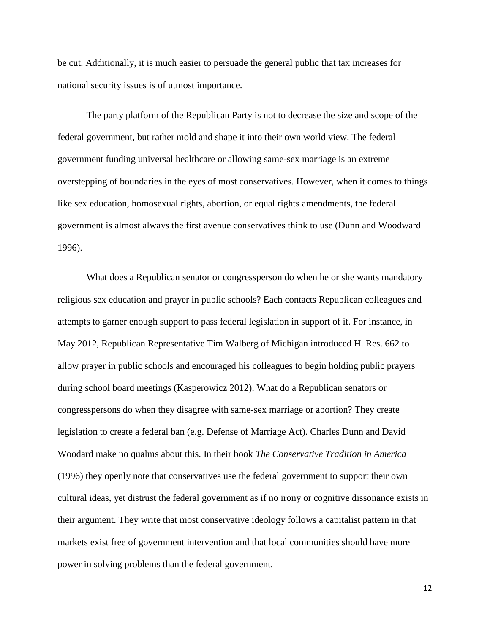be cut. Additionally, it is much easier to persuade the general public that tax increases for national security issues is of utmost importance.

The party platform of the Republican Party is not to decrease the size and scope of the federal government, but rather mold and shape it into their own world view. The federal government funding universal healthcare or allowing same-sex marriage is an extreme overstepping of boundaries in the eyes of most conservatives. However, when it comes to things like sex education, homosexual rights, abortion, or equal rights amendments, the federal government is almost always the first avenue conservatives think to use (Dunn and Woodward 1996).

What does a Republican senator or congressperson do when he or she wants mandatory religious sex education and prayer in public schools? Each contacts Republican colleagues and attempts to garner enough support to pass federal legislation in support of it. For instance, in May 2012, Republican Representative Tim Walberg of Michigan introduced H. Res. 662 to allow prayer in public schools and encouraged his colleagues to begin holding public prayers during school board meetings (Kasperowicz 2012). What do a Republican senators or congresspersons do when they disagree with same-sex marriage or abortion? They create legislation to create a federal ban (e.g. Defense of Marriage Act). Charles Dunn and David Woodard make no qualms about this. In their book *The Conservative Tradition in America* (1996) they openly note that conservatives use the federal government to support their own cultural ideas, yet distrust the federal government as if no irony or cognitive dissonance exists in their argument. They write that most conservative ideology follows a capitalist pattern in that markets exist free of government intervention and that local communities should have more power in solving problems than the federal government.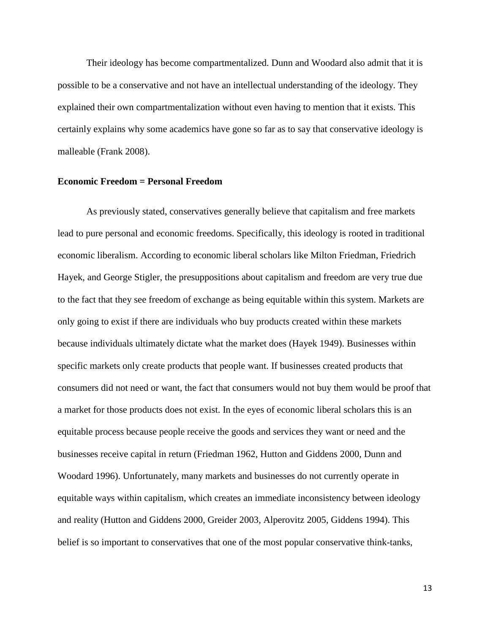Their ideology has become compartmentalized. Dunn and Woodard also admit that it is possible to be a conservative and not have an intellectual understanding of the ideology. They explained their own compartmentalization without even having to mention that it exists. This certainly explains why some academics have gone so far as to say that conservative ideology is malleable (Frank 2008).

#### **Economic Freedom = Personal Freedom**

As previously stated, conservatives generally believe that capitalism and free markets lead to pure personal and economic freedoms. Specifically, this ideology is rooted in traditional economic liberalism. According to economic liberal scholars like Milton Friedman, Friedrich Hayek, and George Stigler, the presuppositions about capitalism and freedom are very true due to the fact that they see freedom of exchange as being equitable within this system. Markets are only going to exist if there are individuals who buy products created within these markets because individuals ultimately dictate what the market does (Hayek 1949). Businesses within specific markets only create products that people want. If businesses created products that consumers did not need or want, the fact that consumers would not buy them would be proof that a market for those products does not exist. In the eyes of economic liberal scholars this is an equitable process because people receive the goods and services they want or need and the businesses receive capital in return (Friedman 1962, Hutton and Giddens 2000, Dunn and Woodard 1996). Unfortunately, many markets and businesses do not currently operate in equitable ways within capitalism, which creates an immediate inconsistency between ideology and reality (Hutton and Giddens 2000, Greider 2003, Alperovitz 2005, Giddens 1994). This belief is so important to conservatives that one of the most popular conservative think-tanks,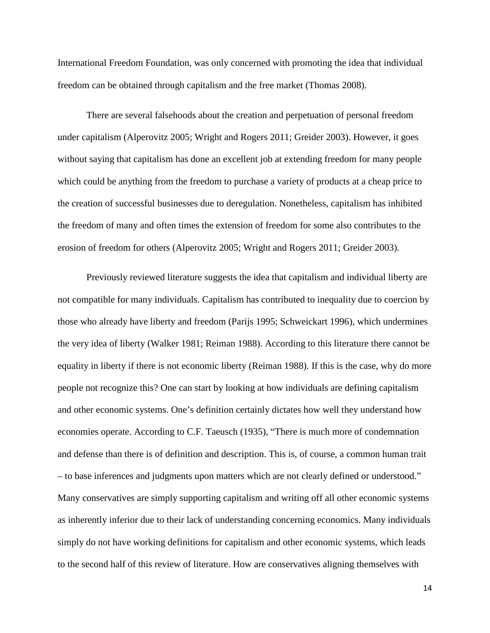International Freedom Foundation, was only concerned with promoting the idea that individual freedom can be obtained through capitalism and the free market (Thomas 2008).

There are several falsehoods about the creation and perpetuation of personal freedom under capitalism (Alperovitz 2005; Wright and Rogers 2011; Greider 2003). However, it goes without saying that capitalism has done an excellent job at extending freedom for many people which could be anything from the freedom to purchase a variety of products at a cheap price to the creation of successful businesses due to deregulation. Nonetheless, capitalism has inhibited the freedom of many and often times the extension of freedom for some also contributes to the erosion of freedom for others (Alperovitz 2005; Wright and Rogers 2011; Greider 2003).

Previously reviewed literature suggests the idea that capitalism and individual liberty are not compatible for many individuals. Capitalism has contributed to inequality due to coercion by those who already have liberty and freedom (Parijs 1995; Schweickart 1996), which undermines the very idea of liberty (Walker 1981; Reiman 1988). According to this literature there cannot be equality in liberty if there is not economic liberty (Reiman 1988). If this is the case, why do more people not recognize this? One can start by looking at how individuals are defining capitalism and other economic systems. One's definition certainly dictates how well they understand how economies operate. According to C.F. Taeusch (1935), "There is much more of condemnation and defense than there is of definition and description. This is, of course, a common human trait – to base inferences and judgments upon matters which are not clearly defined or understood." Many conservatives are simply supporting capitalism and writing off all other economic systems as inherently inferior due to their lack of understanding concerning economics. Many individuals simply do not have working definitions for capitalism and other economic systems, which leads to the second half of this review of literature. How are conservatives aligning themselves with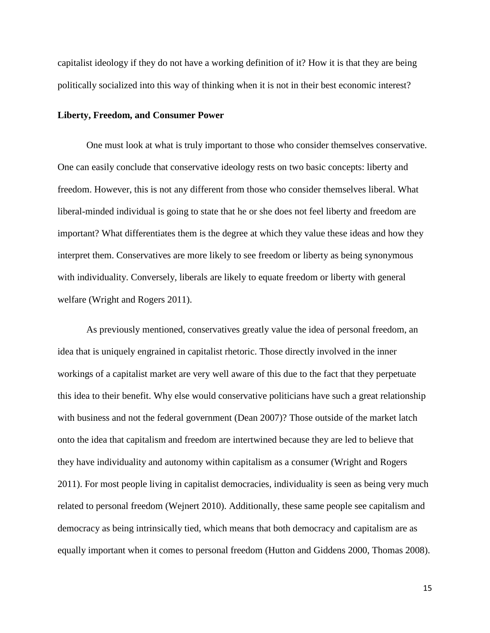capitalist ideology if they do not have a working definition of it? How it is that they are being politically socialized into this way of thinking when it is not in their best economic interest?

## **Liberty, Freedom, and Consumer Power**

One must look at what is truly important to those who consider themselves conservative. One can easily conclude that conservative ideology rests on two basic concepts: liberty and freedom. However, this is not any different from those who consider themselves liberal. What liberal-minded individual is going to state that he or she does not feel liberty and freedom are important? What differentiates them is the degree at which they value these ideas and how they interpret them. Conservatives are more likely to see freedom or liberty as being synonymous with individuality. Conversely, liberals are likely to equate freedom or liberty with general welfare (Wright and Rogers 2011).

As previously mentioned, conservatives greatly value the idea of personal freedom, an idea that is uniquely engrained in capitalist rhetoric. Those directly involved in the inner workings of a capitalist market are very well aware of this due to the fact that they perpetuate this idea to their benefit. Why else would conservative politicians have such a great relationship with business and not the federal government (Dean 2007)? Those outside of the market latch onto the idea that capitalism and freedom are intertwined because they are led to believe that they have individuality and autonomy within capitalism as a consumer (Wright and Rogers 2011). For most people living in capitalist democracies, individuality is seen as being very much related to personal freedom (Wejnert 2010). Additionally, these same people see capitalism and democracy as being intrinsically tied, which means that both democracy and capitalism are as equally important when it comes to personal freedom (Hutton and Giddens 2000, Thomas 2008).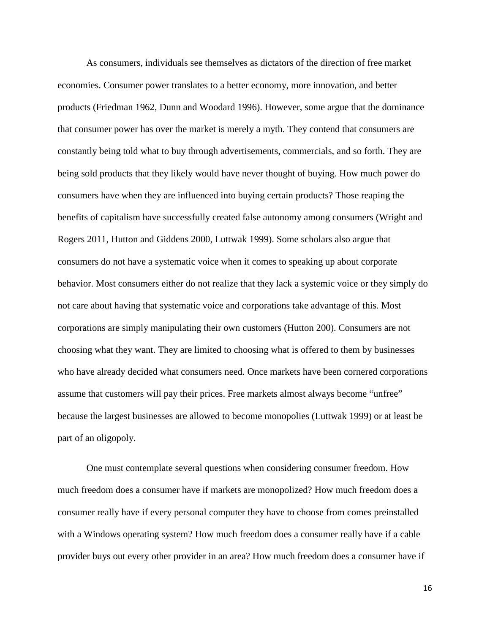As consumers, individuals see themselves as dictators of the direction of free market economies. Consumer power translates to a better economy, more innovation, and better products (Friedman 1962, Dunn and Woodard 1996). However, some argue that the dominance that consumer power has over the market is merely a myth. They contend that consumers are constantly being told what to buy through advertisements, commercials, and so forth. They are being sold products that they likely would have never thought of buying. How much power do consumers have when they are influenced into buying certain products? Those reaping the benefits of capitalism have successfully created false autonomy among consumers (Wright and Rogers 2011, Hutton and Giddens 2000, Luttwak 1999). Some scholars also argue that consumers do not have a systematic voice when it comes to speaking up about corporate behavior. Most consumers either do not realize that they lack a systemic voice or they simply do not care about having that systematic voice and corporations take advantage of this. Most corporations are simply manipulating their own customers (Hutton 200). Consumers are not choosing what they want. They are limited to choosing what is offered to them by businesses who have already decided what consumers need. Once markets have been cornered corporations assume that customers will pay their prices. Free markets almost always become "unfree" because the largest businesses are allowed to become monopolies (Luttwak 1999) or at least be part of an oligopoly.

One must contemplate several questions when considering consumer freedom. How much freedom does a consumer have if markets are monopolized? How much freedom does a consumer really have if every personal computer they have to choose from comes preinstalled with a Windows operating system? How much freedom does a consumer really have if a cable provider buys out every other provider in an area? How much freedom does a consumer have if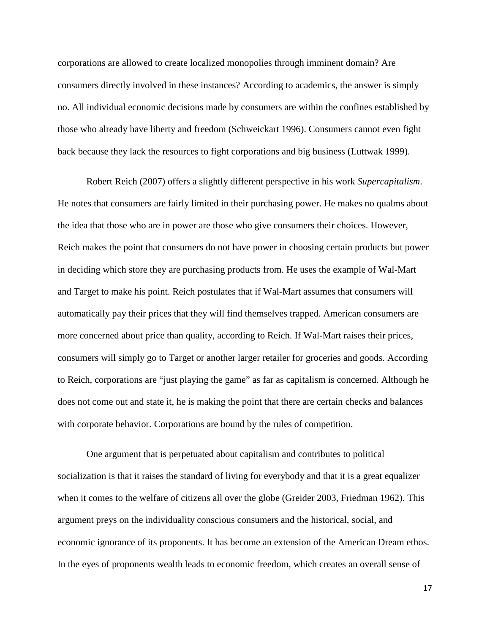corporations are allowed to create localized monopolies through imminent domain? Are consumers directly involved in these instances? According to academics, the answer is simply no. All individual economic decisions made by consumers are within the confines established by those who already have liberty and freedom (Schweickart 1996). Consumers cannot even fight back because they lack the resources to fight corporations and big business (Luttwak 1999).

Robert Reich (2007) offers a slightly different perspective in his work *Supercapitalism*. He notes that consumers are fairly limited in their purchasing power. He makes no qualms about the idea that those who are in power are those who give consumers their choices. However, Reich makes the point that consumers do not have power in choosing certain products but power in deciding which store they are purchasing products from. He uses the example of Wal-Mart and Target to make his point. Reich postulates that if Wal-Mart assumes that consumers will automatically pay their prices that they will find themselves trapped. American consumers are more concerned about price than quality, according to Reich. If Wal-Mart raises their prices, consumers will simply go to Target or another larger retailer for groceries and goods. According to Reich, corporations are "just playing the game" as far as capitalism is concerned. Although he does not come out and state it, he is making the point that there are certain checks and balances with corporate behavior. Corporations are bound by the rules of competition.

One argument that is perpetuated about capitalism and contributes to political socialization is that it raises the standard of living for everybody and that it is a great equalizer when it comes to the welfare of citizens all over the globe (Greider 2003, Friedman 1962). This argument preys on the individuality conscious consumers and the historical, social, and economic ignorance of its proponents. It has become an extension of the American Dream ethos. In the eyes of proponents wealth leads to economic freedom, which creates an overall sense of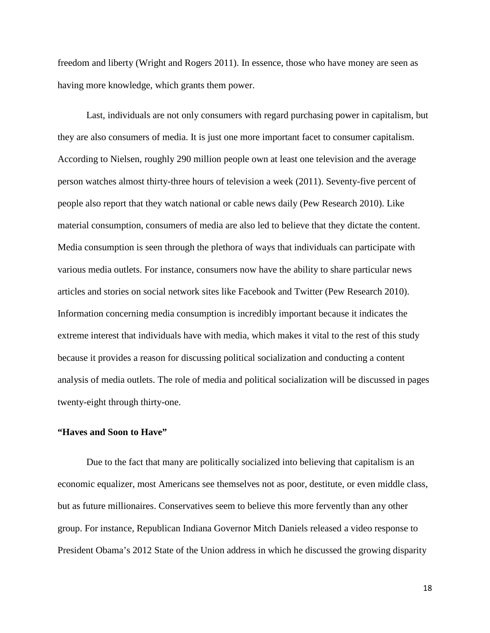freedom and liberty (Wright and Rogers 2011). In essence, those who have money are seen as having more knowledge, which grants them power.

Last, individuals are not only consumers with regard purchasing power in capitalism, but they are also consumers of media. It is just one more important facet to consumer capitalism. According to Nielsen, roughly 290 million people own at least one television and the average person watches almost thirty-three hours of television a week (2011). Seventy-five percent of people also report that they watch national or cable news daily (Pew Research 2010). Like material consumption, consumers of media are also led to believe that they dictate the content. Media consumption is seen through the plethora of ways that individuals can participate with various media outlets. For instance, consumers now have the ability to share particular news articles and stories on social network sites like Facebook and Twitter (Pew Research 2010). Information concerning media consumption is incredibly important because it indicates the extreme interest that individuals have with media, which makes it vital to the rest of this study because it provides a reason for discussing political socialization and conducting a content analysis of media outlets. The role of media and political socialization will be discussed in pages twenty-eight through thirty-one.

## **"Haves and Soon to Have"**

Due to the fact that many are politically socialized into believing that capitalism is an economic equalizer, most Americans see themselves not as poor, destitute, or even middle class, but as future millionaires. Conservatives seem to believe this more fervently than any other group. For instance, Republican Indiana Governor Mitch Daniels released a video response to President Obama's 2012 State of the Union address in which he discussed the growing disparity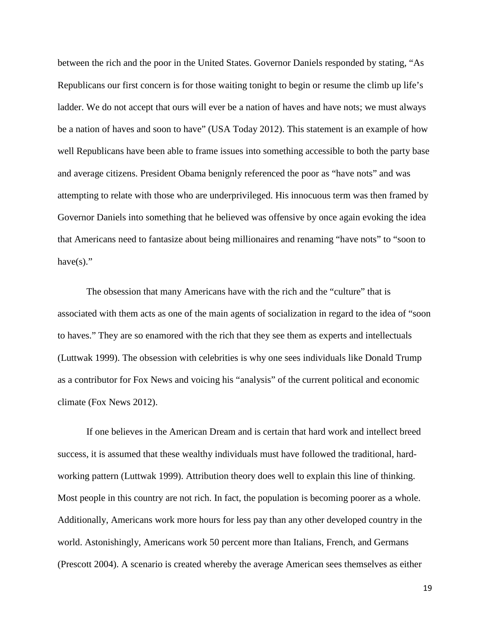between the rich and the poor in the United States. Governor Daniels responded by stating, "As Republicans our first concern is for those waiting tonight to begin or resume the climb up life's ladder. We do not accept that ours will ever be a nation of haves and have nots; we must always be a nation of haves and soon to have" (USA Today 2012). This statement is an example of how well Republicans have been able to frame issues into something accessible to both the party base and average citizens. President Obama benignly referenced the poor as "have nots" and was attempting to relate with those who are underprivileged. His innocuous term was then framed by Governor Daniels into something that he believed was offensive by once again evoking the idea that Americans need to fantasize about being millionaires and renaming "have nots" to "soon to have $(s)$ ."

The obsession that many Americans have with the rich and the "culture" that is associated with them acts as one of the main agents of socialization in regard to the idea of "soon to haves." They are so enamored with the rich that they see them as experts and intellectuals (Luttwak 1999). The obsession with celebrities is why one sees individuals like Donald Trump as a contributor for Fox News and voicing his "analysis" of the current political and economic climate (Fox News 2012).

If one believes in the American Dream and is certain that hard work and intellect breed success, it is assumed that these wealthy individuals must have followed the traditional, hardworking pattern (Luttwak 1999). Attribution theory does well to explain this line of thinking. Most people in this country are not rich. In fact, the population is becoming poorer as a whole. Additionally, Americans work more hours for less pay than any other developed country in the world. Astonishingly, Americans work 50 percent more than Italians, French, and Germans (Prescott 2004). A scenario is created whereby the average American sees themselves as either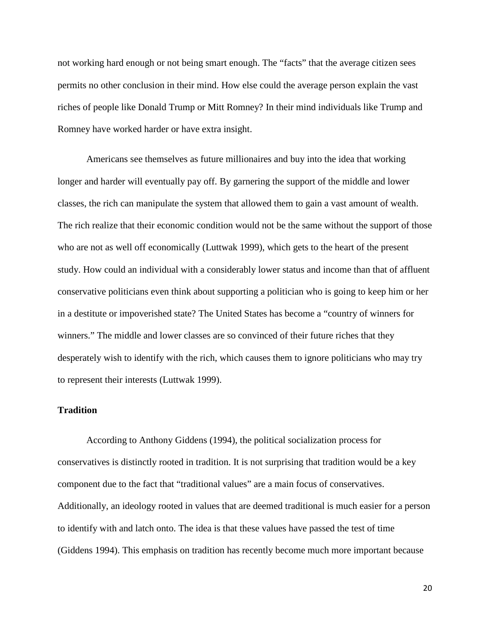not working hard enough or not being smart enough. The "facts" that the average citizen sees permits no other conclusion in their mind. How else could the average person explain the vast riches of people like Donald Trump or Mitt Romney? In their mind individuals like Trump and Romney have worked harder or have extra insight.

Americans see themselves as future millionaires and buy into the idea that working longer and harder will eventually pay off. By garnering the support of the middle and lower classes, the rich can manipulate the system that allowed them to gain a vast amount of wealth. The rich realize that their economic condition would not be the same without the support of those who are not as well off economically (Luttwak 1999), which gets to the heart of the present study. How could an individual with a considerably lower status and income than that of affluent conservative politicians even think about supporting a politician who is going to keep him or her in a destitute or impoverished state? The United States has become a "country of winners for winners." The middle and lower classes are so convinced of their future riches that they desperately wish to identify with the rich, which causes them to ignore politicians who may try to represent their interests (Luttwak 1999).

# **Tradition**

According to Anthony Giddens (1994), the political socialization process for conservatives is distinctly rooted in tradition. It is not surprising that tradition would be a key component due to the fact that "traditional values" are a main focus of conservatives. Additionally, an ideology rooted in values that are deemed traditional is much easier for a person to identify with and latch onto. The idea is that these values have passed the test of time (Giddens 1994). This emphasis on tradition has recently become much more important because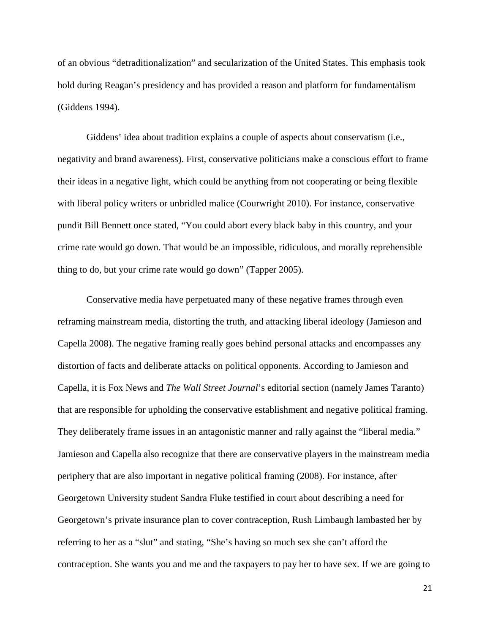of an obvious "detraditionalization" and secularization of the United States. This emphasis took hold during Reagan's presidency and has provided a reason and platform for fundamentalism (Giddens 1994).

Giddens' idea about tradition explains a couple of aspects about conservatism (i.e., negativity and brand awareness). First, conservative politicians make a conscious effort to frame their ideas in a negative light, which could be anything from not cooperating or being flexible with liberal policy writers or unbridled malice (Courwright 2010). For instance, conservative pundit Bill Bennett once stated, "You could abort every black baby in this country, and your crime rate would go down. That would be an impossible, ridiculous, and morally reprehensible thing to do, but your crime rate would go down" (Tapper 2005).

Conservative media have perpetuated many of these negative frames through even reframing mainstream media, distorting the truth, and attacking liberal ideology (Jamieson and Capella 2008). The negative framing really goes behind personal attacks and encompasses any distortion of facts and deliberate attacks on political opponents. According to Jamieson and Capella, it is Fox News and *The Wall Street Journal*'s editorial section (namely James Taranto) that are responsible for upholding the conservative establishment and negative political framing. They deliberately frame issues in an antagonistic manner and rally against the "liberal media." Jamieson and Capella also recognize that there are conservative players in the mainstream media periphery that are also important in negative political framing (2008). For instance, after Georgetown University student Sandra Fluke testified in court about describing a need for Georgetown's private insurance plan to cover contraception, Rush Limbaugh lambasted her by referring to her as a "slut" and stating, "She's having so much sex she can't afford the contraception. She wants you and me and the taxpayers to pay her to have sex. If we are going to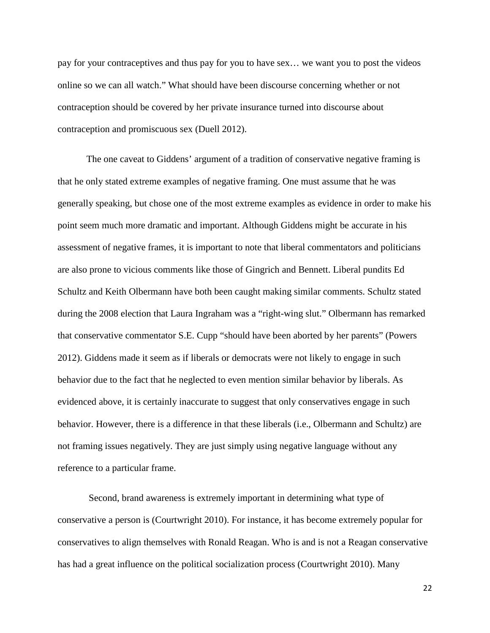pay for your contraceptives and thus pay for you to have sex… we want you to post the videos online so we can all watch." What should have been discourse concerning whether or not contraception should be covered by her private insurance turned into discourse about contraception and promiscuous sex (Duell 2012).

The one caveat to Giddens' argument of a tradition of conservative negative framing is that he only stated extreme examples of negative framing. One must assume that he was generally speaking, but chose one of the most extreme examples as evidence in order to make his point seem much more dramatic and important. Although Giddens might be accurate in his assessment of negative frames, it is important to note that liberal commentators and politicians are also prone to vicious comments like those of Gingrich and Bennett. Liberal pundits Ed Schultz and Keith Olbermann have both been caught making similar comments. Schultz stated during the 2008 election that Laura Ingraham was a "right-wing slut." Olbermann has remarked that conservative commentator S.E. Cupp "should have been aborted by her parents" (Powers 2012). Giddens made it seem as if liberals or democrats were not likely to engage in such behavior due to the fact that he neglected to even mention similar behavior by liberals. As evidenced above, it is certainly inaccurate to suggest that only conservatives engage in such behavior. However, there is a difference in that these liberals (i.e., Olbermann and Schultz) are not framing issues negatively. They are just simply using negative language without any reference to a particular frame.

Second, brand awareness is extremely important in determining what type of conservative a person is (Courtwright 2010). For instance, it has become extremely popular for conservatives to align themselves with Ronald Reagan. Who is and is not a Reagan conservative has had a great influence on the political socialization process (Courtwright 2010). Many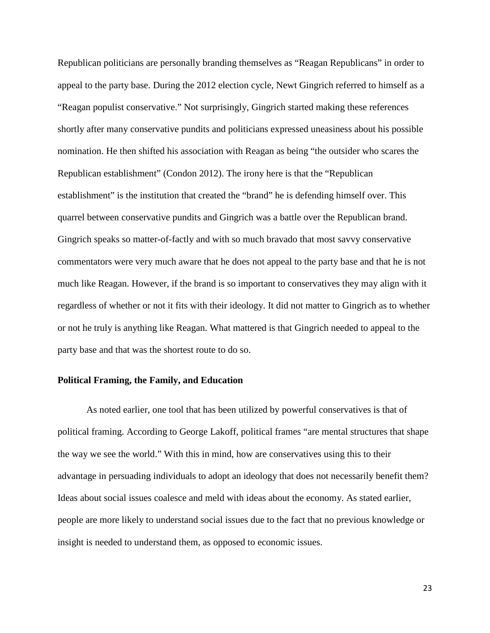Republican politicians are personally branding themselves as "Reagan Republicans" in order to appeal to the party base. During the 2012 election cycle, Newt Gingrich referred to himself as a "Reagan populist conservative." Not surprisingly, Gingrich started making these references shortly after many conservative pundits and politicians expressed uneasiness about his possible nomination. He then shifted his association with Reagan as being "the outsider who scares the Republican establishment" (Condon 2012). The irony here is that the "Republican establishment" is the institution that created the "brand" he is defending himself over. This quarrel between conservative pundits and Gingrich was a battle over the Republican brand. Gingrich speaks so matter-of-factly and with so much bravado that most savvy conservative commentators were very much aware that he does not appeal to the party base and that he is not much like Reagan. However, if the brand is so important to conservatives they may align with it regardless of whether or not it fits with their ideology. It did not matter to Gingrich as to whether or not he truly is anything like Reagan. What mattered is that Gingrich needed to appeal to the party base and that was the shortest route to do so.

# **Political Framing, the Family, and Education**

As noted earlier, one tool that has been utilized by powerful conservatives is that of political framing. According to George Lakoff, political frames "are mental structures that shape the way we see the world." With this in mind, how are conservatives using this to their advantage in persuading individuals to adopt an ideology that does not necessarily benefit them? Ideas about social issues coalesce and meld with ideas about the economy. As stated earlier, people are more likely to understand social issues due to the fact that no previous knowledge or insight is needed to understand them, as opposed to economic issues.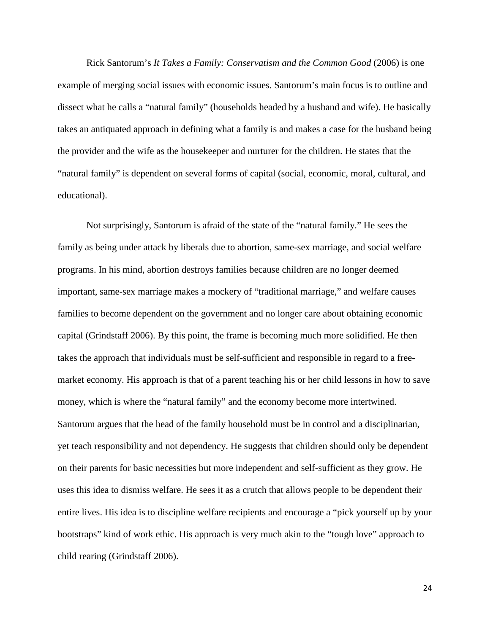Rick Santorum's *It Takes a Family: Conservatism and the Common Good* (2006) is one example of merging social issues with economic issues. Santorum's main focus is to outline and dissect what he calls a "natural family" (households headed by a husband and wife). He basically takes an antiquated approach in defining what a family is and makes a case for the husband being the provider and the wife as the housekeeper and nurturer for the children. He states that the "natural family" is dependent on several forms of capital (social, economic, moral, cultural, and educational).

Not surprisingly, Santorum is afraid of the state of the "natural family." He sees the family as being under attack by liberals due to abortion, same-sex marriage, and social welfare programs. In his mind, abortion destroys families because children are no longer deemed important, same-sex marriage makes a mockery of "traditional marriage," and welfare causes families to become dependent on the government and no longer care about obtaining economic capital (Grindstaff 2006). By this point, the frame is becoming much more solidified. He then takes the approach that individuals must be self-sufficient and responsible in regard to a freemarket economy. His approach is that of a parent teaching his or her child lessons in how to save money, which is where the "natural family" and the economy become more intertwined. Santorum argues that the head of the family household must be in control and a disciplinarian, yet teach responsibility and not dependency. He suggests that children should only be dependent on their parents for basic necessities but more independent and self-sufficient as they grow. He uses this idea to dismiss welfare. He sees it as a crutch that allows people to be dependent their entire lives. His idea is to discipline welfare recipients and encourage a "pick yourself up by your bootstraps" kind of work ethic. His approach is very much akin to the "tough love" approach to child rearing (Grindstaff 2006).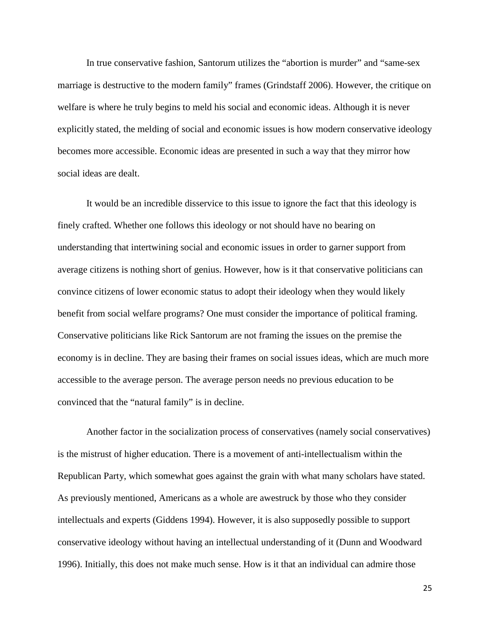In true conservative fashion, Santorum utilizes the "abortion is murder" and "same-sex marriage is destructive to the modern family" frames (Grindstaff 2006). However, the critique on welfare is where he truly begins to meld his social and economic ideas. Although it is never explicitly stated, the melding of social and economic issues is how modern conservative ideology becomes more accessible. Economic ideas are presented in such a way that they mirror how social ideas are dealt.

It would be an incredible disservice to this issue to ignore the fact that this ideology is finely crafted. Whether one follows this ideology or not should have no bearing on understanding that intertwining social and economic issues in order to garner support from average citizens is nothing short of genius. However, how is it that conservative politicians can convince citizens of lower economic status to adopt their ideology when they would likely benefit from social welfare programs? One must consider the importance of political framing. Conservative politicians like Rick Santorum are not framing the issues on the premise the economy is in decline. They are basing their frames on social issues ideas, which are much more accessible to the average person. The average person needs no previous education to be convinced that the "natural family" is in decline.

Another factor in the socialization process of conservatives (namely social conservatives) is the mistrust of higher education. There is a movement of anti-intellectualism within the Republican Party, which somewhat goes against the grain with what many scholars have stated. As previously mentioned, Americans as a whole are awestruck by those who they consider intellectuals and experts (Giddens 1994). However, it is also supposedly possible to support conservative ideology without having an intellectual understanding of it (Dunn and Woodward 1996). Initially, this does not make much sense. How is it that an individual can admire those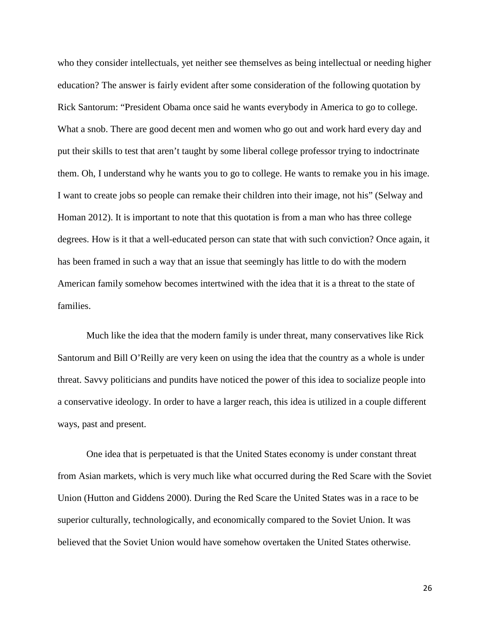who they consider intellectuals, yet neither see themselves as being intellectual or needing higher education? The answer is fairly evident after some consideration of the following quotation by Rick Santorum: "President Obama once said he wants everybody in America to go to college. What a snob. There are good decent men and women who go out and work hard every day and put their skills to test that aren't taught by some liberal college professor trying to indoctrinate them. Oh, I understand why he wants you to go to college. He wants to remake you in his image. I want to create jobs so people can remake their children into their image, not his" (Selway and Homan 2012). It is important to note that this quotation is from a man who has three college degrees. How is it that a well-educated person can state that with such conviction? Once again, it has been framed in such a way that an issue that seemingly has little to do with the modern American family somehow becomes intertwined with the idea that it is a threat to the state of families.

Much like the idea that the modern family is under threat, many conservatives like Rick Santorum and Bill O'Reilly are very keen on using the idea that the country as a whole is under threat. Savvy politicians and pundits have noticed the power of this idea to socialize people into a conservative ideology. In order to have a larger reach, this idea is utilized in a couple different ways, past and present.

One idea that is perpetuated is that the United States economy is under constant threat from Asian markets, which is very much like what occurred during the Red Scare with the Soviet Union (Hutton and Giddens 2000). During the Red Scare the United States was in a race to be superior culturally, technologically, and economically compared to the Soviet Union. It was believed that the Soviet Union would have somehow overtaken the United States otherwise.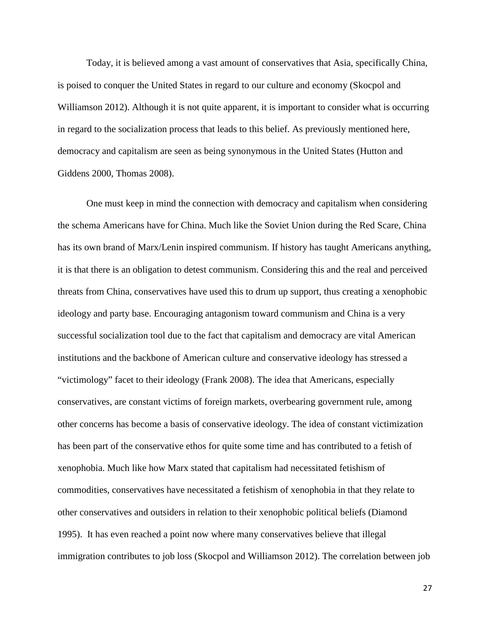Today, it is believed among a vast amount of conservatives that Asia, specifically China, is poised to conquer the United States in regard to our culture and economy (Skocpol and Williamson 2012). Although it is not quite apparent, it is important to consider what is occurring in regard to the socialization process that leads to this belief. As previously mentioned here, democracy and capitalism are seen as being synonymous in the United States (Hutton and Giddens 2000, Thomas 2008).

One must keep in mind the connection with democracy and capitalism when considering the schema Americans have for China. Much like the Soviet Union during the Red Scare, China has its own brand of Marx/Lenin inspired communism. If history has taught Americans anything, it is that there is an obligation to detest communism. Considering this and the real and perceived threats from China, conservatives have used this to drum up support, thus creating a xenophobic ideology and party base. Encouraging antagonism toward communism and China is a very successful socialization tool due to the fact that capitalism and democracy are vital American institutions and the backbone of American culture and conservative ideology has stressed a "victimology" facet to their ideology (Frank 2008). The idea that Americans, especially conservatives, are constant victims of foreign markets, overbearing government rule, among other concerns has become a basis of conservative ideology. The idea of constant victimization has been part of the conservative ethos for quite some time and has contributed to a fetish of xenophobia. Much like how Marx stated that capitalism had necessitated fetishism of commodities, conservatives have necessitated a fetishism of xenophobia in that they relate to other conservatives and outsiders in relation to their xenophobic political beliefs (Diamond 1995). It has even reached a point now where many conservatives believe that illegal immigration contributes to job loss (Skocpol and Williamson 2012). The correlation between job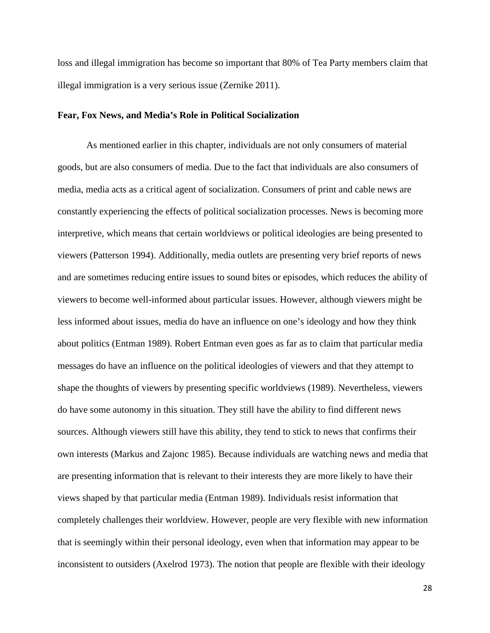loss and illegal immigration has become so important that 80% of Tea Party members claim that illegal immigration is a very serious issue (Zernike 2011).

## **Fear, Fox News, and Media's Role in Political Socialization**

As mentioned earlier in this chapter, individuals are not only consumers of material goods, but are also consumers of media. Due to the fact that individuals are also consumers of media, media acts as a critical agent of socialization. Consumers of print and cable news are constantly experiencing the effects of political socialization processes. News is becoming more interpretive, which means that certain worldviews or political ideologies are being presented to viewers (Patterson 1994). Additionally, media outlets are presenting very brief reports of news and are sometimes reducing entire issues to sound bites or episodes, which reduces the ability of viewers to become well-informed about particular issues. However, although viewers might be less informed about issues, media do have an influence on one's ideology and how they think about politics (Entman 1989). Robert Entman even goes as far as to claim that particular media messages do have an influence on the political ideologies of viewers and that they attempt to shape the thoughts of viewers by presenting specific worldviews (1989). Nevertheless, viewers do have some autonomy in this situation. They still have the ability to find different news sources. Although viewers still have this ability, they tend to stick to news that confirms their own interests (Markus and Zajonc 1985). Because individuals are watching news and media that are presenting information that is relevant to their interests they are more likely to have their views shaped by that particular media (Entman 1989). Individuals resist information that completely challenges their worldview. However, people are very flexible with new information that is seemingly within their personal ideology, even when that information may appear to be inconsistent to outsiders (Axelrod 1973). The notion that people are flexible with their ideology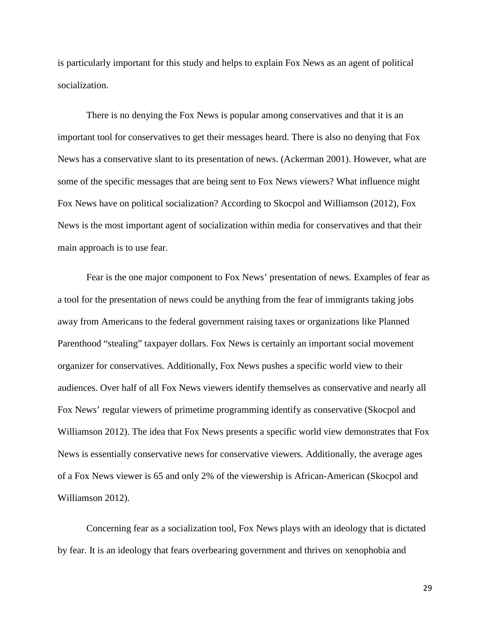is particularly important for this study and helps to explain Fox News as an agent of political socialization.

There is no denying the Fox News is popular among conservatives and that it is an important tool for conservatives to get their messages heard. There is also no denying that Fox News has a conservative slant to its presentation of news. (Ackerman 2001). However, what are some of the specific messages that are being sent to Fox News viewers? What influence might Fox News have on political socialization? According to Skocpol and Williamson (2012), Fox News is the most important agent of socialization within media for conservatives and that their main approach is to use fear.

Fear is the one major component to Fox News' presentation of news. Examples of fear as a tool for the presentation of news could be anything from the fear of immigrants taking jobs away from Americans to the federal government raising taxes or organizations like Planned Parenthood "stealing" taxpayer dollars. Fox News is certainly an important social movement organizer for conservatives. Additionally, Fox News pushes a specific world view to their audiences. Over half of all Fox News viewers identify themselves as conservative and nearly all Fox News' regular viewers of primetime programming identify as conservative (Skocpol and Williamson 2012). The idea that Fox News presents a specific world view demonstrates that Fox News is essentially conservative news for conservative viewers. Additionally, the average ages of a Fox News viewer is 65 and only 2% of the viewership is African-American (Skocpol and Williamson 2012).

Concerning fear as a socialization tool, Fox News plays with an ideology that is dictated by fear. It is an ideology that fears overbearing government and thrives on xenophobia and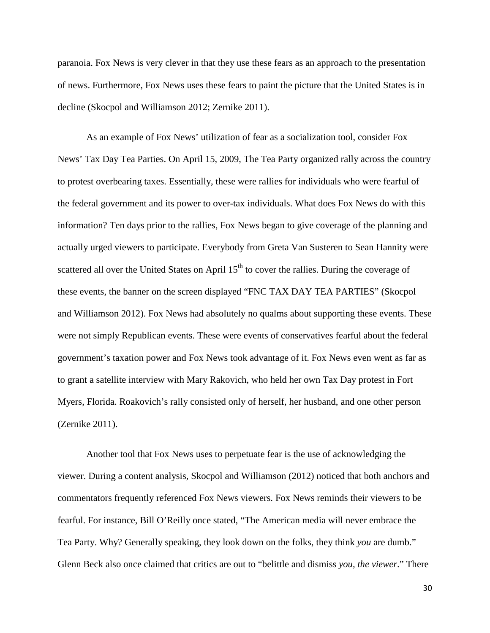paranoia. Fox News is very clever in that they use these fears as an approach to the presentation of news. Furthermore, Fox News uses these fears to paint the picture that the United States is in decline (Skocpol and Williamson 2012; Zernike 2011).

As an example of Fox News' utilization of fear as a socialization tool, consider Fox News' Tax Day Tea Parties. On April 15, 2009, The Tea Party organized rally across the country to protest overbearing taxes. Essentially, these were rallies for individuals who were fearful of the federal government and its power to over-tax individuals. What does Fox News do with this information? Ten days prior to the rallies, Fox News began to give coverage of the planning and actually urged viewers to participate. Everybody from Greta Van Susteren to Sean Hannity were scattered all over the United States on April  $15<sup>th</sup>$  to cover the rallies. During the coverage of these events, the banner on the screen displayed "FNC TAX DAY TEA PARTIES" (Skocpol and Williamson 2012). Fox News had absolutely no qualms about supporting these events. These were not simply Republican events. These were events of conservatives fearful about the federal government's taxation power and Fox News took advantage of it. Fox News even went as far as to grant a satellite interview with Mary Rakovich, who held her own Tax Day protest in Fort Myers, Florida. Roakovich's rally consisted only of herself, her husband, and one other person (Zernike 2011).

Another tool that Fox News uses to perpetuate fear is the use of acknowledging the viewer. During a content analysis, Skocpol and Williamson (2012) noticed that both anchors and commentators frequently referenced Fox News viewers. Fox News reminds their viewers to be fearful. For instance, Bill O'Reilly once stated, "The American media will never embrace the Tea Party. Why? Generally speaking, they look down on the folks, they think *you* are dumb." Glenn Beck also once claimed that critics are out to "belittle and dismiss *you, the viewer*." There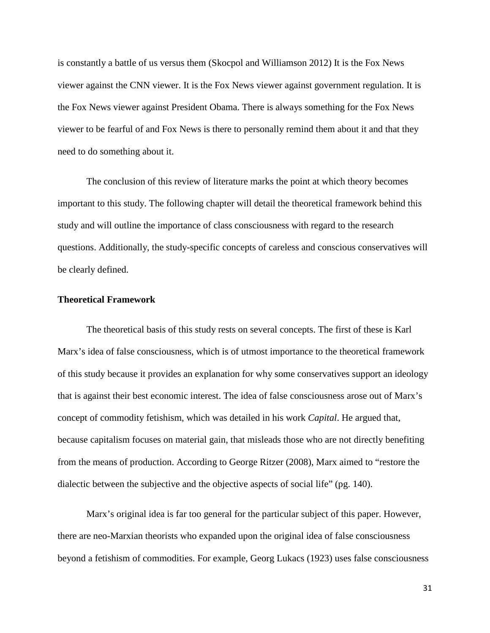is constantly a battle of us versus them (Skocpol and Williamson 2012) It is the Fox News viewer against the CNN viewer. It is the Fox News viewer against government regulation. It is the Fox News viewer against President Obama. There is always something for the Fox News viewer to be fearful of and Fox News is there to personally remind them about it and that they need to do something about it.

The conclusion of this review of literature marks the point at which theory becomes important to this study. The following chapter will detail the theoretical framework behind this study and will outline the importance of class consciousness with regard to the research questions. Additionally, the study-specific concepts of careless and conscious conservatives will be clearly defined.

## **Theoretical Framework**

The theoretical basis of this study rests on several concepts. The first of these is Karl Marx's idea of false consciousness, which is of utmost importance to the theoretical framework of this study because it provides an explanation for why some conservatives support an ideology that is against their best economic interest. The idea of false consciousness arose out of Marx's concept of commodity fetishism, which was detailed in his work *Capital*. He argued that, because capitalism focuses on material gain, that misleads those who are not directly benefiting from the means of production. According to George Ritzer (2008), Marx aimed to "restore the dialectic between the subjective and the objective aspects of social life" (pg. 140).

Marx's original idea is far too general for the particular subject of this paper. However, there are neo-Marxian theorists who expanded upon the original idea of false consciousness beyond a fetishism of commodities. For example, Georg Lukacs (1923) uses false consciousness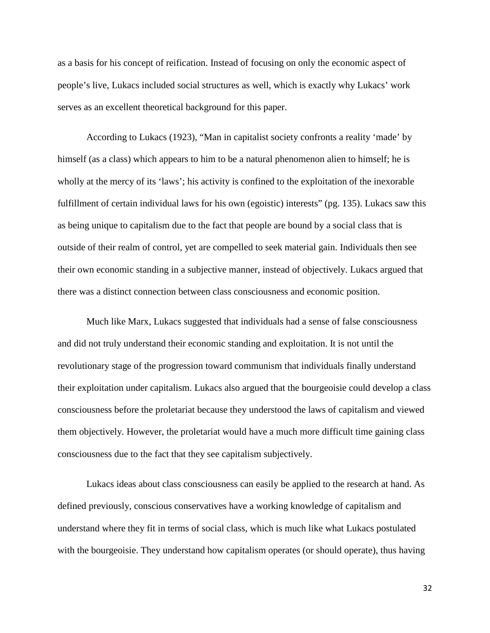as a basis for his concept of reification. Instead of focusing on only the economic aspect of people's live, Lukacs included social structures as well, which is exactly why Lukacs' work serves as an excellent theoretical background for this paper.

According to Lukacs (1923), "Man in capitalist society confronts a reality 'made' by himself (as a class) which appears to him to be a natural phenomenon alien to himself; he is wholly at the mercy of its 'laws'; his activity is confined to the exploitation of the inexorable fulfillment of certain individual laws for his own (egoistic) interests" (pg. 135). Lukacs saw this as being unique to capitalism due to the fact that people are bound by a social class that is outside of their realm of control, yet are compelled to seek material gain. Individuals then see their own economic standing in a subjective manner, instead of objectively. Lukacs argued that there was a distinct connection between class consciousness and economic position.

Much like Marx, Lukacs suggested that individuals had a sense of false consciousness and did not truly understand their economic standing and exploitation. It is not until the revolutionary stage of the progression toward communism that individuals finally understand their exploitation under capitalism. Lukacs also argued that the bourgeoisie could develop a class consciousness before the proletariat because they understood the laws of capitalism and viewed them objectively. However, the proletariat would have a much more difficult time gaining class consciousness due to the fact that they see capitalism subjectively.

Lukacs ideas about class consciousness can easily be applied to the research at hand. As defined previously, conscious conservatives have a working knowledge of capitalism and understand where they fit in terms of social class, which is much like what Lukacs postulated with the bourgeoisie. They understand how capitalism operates (or should operate), thus having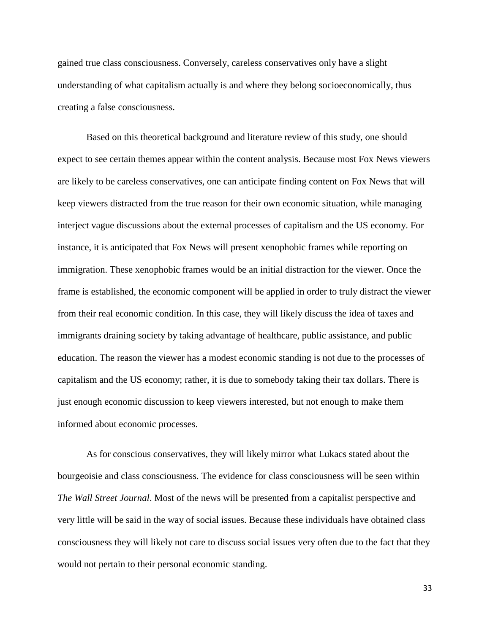gained true class consciousness. Conversely, careless conservatives only have a slight understanding of what capitalism actually is and where they belong socioeconomically, thus creating a false consciousness.

Based on this theoretical background and literature review of this study, one should expect to see certain themes appear within the content analysis. Because most Fox News viewers are likely to be careless conservatives, one can anticipate finding content on Fox News that will keep viewers distracted from the true reason for their own economic situation, while managing interject vague discussions about the external processes of capitalism and the US economy. For instance, it is anticipated that Fox News will present xenophobic frames while reporting on immigration. These xenophobic frames would be an initial distraction for the viewer. Once the frame is established, the economic component will be applied in order to truly distract the viewer from their real economic condition. In this case, they will likely discuss the idea of taxes and immigrants draining society by taking advantage of healthcare, public assistance, and public education. The reason the viewer has a modest economic standing is not due to the processes of capitalism and the US economy; rather, it is due to somebody taking their tax dollars. There is just enough economic discussion to keep viewers interested, but not enough to make them informed about economic processes.

As for conscious conservatives, they will likely mirror what Lukacs stated about the bourgeoisie and class consciousness. The evidence for class consciousness will be seen within *The Wall Street Journal*. Most of the news will be presented from a capitalist perspective and very little will be said in the way of social issues. Because these individuals have obtained class consciousness they will likely not care to discuss social issues very often due to the fact that they would not pertain to their personal economic standing.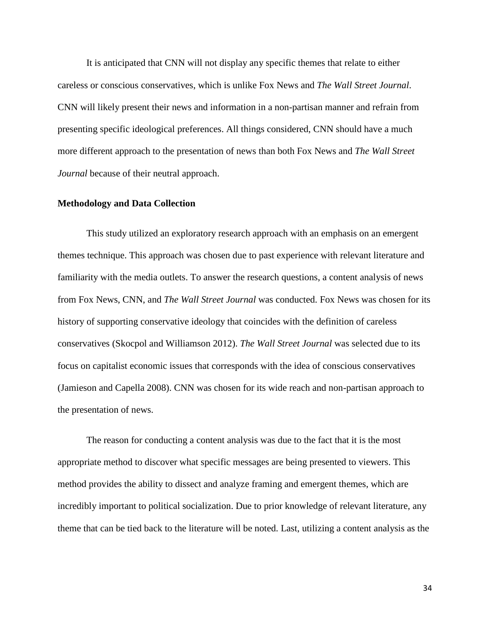It is anticipated that CNN will not display any specific themes that relate to either careless or conscious conservatives, which is unlike Fox News and *The Wall Street Journal*. CNN will likely present their news and information in a non-partisan manner and refrain from presenting specific ideological preferences. All things considered, CNN should have a much more different approach to the presentation of news than both Fox News and *The Wall Street Journal* because of their neutral approach.

## **Methodology and Data Collection**

This study utilized an exploratory research approach with an emphasis on an emergent themes technique. This approach was chosen due to past experience with relevant literature and familiarity with the media outlets. To answer the research questions, a content analysis of news from Fox News, CNN, and *The Wall Street Journal* was conducted. Fox News was chosen for its history of supporting conservative ideology that coincides with the definition of careless conservatives (Skocpol and Williamson 2012). *The Wall Street Journal* was selected due to its focus on capitalist economic issues that corresponds with the idea of conscious conservatives (Jamieson and Capella 2008). CNN was chosen for its wide reach and non-partisan approach to the presentation of news.

The reason for conducting a content analysis was due to the fact that it is the most appropriate method to discover what specific messages are being presented to viewers. This method provides the ability to dissect and analyze framing and emergent themes, which are incredibly important to political socialization. Due to prior knowledge of relevant literature, any theme that can be tied back to the literature will be noted. Last, utilizing a content analysis as the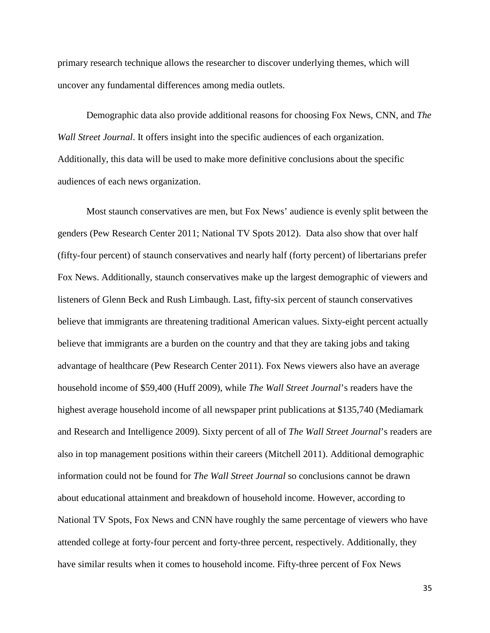primary research technique allows the researcher to discover underlying themes, which will uncover any fundamental differences among media outlets.

Demographic data also provide additional reasons for choosing Fox News, CNN, and *The Wall Street Journal*. It offers insight into the specific audiences of each organization. Additionally, this data will be used to make more definitive conclusions about the specific audiences of each news organization.

Most staunch conservatives are men, but Fox News' audience is evenly split between the genders (Pew Research Center 2011; National TV Spots 2012). Data also show that over half (fifty-four percent) of staunch conservatives and nearly half (forty percent) of libertarians prefer Fox News. Additionally, staunch conservatives make up the largest demographic of viewers and listeners of Glenn Beck and Rush Limbaugh. Last, fifty-six percent of staunch conservatives believe that immigrants are threatening traditional American values. Sixty-eight percent actually believe that immigrants are a burden on the country and that they are taking jobs and taking advantage of healthcare (Pew Research Center 2011). Fox News viewers also have an average household income of \$59,400 (Huff 2009), while *The Wall Street Journal*'s readers have the highest average household income of all newspaper print publications at \$135,740 (Mediamark and Research and Intelligence 2009). Sixty percent of all of *The Wall Street Journal*'s readers are also in top management positions within their careers (Mitchell 2011). Additional demographic information could not be found for *The Wall Street Journal* so conclusions cannot be drawn about educational attainment and breakdown of household income. However, according to National TV Spots, Fox News and CNN have roughly the same percentage of viewers who have attended college at forty-four percent and forty-three percent, respectively. Additionally, they have similar results when it comes to household income. Fifty-three percent of Fox News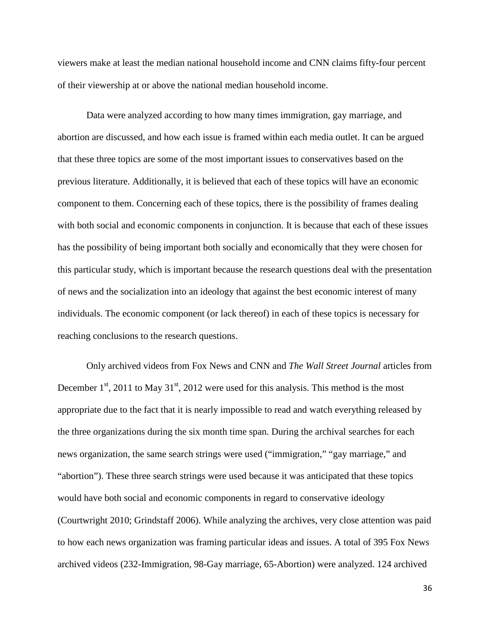viewers make at least the median national household income and CNN claims fifty-four percent of their viewership at or above the national median household income.

Data were analyzed according to how many times immigration, gay marriage, and abortion are discussed, and how each issue is framed within each media outlet. It can be argued that these three topics are some of the most important issues to conservatives based on the previous literature. Additionally, it is believed that each of these topics will have an economic component to them. Concerning each of these topics, there is the possibility of frames dealing with both social and economic components in conjunction. It is because that each of these issues has the possibility of being important both socially and economically that they were chosen for this particular study, which is important because the research questions deal with the presentation of news and the socialization into an ideology that against the best economic interest of many individuals. The economic component (or lack thereof) in each of these topics is necessary for reaching conclusions to the research questions.

Only archived videos from Fox News and CNN and *The Wall Street Journal* articles from December  $1<sup>st</sup>$ , 2011 to May 31<sup>st</sup>, 2012 were used for this analysis. This method is the most appropriate due to the fact that it is nearly impossible to read and watch everything released by the three organizations during the six month time span. During the archival searches for each news organization, the same search strings were used ("immigration," "gay marriage," and "abortion"). These three search strings were used because it was anticipated that these topics would have both social and economic components in regard to conservative ideology (Courtwright 2010; Grindstaff 2006). While analyzing the archives, very close attention was paid to how each news organization was framing particular ideas and issues. A total of 395 Fox News archived videos (232-Immigration, 98-Gay marriage, 65-Abortion) were analyzed. 124 archived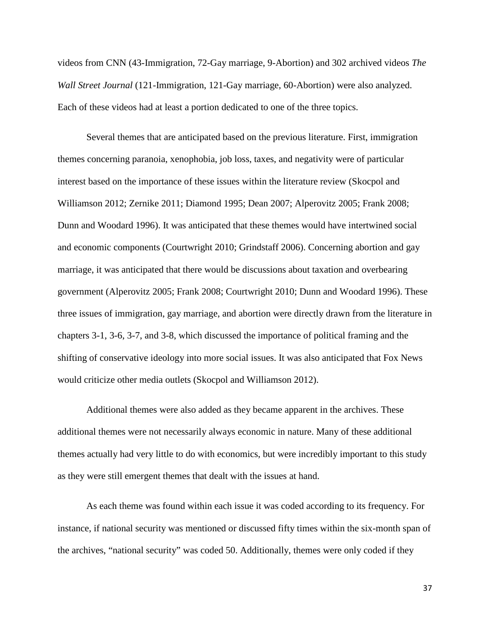videos from CNN (43-Immigration, 72-Gay marriage, 9-Abortion) and 302 archived videos *The Wall Street Journal* (121-Immigration, 121-Gay marriage, 60-Abortion) were also analyzed. Each of these videos had at least a portion dedicated to one of the three topics.

Several themes that are anticipated based on the previous literature. First, immigration themes concerning paranoia, xenophobia, job loss, taxes, and negativity were of particular interest based on the importance of these issues within the literature review (Skocpol and Williamson 2012; Zernike 2011; Diamond 1995; Dean 2007; Alperovitz 2005; Frank 2008; Dunn and Woodard 1996). It was anticipated that these themes would have intertwined social and economic components (Courtwright 2010; Grindstaff 2006). Concerning abortion and gay marriage, it was anticipated that there would be discussions about taxation and overbearing government (Alperovitz 2005; Frank 2008; Courtwright 2010; Dunn and Woodard 1996). These three issues of immigration, gay marriage, and abortion were directly drawn from the literature in chapters 3-1, 3-6, 3-7, and 3-8, which discussed the importance of political framing and the shifting of conservative ideology into more social issues. It was also anticipated that Fox News would criticize other media outlets (Skocpol and Williamson 2012).

Additional themes were also added as they became apparent in the archives. These additional themes were not necessarily always economic in nature. Many of these additional themes actually had very little to do with economics, but were incredibly important to this study as they were still emergent themes that dealt with the issues at hand.

As each theme was found within each issue it was coded according to its frequency. For instance, if national security was mentioned or discussed fifty times within the six-month span of the archives, "national security" was coded 50. Additionally, themes were only coded if they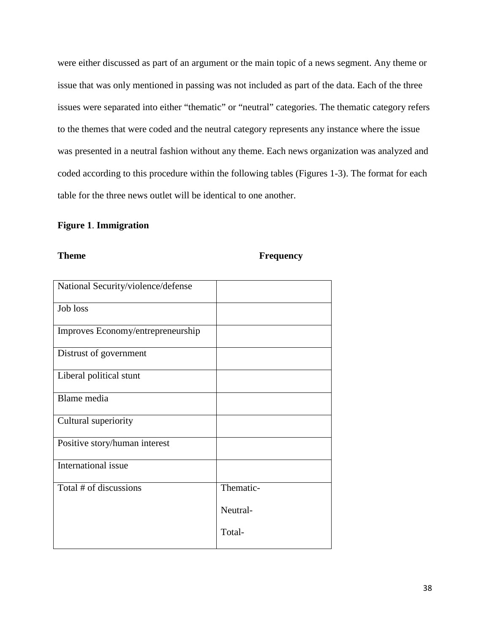were either discussed as part of an argument or the main topic of a news segment. Any theme or issue that was only mentioned in passing was not included as part of the data. Each of the three issues were separated into either "thematic" or "neutral" categories. The thematic category refers to the themes that were coded and the neutral category represents any instance where the issue was presented in a neutral fashion without any theme. Each news organization was analyzed and coded according to this procedure within the following tables (Figures 1-3). The format for each table for the three news outlet will be identical to one another.

# **Figure 1**. **Immigration**

# **Theme Frequency**

| National Security/violence/defense |           |
|------------------------------------|-----------|
| Job loss                           |           |
| Improves Economy/entrepreneurship  |           |
| Distrust of government             |           |
| Liberal political stunt            |           |
| Blame media                        |           |
| Cultural superiority               |           |
| Positive story/human interest      |           |
| International issue                |           |
| Total # of discussions             | Thematic- |
|                                    | Neutral-  |
|                                    | Total-    |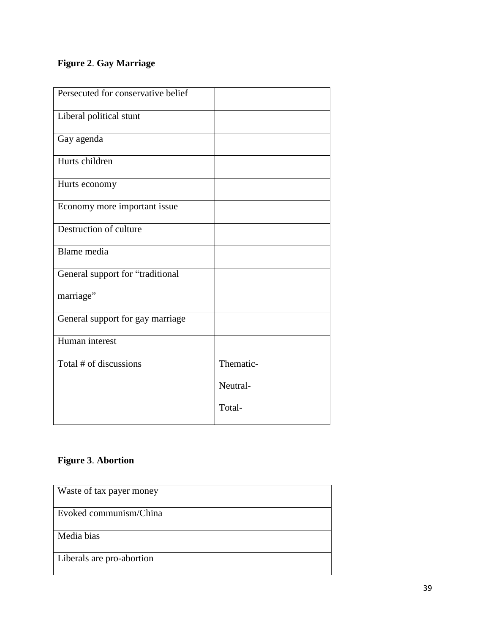# **Figure 2**. **Gay Marriage**

| Persecuted for conservative belief |           |
|------------------------------------|-----------|
| Liberal political stunt            |           |
| Gay agenda                         |           |
| Hurts children                     |           |
| Hurts economy                      |           |
| Economy more important issue       |           |
| Destruction of culture             |           |
| Blame media                        |           |
| General support for "traditional   |           |
| marriage"                          |           |
| General support for gay marriage   |           |
| Human interest                     |           |
| Total # of discussions             | Thematic- |
|                                    | Neutral-  |
|                                    | Total-    |
|                                    |           |

# **Figure 3**. **Abortion**

| Waste of tax payer money  |  |
|---------------------------|--|
| Evoked communism/China    |  |
| Media bias                |  |
| Liberals are pro-abortion |  |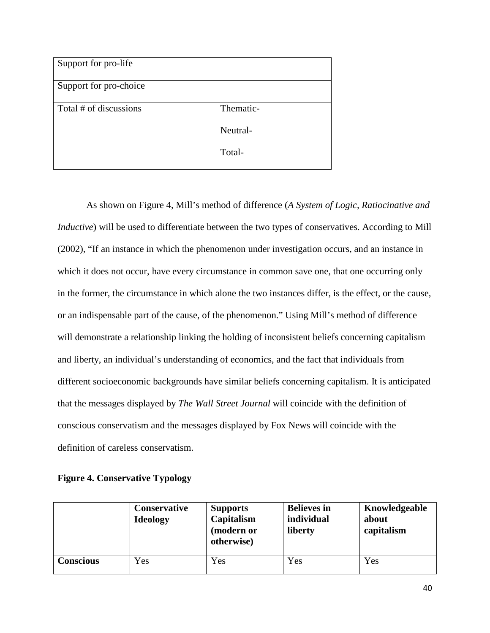| Support for pro-life   |           |
|------------------------|-----------|
| Support for pro-choice |           |
| Total # of discussions | Thematic- |
|                        | Neutral-  |
|                        | Total-    |

As shown on Figure 4, Mill's method of difference (*A System of Logic, Ratiocinative and Inductive*) will be used to differentiate between the two types of conservatives. According to Mill (2002), "If an instance in which the phenomenon under investigation occurs, and an instance in which it does not occur, have every circumstance in common save one, that one occurring only in the former, the circumstance in which alone the two instances differ, is the effect, or the cause, or an indispensable part of the cause, of the phenomenon." Using Mill's method of difference will demonstrate a relationship linking the holding of inconsistent beliefs concerning capitalism and liberty, an individual's understanding of economics, and the fact that individuals from different socioeconomic backgrounds have similar beliefs concerning capitalism. It is anticipated that the messages displayed by *The Wall Street Journal* will coincide with the definition of conscious conservatism and the messages displayed by Fox News will coincide with the definition of careless conservatism.

|  | <b>Figure 4. Conservative Typology</b> |  |
|--|----------------------------------------|--|
|--|----------------------------------------|--|

|                  | <b>Conservative</b><br><b>Ideology</b> | <b>Supports</b><br>Capitalism<br>(modern or<br>otherwise) | <b>Believes</b> in<br>individual<br>liberty | Knowledgeable<br>about<br>capitalism |
|------------------|----------------------------------------|-----------------------------------------------------------|---------------------------------------------|--------------------------------------|
| <b>Conscious</b> | Yes                                    | Yes                                                       | Yes                                         | Yes                                  |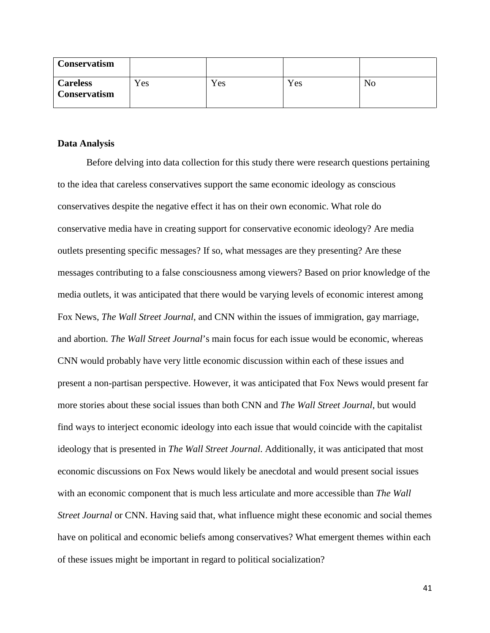| <b>Conservatism</b>                    |     |     |     |    |
|----------------------------------------|-----|-----|-----|----|
| <b>Careless</b><br><b>Conservatism</b> | Yes | Yes | Yes | No |

#### **Data Analysis**

Before delving into data collection for this study there were research questions pertaining to the idea that careless conservatives support the same economic ideology as conscious conservatives despite the negative effect it has on their own economic. What role do conservative media have in creating support for conservative economic ideology? Are media outlets presenting specific messages? If so, what messages are they presenting? Are these messages contributing to a false consciousness among viewers? Based on prior knowledge of the media outlets, it was anticipated that there would be varying levels of economic interest among Fox News, *The Wall Street Journal*, and CNN within the issues of immigration, gay marriage, and abortion. *The Wall Street Journal*'s main focus for each issue would be economic, whereas CNN would probably have very little economic discussion within each of these issues and present a non-partisan perspective. However, it was anticipated that Fox News would present far more stories about these social issues than both CNN and *The Wall Street Journal*, but would find ways to interject economic ideology into each issue that would coincide with the capitalist ideology that is presented in *The Wall Street Journal*. Additionally, it was anticipated that most economic discussions on Fox News would likely be anecdotal and would present social issues with an economic component that is much less articulate and more accessible than *The Wall Street Journal* or CNN. Having said that, what influence might these economic and social themes have on political and economic beliefs among conservatives? What emergent themes within each of these issues might be important in regard to political socialization?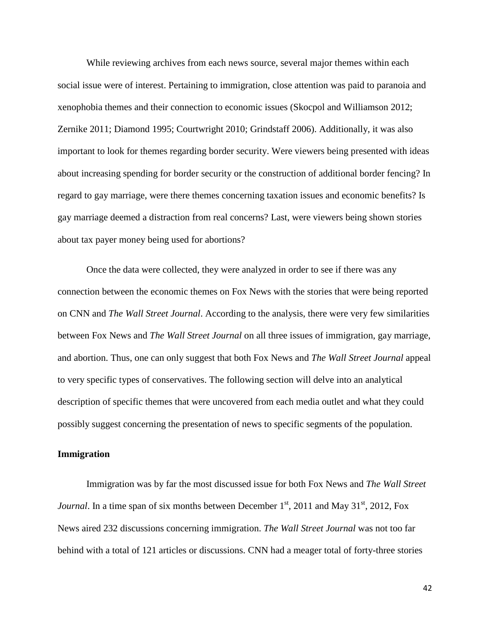While reviewing archives from each news source, several major themes within each social issue were of interest. Pertaining to immigration, close attention was paid to paranoia and xenophobia themes and their connection to economic issues (Skocpol and Williamson 2012; Zernike 2011; Diamond 1995; Courtwright 2010; Grindstaff 2006). Additionally, it was also important to look for themes regarding border security. Were viewers being presented with ideas about increasing spending for border security or the construction of additional border fencing? In regard to gay marriage, were there themes concerning taxation issues and economic benefits? Is gay marriage deemed a distraction from real concerns? Last, were viewers being shown stories about tax payer money being used for abortions?

Once the data were collected, they were analyzed in order to see if there was any connection between the economic themes on Fox News with the stories that were being reported on CNN and *The Wall Street Journal*. According to the analysis, there were very few similarities between Fox News and *The Wall Street Journal* on all three issues of immigration, gay marriage, and abortion. Thus, one can only suggest that both Fox News and *The Wall Street Journal* appeal to very specific types of conservatives. The following section will delve into an analytical description of specific themes that were uncovered from each media outlet and what they could possibly suggest concerning the presentation of news to specific segments of the population.

### **Immigration**

Immigration was by far the most discussed issue for both Fox News and *The Wall Street Journal*. In a time span of six months between December  $1<sup>st</sup>$ , 2011 and May 31<sup>st</sup>, 2012, Fox News aired 232 discussions concerning immigration. *The Wall Street Journal* was not too far behind with a total of 121 articles or discussions. CNN had a meager total of forty-three stories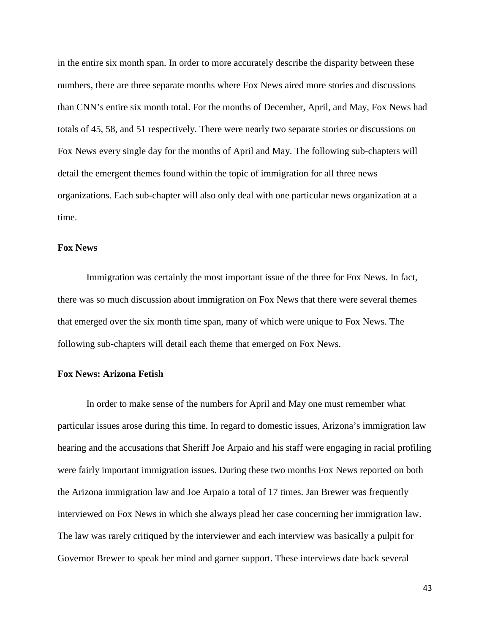in the entire six month span. In order to more accurately describe the disparity between these numbers, there are three separate months where Fox News aired more stories and discussions than CNN's entire six month total. For the months of December, April, and May, Fox News had totals of 45, 58, and 51 respectively. There were nearly two separate stories or discussions on Fox News every single day for the months of April and May. The following sub-chapters will detail the emergent themes found within the topic of immigration for all three news organizations. Each sub-chapter will also only deal with one particular news organization at a time.

### **Fox News**

Immigration was certainly the most important issue of the three for Fox News. In fact, there was so much discussion about immigration on Fox News that there were several themes that emerged over the six month time span, many of which were unique to Fox News. The following sub-chapters will detail each theme that emerged on Fox News.

# **Fox News: Arizona Fetish**

In order to make sense of the numbers for April and May one must remember what particular issues arose during this time. In regard to domestic issues, Arizona's immigration law hearing and the accusations that Sheriff Joe Arpaio and his staff were engaging in racial profiling were fairly important immigration issues. During these two months Fox News reported on both the Arizona immigration law and Joe Arpaio a total of 17 times. Jan Brewer was frequently interviewed on Fox News in which she always plead her case concerning her immigration law. The law was rarely critiqued by the interviewer and each interview was basically a pulpit for Governor Brewer to speak her mind and garner support. These interviews date back several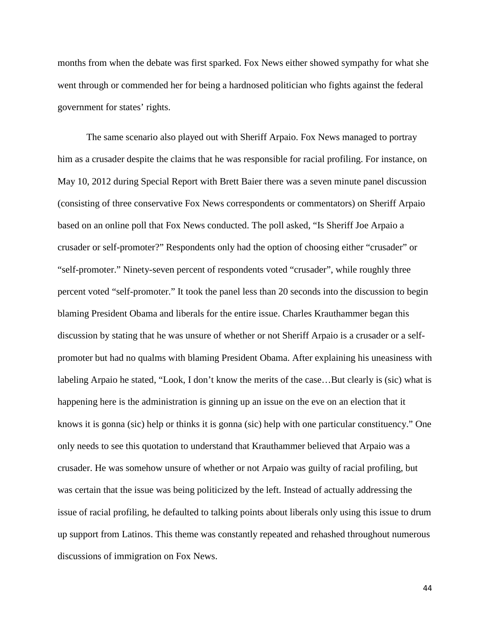months from when the debate was first sparked. Fox News either showed sympathy for what she went through or commended her for being a hardnosed politician who fights against the federal government for states' rights.

The same scenario also played out with Sheriff Arpaio. Fox News managed to portray him as a crusader despite the claims that he was responsible for racial profiling. For instance, on May 10, 2012 during Special Report with Brett Baier there was a seven minute panel discussion (consisting of three conservative Fox News correspondents or commentators) on Sheriff Arpaio based on an online poll that Fox News conducted. The poll asked, "Is Sheriff Joe Arpaio a crusader or self-promoter?" Respondents only had the option of choosing either "crusader" or "self-promoter." Ninety-seven percent of respondents voted "crusader", while roughly three percent voted "self-promoter." It took the panel less than 20 seconds into the discussion to begin blaming President Obama and liberals for the entire issue. Charles Krauthammer began this discussion by stating that he was unsure of whether or not Sheriff Arpaio is a crusader or a selfpromoter but had no qualms with blaming President Obama. After explaining his uneasiness with labeling Arpaio he stated, "Look, I don't know the merits of the case…But clearly is (sic) what is happening here is the administration is ginning up an issue on the eve on an election that it knows it is gonna (sic) help or thinks it is gonna (sic) help with one particular constituency." One only needs to see this quotation to understand that Krauthammer believed that Arpaio was a crusader. He was somehow unsure of whether or not Arpaio was guilty of racial profiling, but was certain that the issue was being politicized by the left. Instead of actually addressing the issue of racial profiling, he defaulted to talking points about liberals only using this issue to drum up support from Latinos. This theme was constantly repeated and rehashed throughout numerous discussions of immigration on Fox News.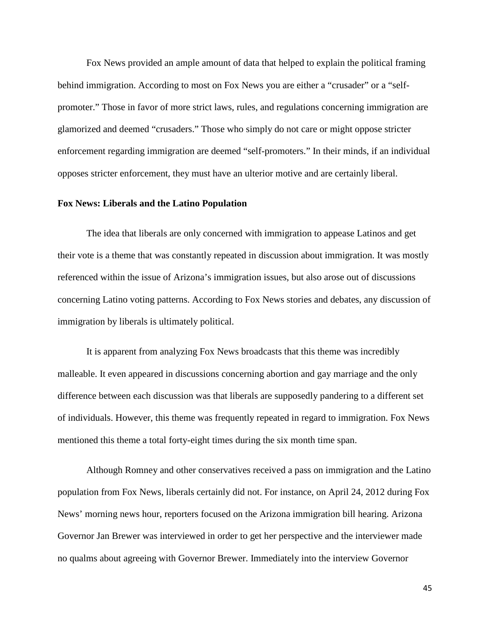Fox News provided an ample amount of data that helped to explain the political framing behind immigration. According to most on Fox News you are either a "crusader" or a "selfpromoter." Those in favor of more strict laws, rules, and regulations concerning immigration are glamorized and deemed "crusaders." Those who simply do not care or might oppose stricter enforcement regarding immigration are deemed "self-promoters." In their minds, if an individual opposes stricter enforcement, they must have an ulterior motive and are certainly liberal.

#### **Fox News: Liberals and the Latino Population**

The idea that liberals are only concerned with immigration to appease Latinos and get their vote is a theme that was constantly repeated in discussion about immigration. It was mostly referenced within the issue of Arizona's immigration issues, but also arose out of discussions concerning Latino voting patterns. According to Fox News stories and debates, any discussion of immigration by liberals is ultimately political.

It is apparent from analyzing Fox News broadcasts that this theme was incredibly malleable. It even appeared in discussions concerning abortion and gay marriage and the only difference between each discussion was that liberals are supposedly pandering to a different set of individuals. However, this theme was frequently repeated in regard to immigration. Fox News mentioned this theme a total forty-eight times during the six month time span.

Although Romney and other conservatives received a pass on immigration and the Latino population from Fox News, liberals certainly did not. For instance, on April 24, 2012 during Fox News' morning news hour, reporters focused on the Arizona immigration bill hearing. Arizona Governor Jan Brewer was interviewed in order to get her perspective and the interviewer made no qualms about agreeing with Governor Brewer. Immediately into the interview Governor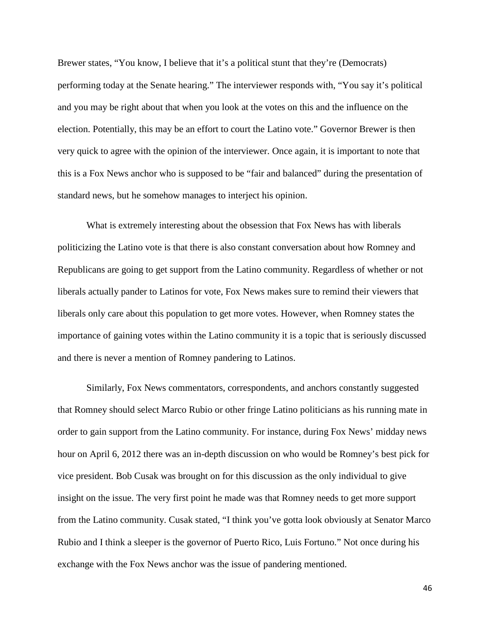Brewer states, "You know, I believe that it's a political stunt that they're (Democrats) performing today at the Senate hearing." The interviewer responds with, "You say it's political and you may be right about that when you look at the votes on this and the influence on the election. Potentially, this may be an effort to court the Latino vote." Governor Brewer is then very quick to agree with the opinion of the interviewer. Once again, it is important to note that this is a Fox News anchor who is supposed to be "fair and balanced" during the presentation of standard news, but he somehow manages to interject his opinion.

What is extremely interesting about the obsession that Fox News has with liberals politicizing the Latino vote is that there is also constant conversation about how Romney and Republicans are going to get support from the Latino community. Regardless of whether or not liberals actually pander to Latinos for vote, Fox News makes sure to remind their viewers that liberals only care about this population to get more votes. However, when Romney states the importance of gaining votes within the Latino community it is a topic that is seriously discussed and there is never a mention of Romney pandering to Latinos.

Similarly, Fox News commentators, correspondents, and anchors constantly suggested that Romney should select Marco Rubio or other fringe Latino politicians as his running mate in order to gain support from the Latino community. For instance, during Fox News' midday news hour on April 6, 2012 there was an in-depth discussion on who would be Romney's best pick for vice president. Bob Cusak was brought on for this discussion as the only individual to give insight on the issue. The very first point he made was that Romney needs to get more support from the Latino community. Cusak stated, "I think you've gotta look obviously at Senator Marco Rubio and I think a sleeper is the governor of Puerto Rico, Luis Fortuno." Not once during his exchange with the Fox News anchor was the issue of pandering mentioned.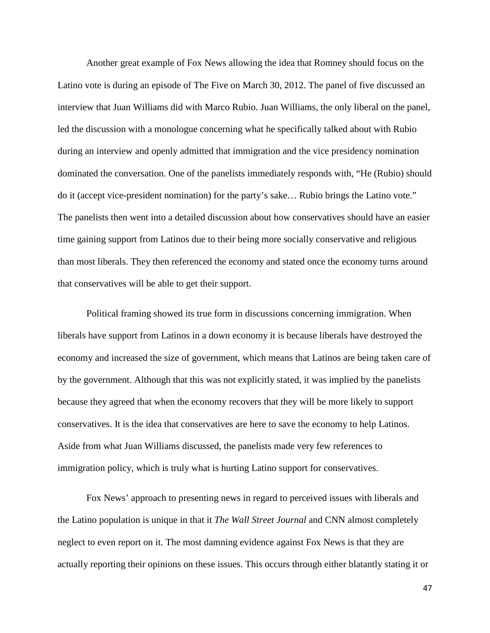Another great example of Fox News allowing the idea that Romney should focus on the Latino vote is during an episode of The Five on March 30, 2012. The panel of five discussed an interview that Juan Williams did with Marco Rubio. Juan Williams, the only liberal on the panel, led the discussion with a monologue concerning what he specifically talked about with Rubio during an interview and openly admitted that immigration and the vice presidency nomination dominated the conversation. One of the panelists immediately responds with, "He (Rubio) should do it (accept vice-president nomination) for the party's sake… Rubio brings the Latino vote." The panelists then went into a detailed discussion about how conservatives should have an easier time gaining support from Latinos due to their being more socially conservative and religious than most liberals. They then referenced the economy and stated once the economy turns around that conservatives will be able to get their support.

Political framing showed its true form in discussions concerning immigration. When liberals have support from Latinos in a down economy it is because liberals have destroyed the economy and increased the size of government, which means that Latinos are being taken care of by the government. Although that this was not explicitly stated, it was implied by the panelists because they agreed that when the economy recovers that they will be more likely to support conservatives. It is the idea that conservatives are here to save the economy to help Latinos. Aside from what Juan Williams discussed, the panelists made very few references to immigration policy, which is truly what is hurting Latino support for conservatives.

Fox News' approach to presenting news in regard to perceived issues with liberals and the Latino population is unique in that it *The Wall Street Journal* and CNN almost completely neglect to even report on it. The most damning evidence against Fox News is that they are actually reporting their opinions on these issues. This occurs through either blatantly stating it or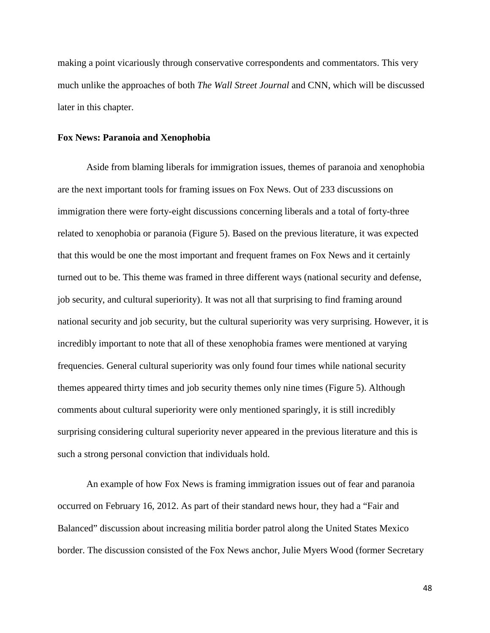making a point vicariously through conservative correspondents and commentators. This very much unlike the approaches of both *The Wall Street Journal* and CNN, which will be discussed later in this chapter.

#### **Fox News: Paranoia and Xenophobia**

Aside from blaming liberals for immigration issues, themes of paranoia and xenophobia are the next important tools for framing issues on Fox News. Out of 233 discussions on immigration there were forty-eight discussions concerning liberals and a total of forty-three related to xenophobia or paranoia (Figure 5). Based on the previous literature, it was expected that this would be one the most important and frequent frames on Fox News and it certainly turned out to be. This theme was framed in three different ways (national security and defense, job security, and cultural superiority). It was not all that surprising to find framing around national security and job security, but the cultural superiority was very surprising. However, it is incredibly important to note that all of these xenophobia frames were mentioned at varying frequencies. General cultural superiority was only found four times while national security themes appeared thirty times and job security themes only nine times (Figure 5). Although comments about cultural superiority were only mentioned sparingly, it is still incredibly surprising considering cultural superiority never appeared in the previous literature and this is such a strong personal conviction that individuals hold.

An example of how Fox News is framing immigration issues out of fear and paranoia occurred on February 16, 2012. As part of their standard news hour, they had a "Fair and Balanced" discussion about increasing militia border patrol along the United States Mexico border. The discussion consisted of the Fox News anchor, Julie Myers Wood (former Secretary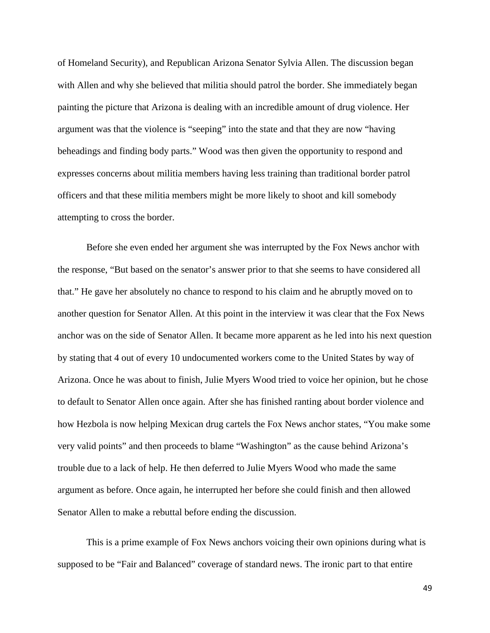of Homeland Security), and Republican Arizona Senator Sylvia Allen. The discussion began with Allen and why she believed that militia should patrol the border. She immediately began painting the picture that Arizona is dealing with an incredible amount of drug violence. Her argument was that the violence is "seeping" into the state and that they are now "having beheadings and finding body parts." Wood was then given the opportunity to respond and expresses concerns about militia members having less training than traditional border patrol officers and that these militia members might be more likely to shoot and kill somebody attempting to cross the border.

Before she even ended her argument she was interrupted by the Fox News anchor with the response, "But based on the senator's answer prior to that she seems to have considered all that." He gave her absolutely no chance to respond to his claim and he abruptly moved on to another question for Senator Allen. At this point in the interview it was clear that the Fox News anchor was on the side of Senator Allen. It became more apparent as he led into his next question by stating that 4 out of every 10 undocumented workers come to the United States by way of Arizona. Once he was about to finish, Julie Myers Wood tried to voice her opinion, but he chose to default to Senator Allen once again. After she has finished ranting about border violence and how Hezbola is now helping Mexican drug cartels the Fox News anchor states, "You make some very valid points" and then proceeds to blame "Washington" as the cause behind Arizona's trouble due to a lack of help. He then deferred to Julie Myers Wood who made the same argument as before. Once again, he interrupted her before she could finish and then allowed Senator Allen to make a rebuttal before ending the discussion.

This is a prime example of Fox News anchors voicing their own opinions during what is supposed to be "Fair and Balanced" coverage of standard news. The ironic part to that entire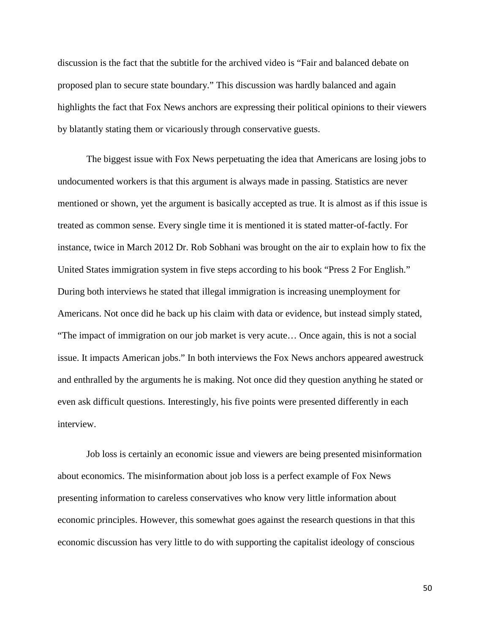discussion is the fact that the subtitle for the archived video is "Fair and balanced debate on proposed plan to secure state boundary." This discussion was hardly balanced and again highlights the fact that Fox News anchors are expressing their political opinions to their viewers by blatantly stating them or vicariously through conservative guests.

The biggest issue with Fox News perpetuating the idea that Americans are losing jobs to undocumented workers is that this argument is always made in passing. Statistics are never mentioned or shown, yet the argument is basically accepted as true. It is almost as if this issue is treated as common sense. Every single time it is mentioned it is stated matter-of-factly. For instance, twice in March 2012 Dr. Rob Sobhani was brought on the air to explain how to fix the United States immigration system in five steps according to his book "Press 2 For English." During both interviews he stated that illegal immigration is increasing unemployment for Americans. Not once did he back up his claim with data or evidence, but instead simply stated, "The impact of immigration on our job market is very acute… Once again, this is not a social issue. It impacts American jobs." In both interviews the Fox News anchors appeared awestruck and enthralled by the arguments he is making. Not once did they question anything he stated or even ask difficult questions. Interestingly, his five points were presented differently in each interview.

Job loss is certainly an economic issue and viewers are being presented misinformation about economics. The misinformation about job loss is a perfect example of Fox News presenting information to careless conservatives who know very little information about economic principles. However, this somewhat goes against the research questions in that this economic discussion has very little to do with supporting the capitalist ideology of conscious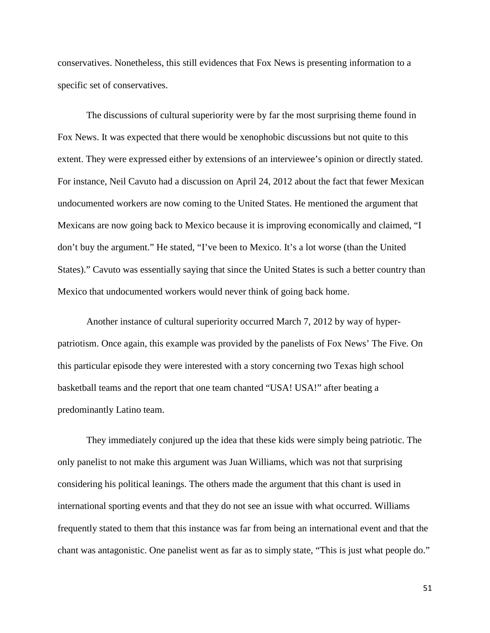conservatives. Nonetheless, this still evidences that Fox News is presenting information to a specific set of conservatives.

The discussions of cultural superiority were by far the most surprising theme found in Fox News. It was expected that there would be xenophobic discussions but not quite to this extent. They were expressed either by extensions of an interviewee's opinion or directly stated. For instance, Neil Cavuto had a discussion on April 24, 2012 about the fact that fewer Mexican undocumented workers are now coming to the United States. He mentioned the argument that Mexicans are now going back to Mexico because it is improving economically and claimed, "I don't buy the argument." He stated, "I've been to Mexico. It's a lot worse (than the United States)." Cavuto was essentially saying that since the United States is such a better country than Mexico that undocumented workers would never think of going back home.

Another instance of cultural superiority occurred March 7, 2012 by way of hyperpatriotism. Once again, this example was provided by the panelists of Fox News' The Five. On this particular episode they were interested with a story concerning two Texas high school basketball teams and the report that one team chanted "USA! USA!" after beating a predominantly Latino team.

They immediately conjured up the idea that these kids were simply being patriotic. The only panelist to not make this argument was Juan Williams, which was not that surprising considering his political leanings. The others made the argument that this chant is used in international sporting events and that they do not see an issue with what occurred. Williams frequently stated to them that this instance was far from being an international event and that the chant was antagonistic. One panelist went as far as to simply state, "This is just what people do."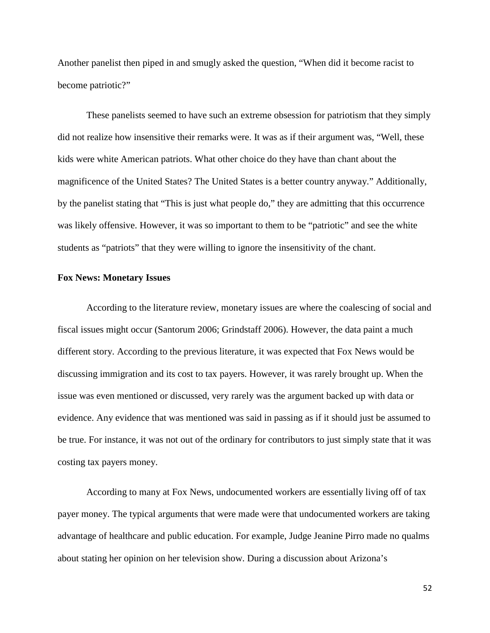Another panelist then piped in and smugly asked the question, "When did it become racist to become patriotic?"

These panelists seemed to have such an extreme obsession for patriotism that they simply did not realize how insensitive their remarks were. It was as if their argument was, "Well, these kids were white American patriots. What other choice do they have than chant about the magnificence of the United States? The United States is a better country anyway." Additionally, by the panelist stating that "This is just what people do," they are admitting that this occurrence was likely offensive. However, it was so important to them to be "patriotic" and see the white students as "patriots" that they were willing to ignore the insensitivity of the chant.

#### **Fox News: Monetary Issues**

According to the literature review, monetary issues are where the coalescing of social and fiscal issues might occur (Santorum 2006; Grindstaff 2006). However, the data paint a much different story. According to the previous literature, it was expected that Fox News would be discussing immigration and its cost to tax payers. However, it was rarely brought up. When the issue was even mentioned or discussed, very rarely was the argument backed up with data or evidence. Any evidence that was mentioned was said in passing as if it should just be assumed to be true. For instance, it was not out of the ordinary for contributors to just simply state that it was costing tax payers money.

According to many at Fox News, undocumented workers are essentially living off of tax payer money. The typical arguments that were made were that undocumented workers are taking advantage of healthcare and public education. For example, Judge Jeanine Pirro made no qualms about stating her opinion on her television show. During a discussion about Arizona's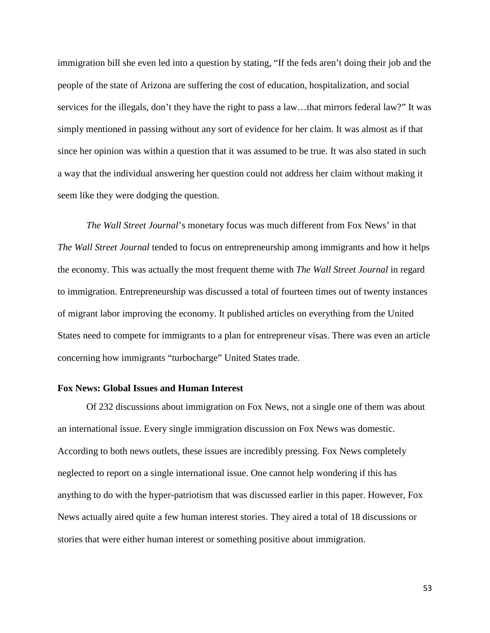immigration bill she even led into a question by stating, "If the feds aren't doing their job and the people of the state of Arizona are suffering the cost of education, hospitalization, and social services for the illegals, don't they have the right to pass a law…that mirrors federal law?" It was simply mentioned in passing without any sort of evidence for her claim. It was almost as if that since her opinion was within a question that it was assumed to be true. It was also stated in such a way that the individual answering her question could not address her claim without making it seem like they were dodging the question.

*The Wall Street Journal*'s monetary focus was much different from Fox News' in that *The Wall Street Journal* tended to focus on entrepreneurship among immigrants and how it helps the economy. This was actually the most frequent theme with *The Wall Street Journal* in regard to immigration. Entrepreneurship was discussed a total of fourteen times out of twenty instances of migrant labor improving the economy. It published articles on everything from the United States need to compete for immigrants to a plan for entrepreneur visas. There was even an article concerning how immigrants "turbocharge" United States trade.

#### **Fox News: Global Issues and Human Interest**

Of 232 discussions about immigration on Fox News, not a single one of them was about an international issue. Every single immigration discussion on Fox News was domestic. According to both news outlets, these issues are incredibly pressing. Fox News completely neglected to report on a single international issue. One cannot help wondering if this has anything to do with the hyper-patriotism that was discussed earlier in this paper. However, Fox News actually aired quite a few human interest stories. They aired a total of 18 discussions or stories that were either human interest or something positive about immigration.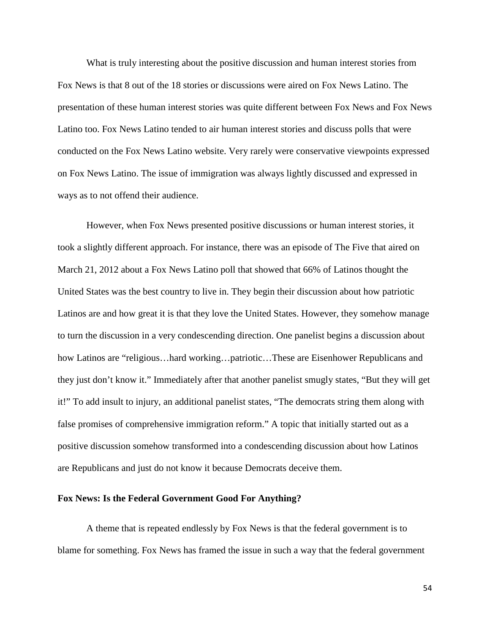What is truly interesting about the positive discussion and human interest stories from Fox News is that 8 out of the 18 stories or discussions were aired on Fox News Latino. The presentation of these human interest stories was quite different between Fox News and Fox News Latino too. Fox News Latino tended to air human interest stories and discuss polls that were conducted on the Fox News Latino website. Very rarely were conservative viewpoints expressed on Fox News Latino. The issue of immigration was always lightly discussed and expressed in ways as to not offend their audience.

However, when Fox News presented positive discussions or human interest stories, it took a slightly different approach. For instance, there was an episode of The Five that aired on March 21, 2012 about a Fox News Latino poll that showed that 66% of Latinos thought the United States was the best country to live in. They begin their discussion about how patriotic Latinos are and how great it is that they love the United States. However, they somehow manage to turn the discussion in a very condescending direction. One panelist begins a discussion about how Latinos are "religious…hard working…patriotic…These are Eisenhower Republicans and they just don't know it." Immediately after that another panelist smugly states, "But they will get it!" To add insult to injury, an additional panelist states, "The democrats string them along with false promises of comprehensive immigration reform." A topic that initially started out as a positive discussion somehow transformed into a condescending discussion about how Latinos are Republicans and just do not know it because Democrats deceive them.

## **Fox News: Is the Federal Government Good For Anything?**

A theme that is repeated endlessly by Fox News is that the federal government is to blame for something. Fox News has framed the issue in such a way that the federal government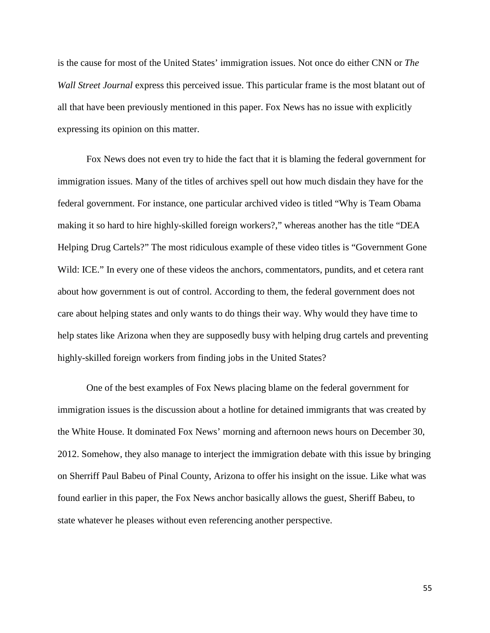is the cause for most of the United States' immigration issues. Not once do either CNN or *The Wall Street Journal* express this perceived issue. This particular frame is the most blatant out of all that have been previously mentioned in this paper. Fox News has no issue with explicitly expressing its opinion on this matter.

Fox News does not even try to hide the fact that it is blaming the federal government for immigration issues. Many of the titles of archives spell out how much disdain they have for the federal government. For instance, one particular archived video is titled "Why is Team Obama making it so hard to hire highly-skilled foreign workers?," whereas another has the title "DEA Helping Drug Cartels?" The most ridiculous example of these video titles is "Government Gone Wild: ICE." In every one of these videos the anchors, commentators, pundits, and et cetera rant about how government is out of control. According to them, the federal government does not care about helping states and only wants to do things their way. Why would they have time to help states like Arizona when they are supposedly busy with helping drug cartels and preventing highly-skilled foreign workers from finding jobs in the United States?

One of the best examples of Fox News placing blame on the federal government for immigration issues is the discussion about a hotline for detained immigrants that was created by the White House. It dominated Fox News' morning and afternoon news hours on December 30, 2012. Somehow, they also manage to interject the immigration debate with this issue by bringing on Sherriff Paul Babeu of Pinal County, Arizona to offer his insight on the issue. Like what was found earlier in this paper, the Fox News anchor basically allows the guest, Sheriff Babeu, to state whatever he pleases without even referencing another perspective.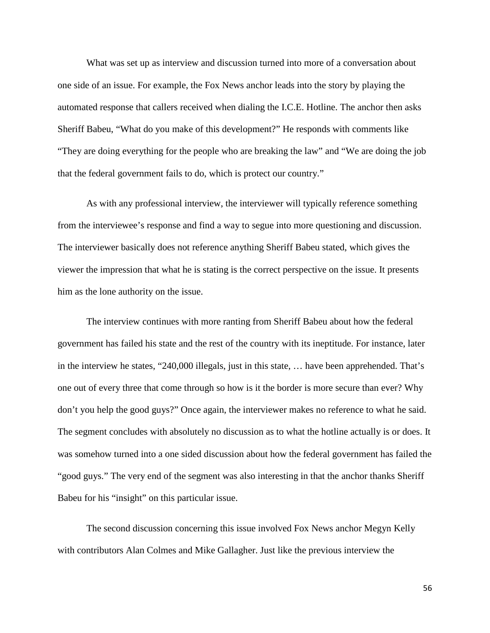What was set up as interview and discussion turned into more of a conversation about one side of an issue. For example, the Fox News anchor leads into the story by playing the automated response that callers received when dialing the I.C.E. Hotline. The anchor then asks Sheriff Babeu, "What do you make of this development?" He responds with comments like "They are doing everything for the people who are breaking the law" and "We are doing the job that the federal government fails to do, which is protect our country."

As with any professional interview, the interviewer will typically reference something from the interviewee's response and find a way to segue into more questioning and discussion. The interviewer basically does not reference anything Sheriff Babeu stated, which gives the viewer the impression that what he is stating is the correct perspective on the issue. It presents him as the lone authority on the issue.

The interview continues with more ranting from Sheriff Babeu about how the federal government has failed his state and the rest of the country with its ineptitude. For instance, later in the interview he states, "240,000 illegals, just in this state, … have been apprehended. That's one out of every three that come through so how is it the border is more secure than ever? Why don't you help the good guys?" Once again, the interviewer makes no reference to what he said. The segment concludes with absolutely no discussion as to what the hotline actually is or does. It was somehow turned into a one sided discussion about how the federal government has failed the "good guys." The very end of the segment was also interesting in that the anchor thanks Sheriff Babeu for his "insight" on this particular issue.

The second discussion concerning this issue involved Fox News anchor Megyn Kelly with contributors Alan Colmes and Mike Gallagher. Just like the previous interview the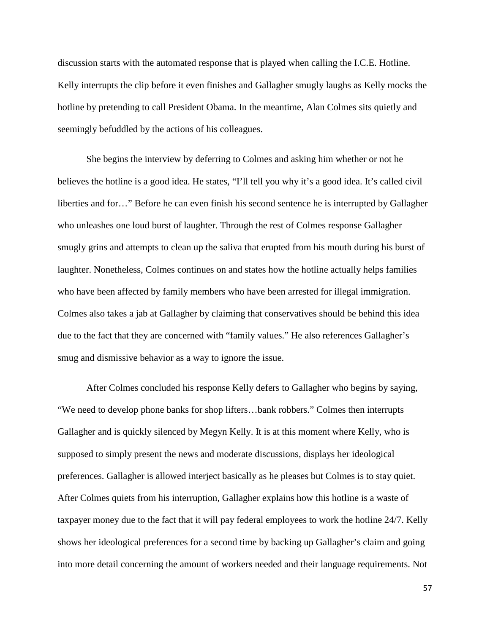discussion starts with the automated response that is played when calling the I.C.E. Hotline. Kelly interrupts the clip before it even finishes and Gallagher smugly laughs as Kelly mocks the hotline by pretending to call President Obama. In the meantime, Alan Colmes sits quietly and seemingly befuddled by the actions of his colleagues.

She begins the interview by deferring to Colmes and asking him whether or not he believes the hotline is a good idea. He states, "I'll tell you why it's a good idea. It's called civil liberties and for…" Before he can even finish his second sentence he is interrupted by Gallagher who unleashes one loud burst of laughter. Through the rest of Colmes response Gallagher smugly grins and attempts to clean up the saliva that erupted from his mouth during his burst of laughter. Nonetheless, Colmes continues on and states how the hotline actually helps families who have been affected by family members who have been arrested for illegal immigration. Colmes also takes a jab at Gallagher by claiming that conservatives should be behind this idea due to the fact that they are concerned with "family values." He also references Gallagher's smug and dismissive behavior as a way to ignore the issue.

After Colmes concluded his response Kelly defers to Gallagher who begins by saying, "We need to develop phone banks for shop lifters…bank robbers." Colmes then interrupts Gallagher and is quickly silenced by Megyn Kelly. It is at this moment where Kelly, who is supposed to simply present the news and moderate discussions, displays her ideological preferences. Gallagher is allowed interject basically as he pleases but Colmes is to stay quiet. After Colmes quiets from his interruption, Gallagher explains how this hotline is a waste of taxpayer money due to the fact that it will pay federal employees to work the hotline 24/7. Kelly shows her ideological preferences for a second time by backing up Gallagher's claim and going into more detail concerning the amount of workers needed and their language requirements. Not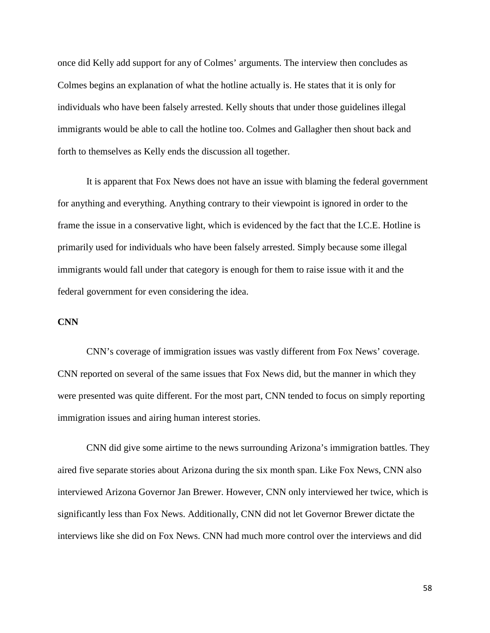once did Kelly add support for any of Colmes' arguments. The interview then concludes as Colmes begins an explanation of what the hotline actually is. He states that it is only for individuals who have been falsely arrested. Kelly shouts that under those guidelines illegal immigrants would be able to call the hotline too. Colmes and Gallagher then shout back and forth to themselves as Kelly ends the discussion all together.

It is apparent that Fox News does not have an issue with blaming the federal government for anything and everything. Anything contrary to their viewpoint is ignored in order to the frame the issue in a conservative light, which is evidenced by the fact that the I.C.E. Hotline is primarily used for individuals who have been falsely arrested. Simply because some illegal immigrants would fall under that category is enough for them to raise issue with it and the federal government for even considering the idea.

# **CNN**

CNN's coverage of immigration issues was vastly different from Fox News' coverage. CNN reported on several of the same issues that Fox News did, but the manner in which they were presented was quite different. For the most part, CNN tended to focus on simply reporting immigration issues and airing human interest stories.

CNN did give some airtime to the news surrounding Arizona's immigration battles. They aired five separate stories about Arizona during the six month span. Like Fox News, CNN also interviewed Arizona Governor Jan Brewer. However, CNN only interviewed her twice, which is significantly less than Fox News. Additionally, CNN did not let Governor Brewer dictate the interviews like she did on Fox News. CNN had much more control over the interviews and did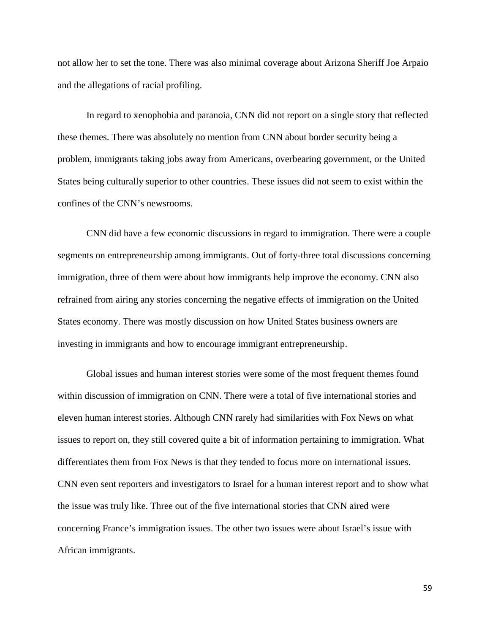not allow her to set the tone. There was also minimal coverage about Arizona Sheriff Joe Arpaio and the allegations of racial profiling.

In regard to xenophobia and paranoia, CNN did not report on a single story that reflected these themes. There was absolutely no mention from CNN about border security being a problem, immigrants taking jobs away from Americans, overbearing government, or the United States being culturally superior to other countries. These issues did not seem to exist within the confines of the CNN's newsrooms.

CNN did have a few economic discussions in regard to immigration. There were a couple segments on entrepreneurship among immigrants. Out of forty-three total discussions concerning immigration, three of them were about how immigrants help improve the economy. CNN also refrained from airing any stories concerning the negative effects of immigration on the United States economy. There was mostly discussion on how United States business owners are investing in immigrants and how to encourage immigrant entrepreneurship.

Global issues and human interest stories were some of the most frequent themes found within discussion of immigration on CNN. There were a total of five international stories and eleven human interest stories. Although CNN rarely had similarities with Fox News on what issues to report on, they still covered quite a bit of information pertaining to immigration. What differentiates them from Fox News is that they tended to focus more on international issues. CNN even sent reporters and investigators to Israel for a human interest report and to show what the issue was truly like. Three out of the five international stories that CNN aired were concerning France's immigration issues. The other two issues were about Israel's issue with African immigrants.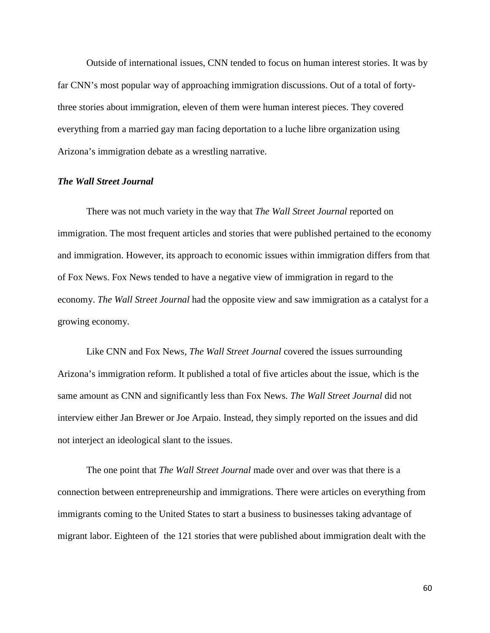Outside of international issues, CNN tended to focus on human interest stories. It was by far CNN's most popular way of approaching immigration discussions. Out of a total of fortythree stories about immigration, eleven of them were human interest pieces. They covered everything from a married gay man facing deportation to a luche libre organization using Arizona's immigration debate as a wrestling narrative.

#### *The Wall Street Journal*

There was not much variety in the way that *The Wall Street Journal* reported on immigration. The most frequent articles and stories that were published pertained to the economy and immigration. However, its approach to economic issues within immigration differs from that of Fox News. Fox News tended to have a negative view of immigration in regard to the economy. *The Wall Street Journal* had the opposite view and saw immigration as a catalyst for a growing economy.

Like CNN and Fox News, *The Wall Street Journal* covered the issues surrounding Arizona's immigration reform. It published a total of five articles about the issue, which is the same amount as CNN and significantly less than Fox News. *The Wall Street Journal* did not interview either Jan Brewer or Joe Arpaio. Instead, they simply reported on the issues and did not interject an ideological slant to the issues.

The one point that *The Wall Street Journal* made over and over was that there is a connection between entrepreneurship and immigrations. There were articles on everything from immigrants coming to the United States to start a business to businesses taking advantage of migrant labor. Eighteen of the 121 stories that were published about immigration dealt with the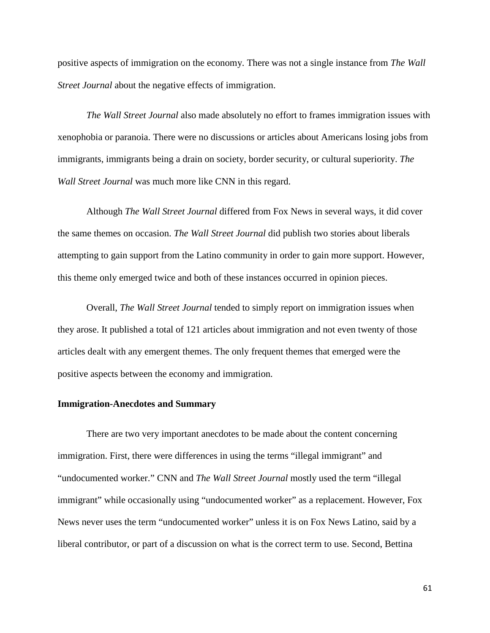positive aspects of immigration on the economy. There was not a single instance from *The Wall Street Journal* about the negative effects of immigration.

*The Wall Street Journal* also made absolutely no effort to frames immigration issues with xenophobia or paranoia. There were no discussions or articles about Americans losing jobs from immigrants, immigrants being a drain on society, border security, or cultural superiority. *The Wall Street Journal* was much more like CNN in this regard.

Although *The Wall Street Journal* differed from Fox News in several ways, it did cover the same themes on occasion. *The Wall Street Journal* did publish two stories about liberals attempting to gain support from the Latino community in order to gain more support. However, this theme only emerged twice and both of these instances occurred in opinion pieces.

Overall, *The Wall Street Journal* tended to simply report on immigration issues when they arose. It published a total of 121 articles about immigration and not even twenty of those articles dealt with any emergent themes. The only frequent themes that emerged were the positive aspects between the economy and immigration.

### **Immigration-Anecdotes and Summary**

There are two very important anecdotes to be made about the content concerning immigration. First, there were differences in using the terms "illegal immigrant" and "undocumented worker." CNN and *The Wall Street Journal* mostly used the term "illegal immigrant" while occasionally using "undocumented worker" as a replacement. However, Fox News never uses the term "undocumented worker" unless it is on Fox News Latino, said by a liberal contributor, or part of a discussion on what is the correct term to use. Second, Bettina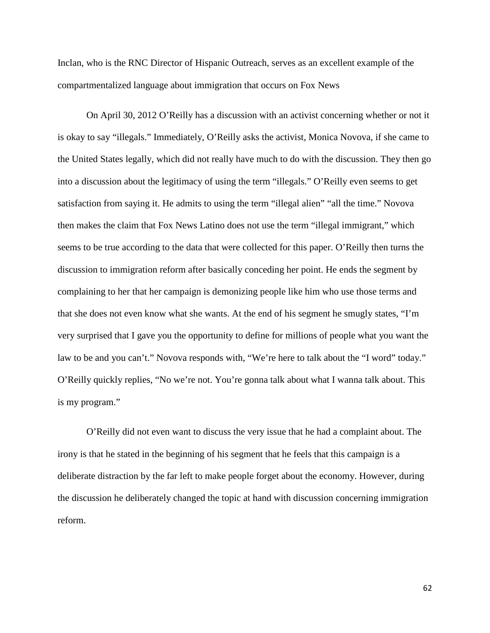Inclan, who is the RNC Director of Hispanic Outreach, serves as an excellent example of the compartmentalized language about immigration that occurs on Fox News

On April 30, 2012 O'Reilly has a discussion with an activist concerning whether or not it is okay to say "illegals." Immediately, O'Reilly asks the activist, Monica Novova, if she came to the United States legally, which did not really have much to do with the discussion. They then go into a discussion about the legitimacy of using the term "illegals." O'Reilly even seems to get satisfaction from saying it. He admits to using the term "illegal alien" "all the time." Novova then makes the claim that Fox News Latino does not use the term "illegal immigrant," which seems to be true according to the data that were collected for this paper. O'Reilly then turns the discussion to immigration reform after basically conceding her point. He ends the segment by complaining to her that her campaign is demonizing people like him who use those terms and that she does not even know what she wants. At the end of his segment he smugly states, "I'm very surprised that I gave you the opportunity to define for millions of people what you want the law to be and you can't." Novova responds with, "We're here to talk about the "I word" today." O'Reilly quickly replies, "No we're not. You're gonna talk about what I wanna talk about. This is my program."

O'Reilly did not even want to discuss the very issue that he had a complaint about. The irony is that he stated in the beginning of his segment that he feels that this campaign is a deliberate distraction by the far left to make people forget about the economy. However, during the discussion he deliberately changed the topic at hand with discussion concerning immigration reform.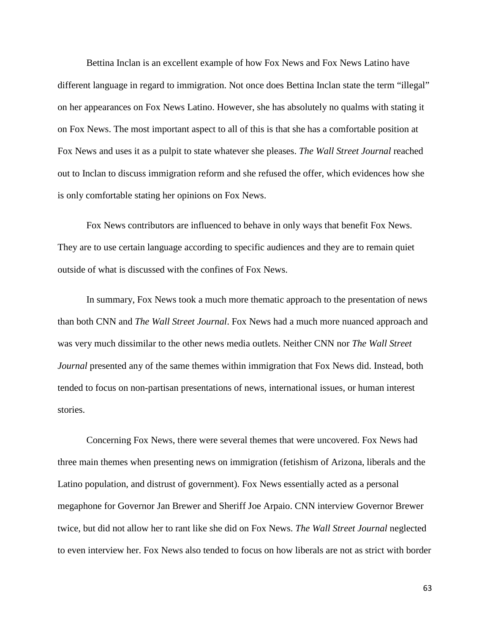Bettina Inclan is an excellent example of how Fox News and Fox News Latino have different language in regard to immigration. Not once does Bettina Inclan state the term "illegal" on her appearances on Fox News Latino. However, she has absolutely no qualms with stating it on Fox News. The most important aspect to all of this is that she has a comfortable position at Fox News and uses it as a pulpit to state whatever she pleases. *The Wall Street Journal* reached out to Inclan to discuss immigration reform and she refused the offer, which evidences how she is only comfortable stating her opinions on Fox News.

Fox News contributors are influenced to behave in only ways that benefit Fox News. They are to use certain language according to specific audiences and they are to remain quiet outside of what is discussed with the confines of Fox News.

In summary, Fox News took a much more thematic approach to the presentation of news than both CNN and *The Wall Street Journal*. Fox News had a much more nuanced approach and was very much dissimilar to the other news media outlets. Neither CNN nor *The Wall Street Journal* presented any of the same themes within immigration that Fox News did. Instead, both tended to focus on non-partisan presentations of news, international issues, or human interest stories.

Concerning Fox News, there were several themes that were uncovered. Fox News had three main themes when presenting news on immigration (fetishism of Arizona, liberals and the Latino population, and distrust of government). Fox News essentially acted as a personal megaphone for Governor Jan Brewer and Sheriff Joe Arpaio. CNN interview Governor Brewer twice, but did not allow her to rant like she did on Fox News. *The Wall Street Journal* neglected to even interview her. Fox News also tended to focus on how liberals are not as strict with border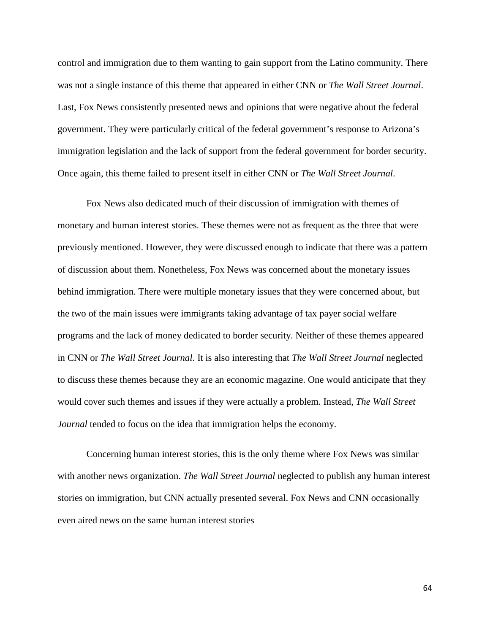control and immigration due to them wanting to gain support from the Latino community. There was not a single instance of this theme that appeared in either CNN or *The Wall Street Journal*. Last, Fox News consistently presented news and opinions that were negative about the federal government. They were particularly critical of the federal government's response to Arizona's immigration legislation and the lack of support from the federal government for border security. Once again, this theme failed to present itself in either CNN or *The Wall Street Journal*.

Fox News also dedicated much of their discussion of immigration with themes of monetary and human interest stories. These themes were not as frequent as the three that were previously mentioned. However, they were discussed enough to indicate that there was a pattern of discussion about them. Nonetheless, Fox News was concerned about the monetary issues behind immigration. There were multiple monetary issues that they were concerned about, but the two of the main issues were immigrants taking advantage of tax payer social welfare programs and the lack of money dedicated to border security. Neither of these themes appeared in CNN or *The Wall Street Journal*. It is also interesting that *The Wall Street Journal* neglected to discuss these themes because they are an economic magazine. One would anticipate that they would cover such themes and issues if they were actually a problem. Instead, *The Wall Street Journal* tended to focus on the idea that immigration helps the economy.

Concerning human interest stories, this is the only theme where Fox News was similar with another news organization. *The Wall Street Journal* neglected to publish any human interest stories on immigration, but CNN actually presented several. Fox News and CNN occasionally even aired news on the same human interest stories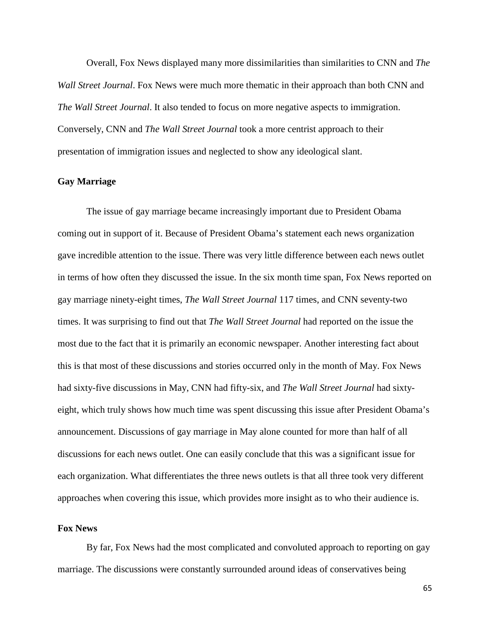Overall, Fox News displayed many more dissimilarities than similarities to CNN and *The Wall Street Journal*. Fox News were much more thematic in their approach than both CNN and *The Wall Street Journal*. It also tended to focus on more negative aspects to immigration. Conversely, CNN and *The Wall Street Journal* took a more centrist approach to their presentation of immigration issues and neglected to show any ideological slant.

# **Gay Marriage**

The issue of gay marriage became increasingly important due to President Obama coming out in support of it. Because of President Obama's statement each news organization gave incredible attention to the issue. There was very little difference between each news outlet in terms of how often they discussed the issue. In the six month time span, Fox News reported on gay marriage ninety-eight times, *The Wall Street Journal* 117 times, and CNN seventy-two times. It was surprising to find out that *The Wall Street Journal* had reported on the issue the most due to the fact that it is primarily an economic newspaper. Another interesting fact about this is that most of these discussions and stories occurred only in the month of May. Fox News had sixty-five discussions in May, CNN had fifty-six, and *The Wall Street Journal* had sixtyeight, which truly shows how much time was spent discussing this issue after President Obama's announcement. Discussions of gay marriage in May alone counted for more than half of all discussions for each news outlet. One can easily conclude that this was a significant issue for each organization. What differentiates the three news outlets is that all three took very different approaches when covering this issue, which provides more insight as to who their audience is.

# **Fox News**

By far, Fox News had the most complicated and convoluted approach to reporting on gay marriage. The discussions were constantly surrounded around ideas of conservatives being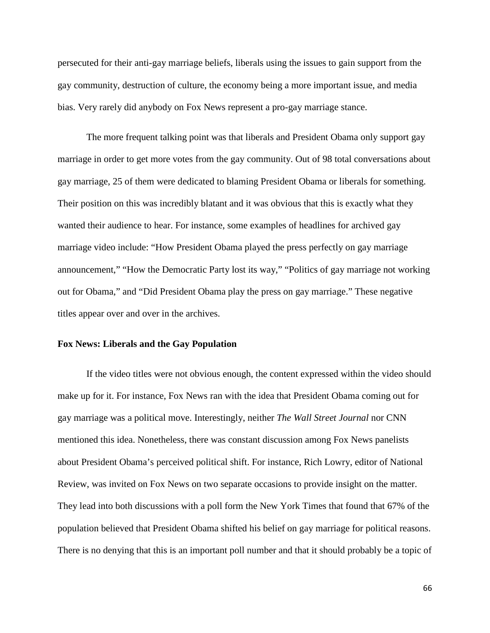persecuted for their anti-gay marriage beliefs, liberals using the issues to gain support from the gay community, destruction of culture, the economy being a more important issue, and media bias. Very rarely did anybody on Fox News represent a pro-gay marriage stance.

The more frequent talking point was that liberals and President Obama only support gay marriage in order to get more votes from the gay community. Out of 98 total conversations about gay marriage, 25 of them were dedicated to blaming President Obama or liberals for something. Their position on this was incredibly blatant and it was obvious that this is exactly what they wanted their audience to hear. For instance, some examples of headlines for archived gay marriage video include: "How President Obama played the press perfectly on gay marriage announcement," "How the Democratic Party lost its way," "Politics of gay marriage not working out for Obama," and "Did President Obama play the press on gay marriage." These negative titles appear over and over in the archives.

#### **Fox News: Liberals and the Gay Population**

If the video titles were not obvious enough, the content expressed within the video should make up for it. For instance, Fox News ran with the idea that President Obama coming out for gay marriage was a political move. Interestingly, neither *The Wall Street Journal* nor CNN mentioned this idea. Nonetheless, there was constant discussion among Fox News panelists about President Obama's perceived political shift. For instance, Rich Lowry, editor of National Review, was invited on Fox News on two separate occasions to provide insight on the matter. They lead into both discussions with a poll form the New York Times that found that 67% of the population believed that President Obama shifted his belief on gay marriage for political reasons. There is no denying that this is an important poll number and that it should probably be a topic of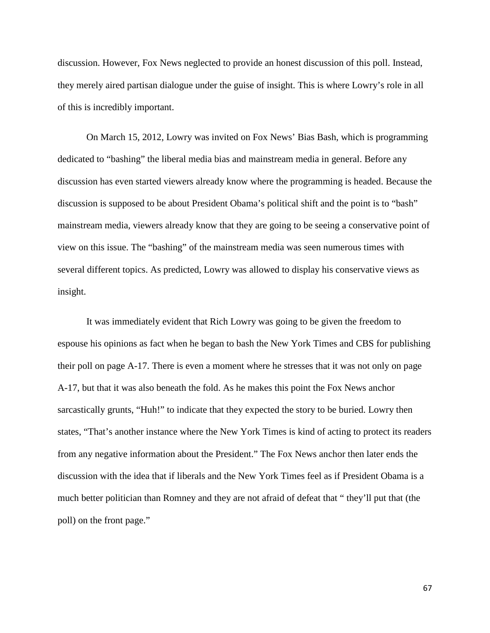discussion. However, Fox News neglected to provide an honest discussion of this poll. Instead, they merely aired partisan dialogue under the guise of insight. This is where Lowry's role in all of this is incredibly important.

On March 15, 2012, Lowry was invited on Fox News' Bias Bash, which is programming dedicated to "bashing" the liberal media bias and mainstream media in general. Before any discussion has even started viewers already know where the programming is headed. Because the discussion is supposed to be about President Obama's political shift and the point is to "bash" mainstream media, viewers already know that they are going to be seeing a conservative point of view on this issue. The "bashing" of the mainstream media was seen numerous times with several different topics. As predicted, Lowry was allowed to display his conservative views as insight.

It was immediately evident that Rich Lowry was going to be given the freedom to espouse his opinions as fact when he began to bash the New York Times and CBS for publishing their poll on page A-17. There is even a moment where he stresses that it was not only on page A-17, but that it was also beneath the fold. As he makes this point the Fox News anchor sarcastically grunts, "Huh!" to indicate that they expected the story to be buried. Lowry then states, "That's another instance where the New York Times is kind of acting to protect its readers from any negative information about the President." The Fox News anchor then later ends the discussion with the idea that if liberals and the New York Times feel as if President Obama is a much better politician than Romney and they are not afraid of defeat that " they'll put that (the poll) on the front page."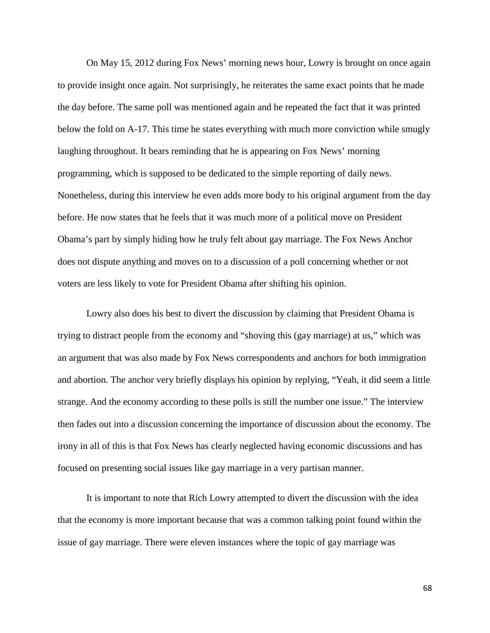On May 15, 2012 during Fox News' morning news hour, Lowry is brought on once again to provide insight once again. Not surprisingly, he reiterates the same exact points that he made the day before. The same poll was mentioned again and he repeated the fact that it was printed below the fold on A-17. This time he states everything with much more conviction while smugly laughing throughout. It bears reminding that he is appearing on Fox News' morning programming, which is supposed to be dedicated to the simple reporting of daily news. Nonetheless, during this interview he even adds more body to his original argument from the day before. He now states that he feels that it was much more of a political move on President Obama's part by simply hiding how he truly felt about gay marriage. The Fox News Anchor does not dispute anything and moves on to a discussion of a poll concerning whether or not voters are less likely to vote for President Obama after shifting his opinion.

Lowry also does his best to divert the discussion by claiming that President Obama is trying to distract people from the economy and "shoving this (gay marriage) at us," which was an argument that was also made by Fox News correspondents and anchors for both immigration and abortion. The anchor very briefly displays his opinion by replying, "Yeah, it did seem a little strange. And the economy according to these polls is still the number one issue." The interview then fades out into a discussion concerning the importance of discussion about the economy. The irony in all of this is that Fox News has clearly neglected having economic discussions and has focused on presenting social issues like gay marriage in a very partisan manner.

It is important to note that Rich Lowry attempted to divert the discussion with the idea that the economy is more important because that was a common talking point found within the issue of gay marriage. There were eleven instances where the topic of gay marriage was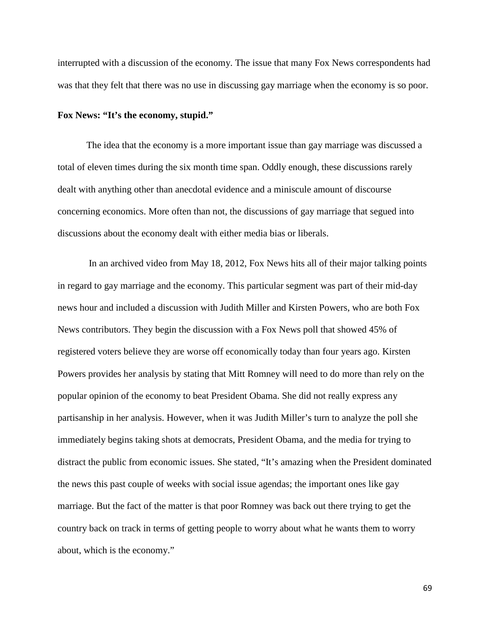interrupted with a discussion of the economy. The issue that many Fox News correspondents had was that they felt that there was no use in discussing gay marriage when the economy is so poor.

## **Fox News: "It's the economy, stupid."**

The idea that the economy is a more important issue than gay marriage was discussed a total of eleven times during the six month time span. Oddly enough, these discussions rarely dealt with anything other than anecdotal evidence and a miniscule amount of discourse concerning economics. More often than not, the discussions of gay marriage that segued into discussions about the economy dealt with either media bias or liberals.

In an archived video from May 18, 2012, Fox News hits all of their major talking points in regard to gay marriage and the economy. This particular segment was part of their mid-day news hour and included a discussion with Judith Miller and Kirsten Powers, who are both Fox News contributors. They begin the discussion with a Fox News poll that showed 45% of registered voters believe they are worse off economically today than four years ago. Kirsten Powers provides her analysis by stating that Mitt Romney will need to do more than rely on the popular opinion of the economy to beat President Obama. She did not really express any partisanship in her analysis. However, when it was Judith Miller's turn to analyze the poll she immediately begins taking shots at democrats, President Obama, and the media for trying to distract the public from economic issues. She stated, "It's amazing when the President dominated the news this past couple of weeks with social issue agendas; the important ones like gay marriage. But the fact of the matter is that poor Romney was back out there trying to get the country back on track in terms of getting people to worry about what he wants them to worry about, which is the economy."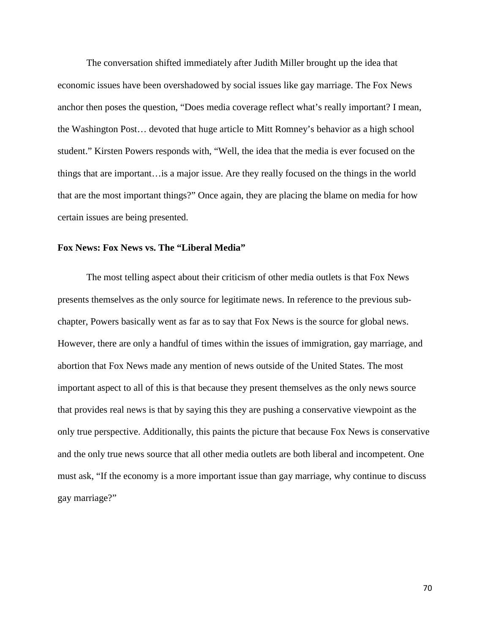The conversation shifted immediately after Judith Miller brought up the idea that economic issues have been overshadowed by social issues like gay marriage. The Fox News anchor then poses the question, "Does media coverage reflect what's really important? I mean, the Washington Post… devoted that huge article to Mitt Romney's behavior as a high school student." Kirsten Powers responds with, "Well, the idea that the media is ever focused on the things that are important…is a major issue. Are they really focused on the things in the world that are the most important things?" Once again, they are placing the blame on media for how certain issues are being presented.

## **Fox News: Fox News vs. The "Liberal Media"**

The most telling aspect about their criticism of other media outlets is that Fox News presents themselves as the only source for legitimate news. In reference to the previous subchapter, Powers basically went as far as to say that Fox News is the source for global news. However, there are only a handful of times within the issues of immigration, gay marriage, and abortion that Fox News made any mention of news outside of the United States. The most important aspect to all of this is that because they present themselves as the only news source that provides real news is that by saying this they are pushing a conservative viewpoint as the only true perspective. Additionally, this paints the picture that because Fox News is conservative and the only true news source that all other media outlets are both liberal and incompetent. One must ask, "If the economy is a more important issue than gay marriage, why continue to discuss gay marriage?"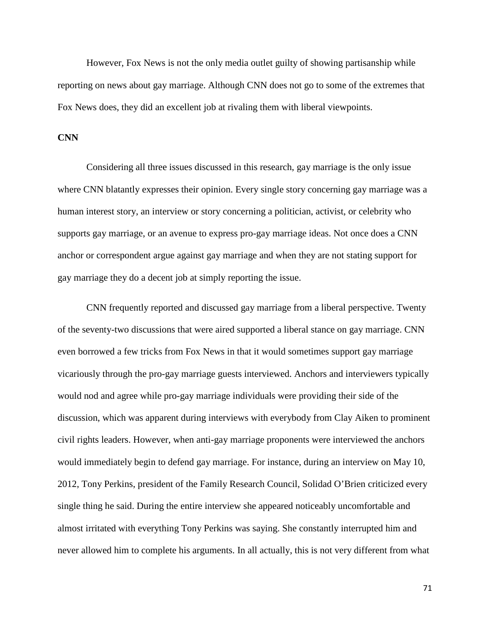However, Fox News is not the only media outlet guilty of showing partisanship while reporting on news about gay marriage. Although CNN does not go to some of the extremes that Fox News does, they did an excellent job at rivaling them with liberal viewpoints.

## **CNN**

Considering all three issues discussed in this research, gay marriage is the only issue where CNN blatantly expresses their opinion. Every single story concerning gay marriage was a human interest story, an interview or story concerning a politician, activist, or celebrity who supports gay marriage, or an avenue to express pro-gay marriage ideas. Not once does a CNN anchor or correspondent argue against gay marriage and when they are not stating support for gay marriage they do a decent job at simply reporting the issue.

CNN frequently reported and discussed gay marriage from a liberal perspective. Twenty of the seventy-two discussions that were aired supported a liberal stance on gay marriage. CNN even borrowed a few tricks from Fox News in that it would sometimes support gay marriage vicariously through the pro-gay marriage guests interviewed. Anchors and interviewers typically would nod and agree while pro-gay marriage individuals were providing their side of the discussion, which was apparent during interviews with everybody from Clay Aiken to prominent civil rights leaders. However, when anti-gay marriage proponents were interviewed the anchors would immediately begin to defend gay marriage. For instance, during an interview on May 10, 2012, Tony Perkins, president of the Family Research Council, Solidad O'Brien criticized every single thing he said. During the entire interview she appeared noticeably uncomfortable and almost irritated with everything Tony Perkins was saying. She constantly interrupted him and never allowed him to complete his arguments. In all actually, this is not very different from what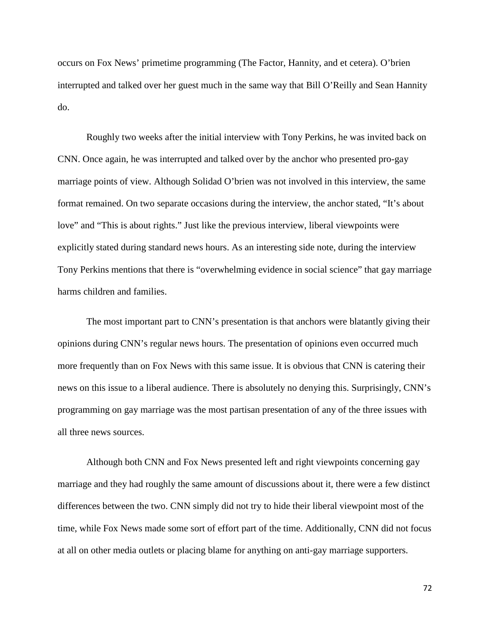occurs on Fox News' primetime programming (The Factor, Hannity, and et cetera). O'brien interrupted and talked over her guest much in the same way that Bill O'Reilly and Sean Hannity do.

Roughly two weeks after the initial interview with Tony Perkins, he was invited back on CNN. Once again, he was interrupted and talked over by the anchor who presented pro-gay marriage points of view. Although Solidad O'brien was not involved in this interview, the same format remained. On two separate occasions during the interview, the anchor stated, "It's about love" and "This is about rights." Just like the previous interview, liberal viewpoints were explicitly stated during standard news hours. As an interesting side note, during the interview Tony Perkins mentions that there is "overwhelming evidence in social science" that gay marriage harms children and families.

The most important part to CNN's presentation is that anchors were blatantly giving their opinions during CNN's regular news hours. The presentation of opinions even occurred much more frequently than on Fox News with this same issue. It is obvious that CNN is catering their news on this issue to a liberal audience. There is absolutely no denying this. Surprisingly, CNN's programming on gay marriage was the most partisan presentation of any of the three issues with all three news sources.

Although both CNN and Fox News presented left and right viewpoints concerning gay marriage and they had roughly the same amount of discussions about it, there were a few distinct differences between the two. CNN simply did not try to hide their liberal viewpoint most of the time, while Fox News made some sort of effort part of the time. Additionally, CNN did not focus at all on other media outlets or placing blame for anything on anti-gay marriage supporters.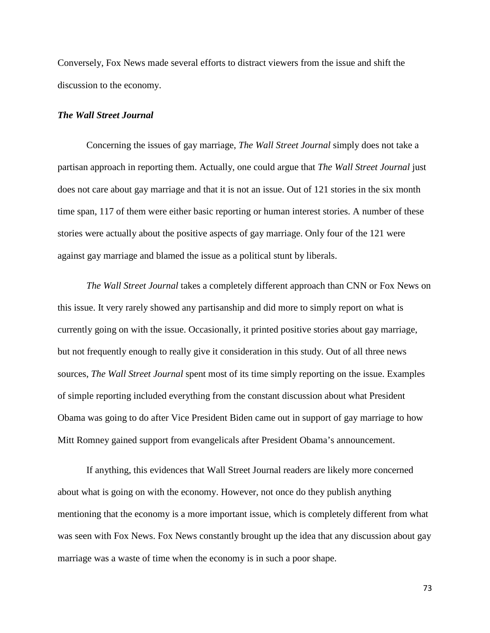Conversely, Fox News made several efforts to distract viewers from the issue and shift the discussion to the economy.

#### *The Wall Street Journal*

Concerning the issues of gay marriage, *The Wall Street Journal* simply does not take a partisan approach in reporting them. Actually, one could argue that *The Wall Street Journal* just does not care about gay marriage and that it is not an issue. Out of 121 stories in the six month time span, 117 of them were either basic reporting or human interest stories. A number of these stories were actually about the positive aspects of gay marriage. Only four of the 121 were against gay marriage and blamed the issue as a political stunt by liberals.

*The Wall Street Journal* takes a completely different approach than CNN or Fox News on this issue. It very rarely showed any partisanship and did more to simply report on what is currently going on with the issue. Occasionally, it printed positive stories about gay marriage, but not frequently enough to really give it consideration in this study. Out of all three news sources, *The Wall Street Journal* spent most of its time simply reporting on the issue. Examples of simple reporting included everything from the constant discussion about what President Obama was going to do after Vice President Biden came out in support of gay marriage to how Mitt Romney gained support from evangelicals after President Obama's announcement.

If anything, this evidences that Wall Street Journal readers are likely more concerned about what is going on with the economy. However, not once do they publish anything mentioning that the economy is a more important issue, which is completely different from what was seen with Fox News. Fox News constantly brought up the idea that any discussion about gay marriage was a waste of time when the economy is in such a poor shape.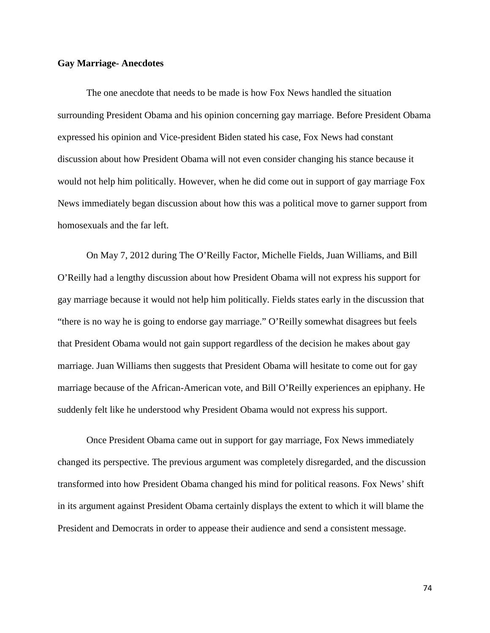### **Gay Marriage- Anecdotes**

The one anecdote that needs to be made is how Fox News handled the situation surrounding President Obama and his opinion concerning gay marriage. Before President Obama expressed his opinion and Vice-president Biden stated his case, Fox News had constant discussion about how President Obama will not even consider changing his stance because it would not help him politically. However, when he did come out in support of gay marriage Fox News immediately began discussion about how this was a political move to garner support from homosexuals and the far left.

On May 7, 2012 during The O'Reilly Factor, Michelle Fields, Juan Williams, and Bill O'Reilly had a lengthy discussion about how President Obama will not express his support for gay marriage because it would not help him politically. Fields states early in the discussion that "there is no way he is going to endorse gay marriage." O'Reilly somewhat disagrees but feels that President Obama would not gain support regardless of the decision he makes about gay marriage. Juan Williams then suggests that President Obama will hesitate to come out for gay marriage because of the African-American vote, and Bill O'Reilly experiences an epiphany. He suddenly felt like he understood why President Obama would not express his support.

Once President Obama came out in support for gay marriage, Fox News immediately changed its perspective. The previous argument was completely disregarded, and the discussion transformed into how President Obama changed his mind for political reasons. Fox News' shift in its argument against President Obama certainly displays the extent to which it will blame the President and Democrats in order to appease their audience and send a consistent message.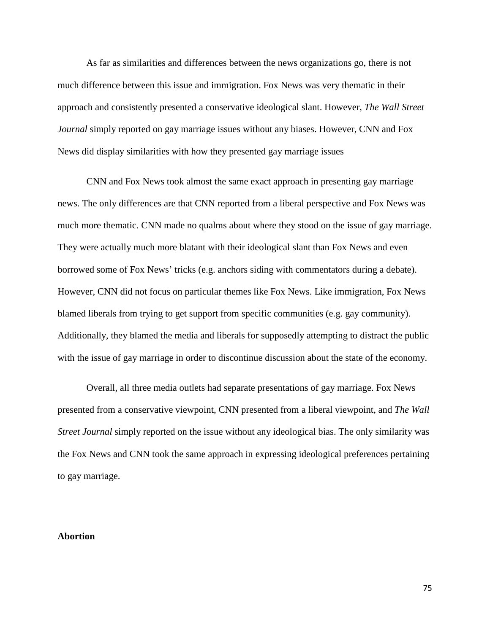As far as similarities and differences between the news organizations go, there is not much difference between this issue and immigration. Fox News was very thematic in their approach and consistently presented a conservative ideological slant. However, *The Wall Street Journal* simply reported on gay marriage issues without any biases. However, CNN and Fox News did display similarities with how they presented gay marriage issues

CNN and Fox News took almost the same exact approach in presenting gay marriage news. The only differences are that CNN reported from a liberal perspective and Fox News was much more thematic. CNN made no qualms about where they stood on the issue of gay marriage. They were actually much more blatant with their ideological slant than Fox News and even borrowed some of Fox News' tricks (e.g. anchors siding with commentators during a debate). However, CNN did not focus on particular themes like Fox News. Like immigration, Fox News blamed liberals from trying to get support from specific communities (e.g. gay community). Additionally, they blamed the media and liberals for supposedly attempting to distract the public with the issue of gay marriage in order to discontinue discussion about the state of the economy.

Overall, all three media outlets had separate presentations of gay marriage. Fox News presented from a conservative viewpoint, CNN presented from a liberal viewpoint, and *The Wall Street Journal* simply reported on the issue without any ideological bias. The only similarity was the Fox News and CNN took the same approach in expressing ideological preferences pertaining to gay marriage.

# **Abortion**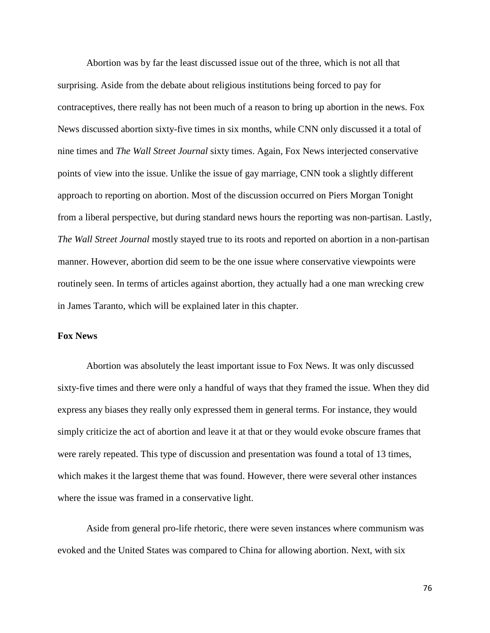Abortion was by far the least discussed issue out of the three, which is not all that surprising. Aside from the debate about religious institutions being forced to pay for contraceptives, there really has not been much of a reason to bring up abortion in the news. Fox News discussed abortion sixty-five times in six months, while CNN only discussed it a total of nine times and *The Wall Street Journal* sixty times. Again, Fox News interjected conservative points of view into the issue. Unlike the issue of gay marriage, CNN took a slightly different approach to reporting on abortion. Most of the discussion occurred on Piers Morgan Tonight from a liberal perspective, but during standard news hours the reporting was non-partisan. Lastly, *The Wall Street Journal* mostly stayed true to its roots and reported on abortion in a non-partisan manner. However, abortion did seem to be the one issue where conservative viewpoints were routinely seen. In terms of articles against abortion, they actually had a one man wrecking crew in James Taranto, which will be explained later in this chapter.

## **Fox News**

Abortion was absolutely the least important issue to Fox News. It was only discussed sixty-five times and there were only a handful of ways that they framed the issue. When they did express any biases they really only expressed them in general terms. For instance, they would simply criticize the act of abortion and leave it at that or they would evoke obscure frames that were rarely repeated. This type of discussion and presentation was found a total of 13 times, which makes it the largest theme that was found. However, there were several other instances where the issue was framed in a conservative light.

Aside from general pro-life rhetoric, there were seven instances where communism was evoked and the United States was compared to China for allowing abortion. Next, with six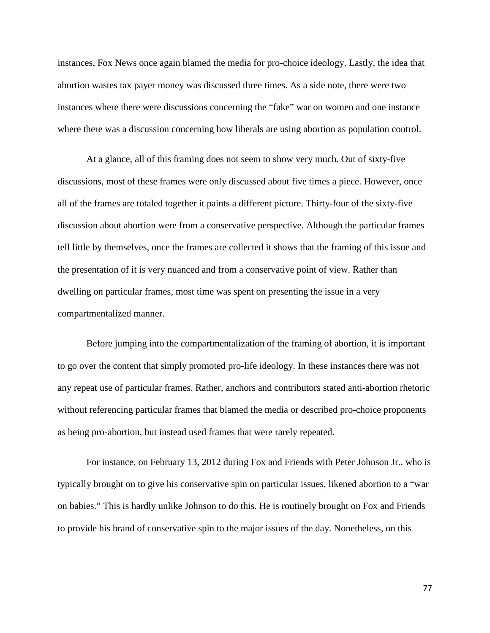instances, Fox News once again blamed the media for pro-choice ideology. Lastly, the idea that abortion wastes tax payer money was discussed three times. As a side note, there were two instances where there were discussions concerning the "fake" war on women and one instance where there was a discussion concerning how liberals are using abortion as population control.

At a glance, all of this framing does not seem to show very much. Out of sixty-five discussions, most of these frames were only discussed about five times a piece. However, once all of the frames are totaled together it paints a different picture. Thirty-four of the sixty-five discussion about abortion were from a conservative perspective. Although the particular frames tell little by themselves, once the frames are collected it shows that the framing of this issue and the presentation of it is very nuanced and from a conservative point of view. Rather than dwelling on particular frames, most time was spent on presenting the issue in a very compartmentalized manner.

Before jumping into the compartmentalization of the framing of abortion, it is important to go over the content that simply promoted pro-life ideology. In these instances there was not any repeat use of particular frames. Rather, anchors and contributors stated anti-abortion rhetoric without referencing particular frames that blamed the media or described pro-choice proponents as being pro-abortion, but instead used frames that were rarely repeated.

For instance, on February 13, 2012 during Fox and Friends with Peter Johnson Jr., who is typically brought on to give his conservative spin on particular issues, likened abortion to a "war on babies." This is hardly unlike Johnson to do this. He is routinely brought on Fox and Friends to provide his brand of conservative spin to the major issues of the day. Nonetheless, on this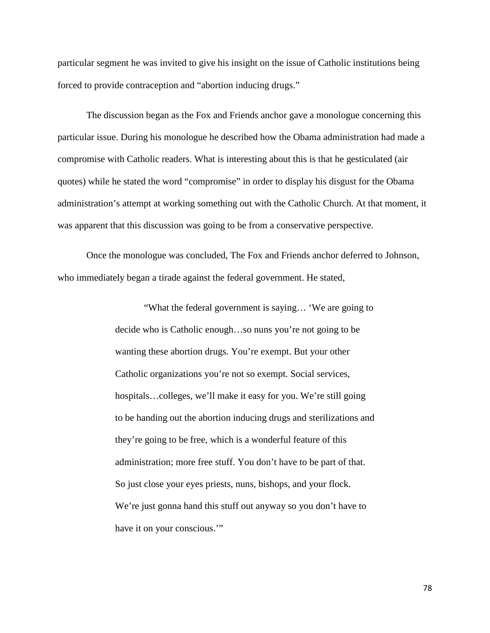particular segment he was invited to give his insight on the issue of Catholic institutions being forced to provide contraception and "abortion inducing drugs."

The discussion began as the Fox and Friends anchor gave a monologue concerning this particular issue. During his monologue he described how the Obama administration had made a compromise with Catholic readers. What is interesting about this is that he gesticulated (air quotes) while he stated the word "compromise" in order to display his disgust for the Obama administration's attempt at working something out with the Catholic Church. At that moment, it was apparent that this discussion was going to be from a conservative perspective.

Once the monologue was concluded, The Fox and Friends anchor deferred to Johnson, who immediately began a tirade against the federal government. He stated,

> "What the federal government is saying… 'We are going to decide who is Catholic enough…so nuns you're not going to be wanting these abortion drugs. You're exempt. But your other Catholic organizations you're not so exempt. Social services, hospitals…colleges, we'll make it easy for you. We're still going to be handing out the abortion inducing drugs and sterilizations and they're going to be free, which is a wonderful feature of this administration; more free stuff. You don't have to be part of that. So just close your eyes priests, nuns, bishops, and your flock. We're just gonna hand this stuff out anyway so you don't have to have it on your conscious.""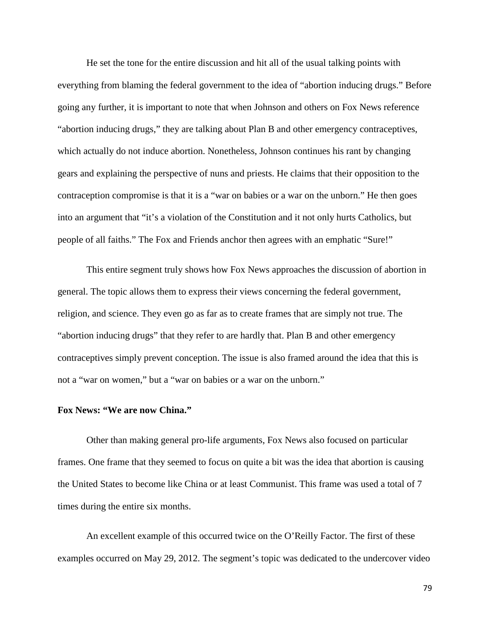He set the tone for the entire discussion and hit all of the usual talking points with everything from blaming the federal government to the idea of "abortion inducing drugs." Before going any further, it is important to note that when Johnson and others on Fox News reference "abortion inducing drugs," they are talking about Plan B and other emergency contraceptives, which actually do not induce abortion. Nonetheless, Johnson continues his rant by changing gears and explaining the perspective of nuns and priests. He claims that their opposition to the contraception compromise is that it is a "war on babies or a war on the unborn." He then goes into an argument that "it's a violation of the Constitution and it not only hurts Catholics, but people of all faiths." The Fox and Friends anchor then agrees with an emphatic "Sure!"

This entire segment truly shows how Fox News approaches the discussion of abortion in general. The topic allows them to express their views concerning the federal government, religion, and science. They even go as far as to create frames that are simply not true. The "abortion inducing drugs" that they refer to are hardly that. Plan B and other emergency contraceptives simply prevent conception. The issue is also framed around the idea that this is not a "war on women," but a "war on babies or a war on the unborn."

### **Fox News: "We are now China."**

Other than making general pro-life arguments, Fox News also focused on particular frames. One frame that they seemed to focus on quite a bit was the idea that abortion is causing the United States to become like China or at least Communist. This frame was used a total of 7 times during the entire six months.

An excellent example of this occurred twice on the O'Reilly Factor. The first of these examples occurred on May 29, 2012. The segment's topic was dedicated to the undercover video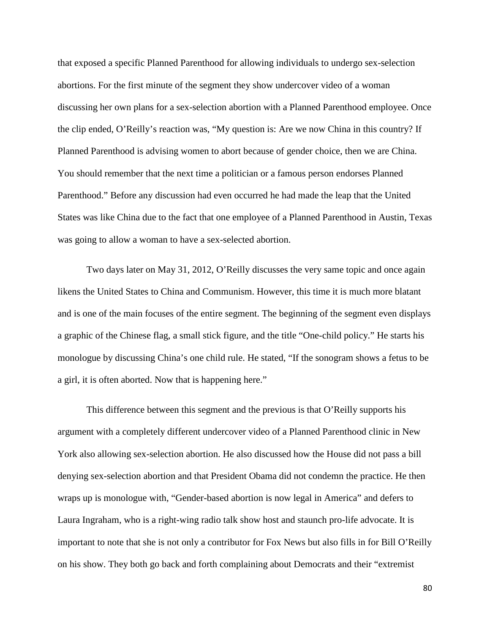that exposed a specific Planned Parenthood for allowing individuals to undergo sex-selection abortions. For the first minute of the segment they show undercover video of a woman discussing her own plans for a sex-selection abortion with a Planned Parenthood employee. Once the clip ended, O'Reilly's reaction was, "My question is: Are we now China in this country? If Planned Parenthood is advising women to abort because of gender choice, then we are China. You should remember that the next time a politician or a famous person endorses Planned Parenthood." Before any discussion had even occurred he had made the leap that the United States was like China due to the fact that one employee of a Planned Parenthood in Austin, Texas was going to allow a woman to have a sex-selected abortion.

Two days later on May 31, 2012, O'Reilly discusses the very same topic and once again likens the United States to China and Communism. However, this time it is much more blatant and is one of the main focuses of the entire segment. The beginning of the segment even displays a graphic of the Chinese flag, a small stick figure, and the title "One-child policy." He starts his monologue by discussing China's one child rule. He stated, "If the sonogram shows a fetus to be a girl, it is often aborted. Now that is happening here."

This difference between this segment and the previous is that O'Reilly supports his argument with a completely different undercover video of a Planned Parenthood clinic in New York also allowing sex-selection abortion. He also discussed how the House did not pass a bill denying sex-selection abortion and that President Obama did not condemn the practice. He then wraps up is monologue with, "Gender-based abortion is now legal in America" and defers to Laura Ingraham, who is a right-wing radio talk show host and staunch pro-life advocate. It is important to note that she is not only a contributor for Fox News but also fills in for Bill O'Reilly on his show. They both go back and forth complaining about Democrats and their "extremist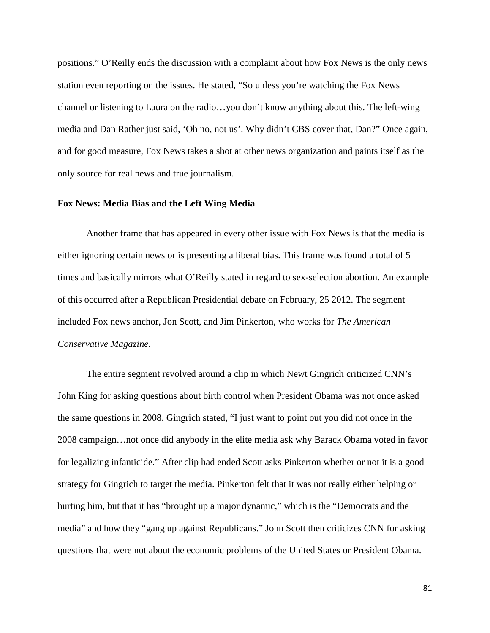positions." O'Reilly ends the discussion with a complaint about how Fox News is the only news station even reporting on the issues. He stated, "So unless you're watching the Fox News channel or listening to Laura on the radio…you don't know anything about this. The left-wing media and Dan Rather just said, 'Oh no, not us'. Why didn't CBS cover that, Dan?" Once again, and for good measure, Fox News takes a shot at other news organization and paints itself as the only source for real news and true journalism.

### **Fox News: Media Bias and the Left Wing Media**

Another frame that has appeared in every other issue with Fox News is that the media is either ignoring certain news or is presenting a liberal bias. This frame was found a total of 5 times and basically mirrors what O'Reilly stated in regard to sex-selection abortion. An example of this occurred after a Republican Presidential debate on February, 25 2012. The segment included Fox news anchor, Jon Scott, and Jim Pinkerton, who works for *The American Conservative Magazine*.

The entire segment revolved around a clip in which Newt Gingrich criticized CNN's John King for asking questions about birth control when President Obama was not once asked the same questions in 2008. Gingrich stated, "I just want to point out you did not once in the 2008 campaign…not once did anybody in the elite media ask why Barack Obama voted in favor for legalizing infanticide." After clip had ended Scott asks Pinkerton whether or not it is a good strategy for Gingrich to target the media. Pinkerton felt that it was not really either helping or hurting him, but that it has "brought up a major dynamic," which is the "Democrats and the media" and how they "gang up against Republicans." John Scott then criticizes CNN for asking questions that were not about the economic problems of the United States or President Obama.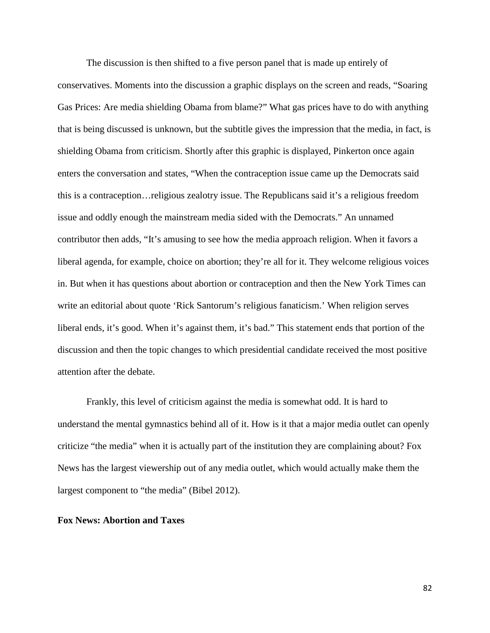The discussion is then shifted to a five person panel that is made up entirely of conservatives. Moments into the discussion a graphic displays on the screen and reads, "Soaring Gas Prices: Are media shielding Obama from blame?" What gas prices have to do with anything that is being discussed is unknown, but the subtitle gives the impression that the media, in fact, is shielding Obama from criticism. Shortly after this graphic is displayed, Pinkerton once again enters the conversation and states, "When the contraception issue came up the Democrats said this is a contraception…religious zealotry issue. The Republicans said it's a religious freedom issue and oddly enough the mainstream media sided with the Democrats." An unnamed contributor then adds, "It's amusing to see how the media approach religion. When it favors a liberal agenda, for example, choice on abortion; they're all for it. They welcome religious voices in. But when it has questions about abortion or contraception and then the New York Times can write an editorial about quote 'Rick Santorum's religious fanaticism.' When religion serves liberal ends, it's good. When it's against them, it's bad." This statement ends that portion of the discussion and then the topic changes to which presidential candidate received the most positive attention after the debate.

Frankly, this level of criticism against the media is somewhat odd. It is hard to understand the mental gymnastics behind all of it. How is it that a major media outlet can openly criticize "the media" when it is actually part of the institution they are complaining about? Fox News has the largest viewership out of any media outlet, which would actually make them the largest component to "the media" (Bibel 2012).

### **Fox News: Abortion and Taxes**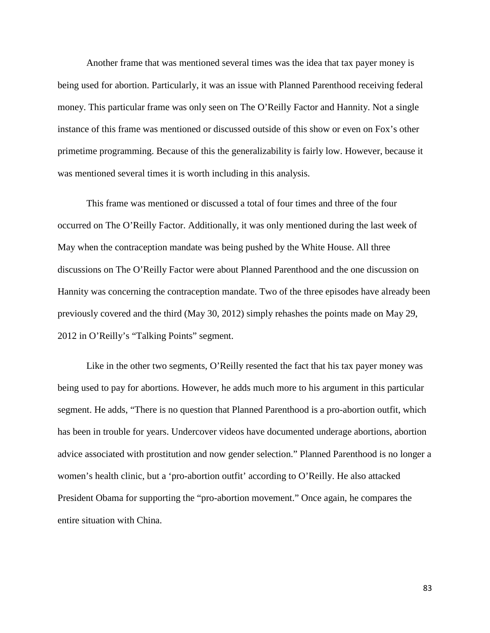Another frame that was mentioned several times was the idea that tax payer money is being used for abortion. Particularly, it was an issue with Planned Parenthood receiving federal money. This particular frame was only seen on The O'Reilly Factor and Hannity. Not a single instance of this frame was mentioned or discussed outside of this show or even on Fox's other primetime programming. Because of this the generalizability is fairly low. However, because it was mentioned several times it is worth including in this analysis.

This frame was mentioned or discussed a total of four times and three of the four occurred on The O'Reilly Factor. Additionally, it was only mentioned during the last week of May when the contraception mandate was being pushed by the White House. All three discussions on The O'Reilly Factor were about Planned Parenthood and the one discussion on Hannity was concerning the contraception mandate. Two of the three episodes have already been previously covered and the third (May 30, 2012) simply rehashes the points made on May 29, 2012 in O'Reilly's "Talking Points" segment.

Like in the other two segments, O'Reilly resented the fact that his tax payer money was being used to pay for abortions. However, he adds much more to his argument in this particular segment. He adds, "There is no question that Planned Parenthood is a pro-abortion outfit, which has been in trouble for years. Undercover videos have documented underage abortions, abortion advice associated with prostitution and now gender selection." Planned Parenthood is no longer a women's health clinic, but a 'pro-abortion outfit' according to O'Reilly. He also attacked President Obama for supporting the "pro-abortion movement." Once again, he compares the entire situation with China.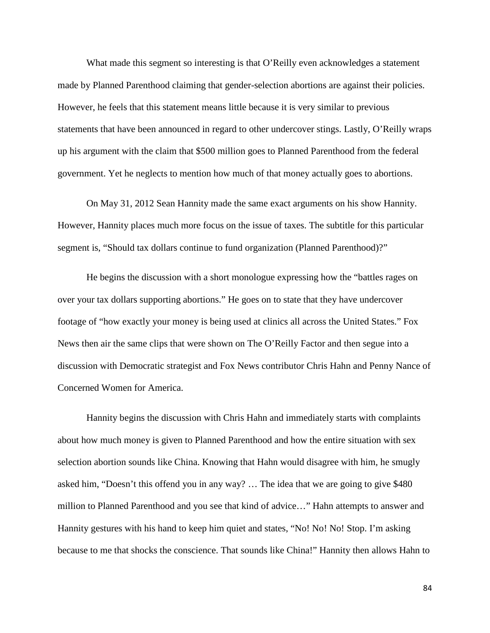What made this segment so interesting is that O'Reilly even acknowledges a statement made by Planned Parenthood claiming that gender-selection abortions are against their policies. However, he feels that this statement means little because it is very similar to previous statements that have been announced in regard to other undercover stings. Lastly, O'Reilly wraps up his argument with the claim that \$500 million goes to Planned Parenthood from the federal government. Yet he neglects to mention how much of that money actually goes to abortions.

On May 31, 2012 Sean Hannity made the same exact arguments on his show Hannity. However, Hannity places much more focus on the issue of taxes. The subtitle for this particular segment is, "Should tax dollars continue to fund organization (Planned Parenthood)?"

He begins the discussion with a short monologue expressing how the "battles rages on over your tax dollars supporting abortions." He goes on to state that they have undercover footage of "how exactly your money is being used at clinics all across the United States." Fox News then air the same clips that were shown on The O'Reilly Factor and then segue into a discussion with Democratic strategist and Fox News contributor Chris Hahn and Penny Nance of Concerned Women for America.

Hannity begins the discussion with Chris Hahn and immediately starts with complaints about how much money is given to Planned Parenthood and how the entire situation with sex selection abortion sounds like China. Knowing that Hahn would disagree with him, he smugly asked him, "Doesn't this offend you in any way? … The idea that we are going to give \$480 million to Planned Parenthood and you see that kind of advice…" Hahn attempts to answer and Hannity gestures with his hand to keep him quiet and states, "No! No! No! Stop. I'm asking because to me that shocks the conscience. That sounds like China!" Hannity then allows Hahn to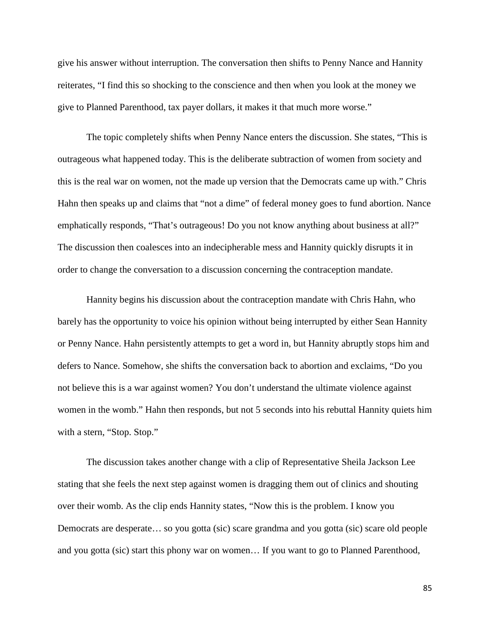give his answer without interruption. The conversation then shifts to Penny Nance and Hannity reiterates, "I find this so shocking to the conscience and then when you look at the money we give to Planned Parenthood, tax payer dollars, it makes it that much more worse."

The topic completely shifts when Penny Nance enters the discussion. She states, "This is outrageous what happened today. This is the deliberate subtraction of women from society and this is the real war on women, not the made up version that the Democrats came up with." Chris Hahn then speaks up and claims that "not a dime" of federal money goes to fund abortion. Nance emphatically responds, "That's outrageous! Do you not know anything about business at all?" The discussion then coalesces into an indecipherable mess and Hannity quickly disrupts it in order to change the conversation to a discussion concerning the contraception mandate.

Hannity begins his discussion about the contraception mandate with Chris Hahn, who barely has the opportunity to voice his opinion without being interrupted by either Sean Hannity or Penny Nance. Hahn persistently attempts to get a word in, but Hannity abruptly stops him and defers to Nance. Somehow, she shifts the conversation back to abortion and exclaims, "Do you not believe this is a war against women? You don't understand the ultimate violence against women in the womb." Hahn then responds, but not 5 seconds into his rebuttal Hannity quiets him with a stern, "Stop. Stop."

The discussion takes another change with a clip of Representative Sheila Jackson Lee stating that she feels the next step against women is dragging them out of clinics and shouting over their womb. As the clip ends Hannity states, "Now this is the problem. I know you Democrats are desperate… so you gotta (sic) scare grandma and you gotta (sic) scare old people and you gotta (sic) start this phony war on women… If you want to go to Planned Parenthood,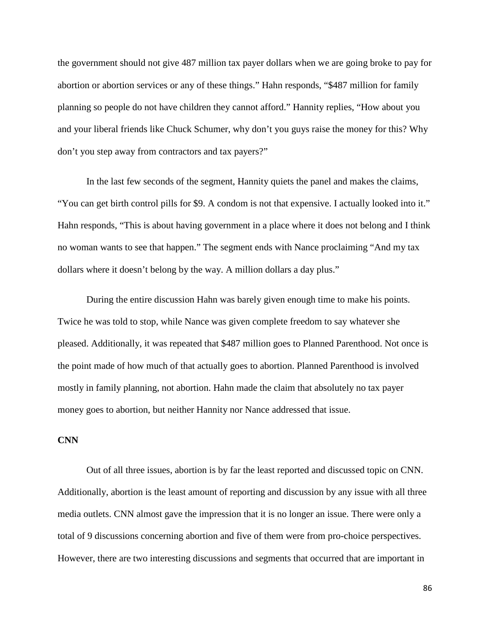the government should not give 487 million tax payer dollars when we are going broke to pay for abortion or abortion services or any of these things." Hahn responds, "\$487 million for family planning so people do not have children they cannot afford." Hannity replies, "How about you and your liberal friends like Chuck Schumer, why don't you guys raise the money for this? Why don't you step away from contractors and tax payers?"

In the last few seconds of the segment, Hannity quiets the panel and makes the claims, "You can get birth control pills for \$9. A condom is not that expensive. I actually looked into it." Hahn responds, "This is about having government in a place where it does not belong and I think no woman wants to see that happen." The segment ends with Nance proclaiming "And my tax dollars where it doesn't belong by the way. A million dollars a day plus."

During the entire discussion Hahn was barely given enough time to make his points. Twice he was told to stop, while Nance was given complete freedom to say whatever she pleased. Additionally, it was repeated that \$487 million goes to Planned Parenthood. Not once is the point made of how much of that actually goes to abortion. Planned Parenthood is involved mostly in family planning, not abortion. Hahn made the claim that absolutely no tax payer money goes to abortion, but neither Hannity nor Nance addressed that issue.

## **CNN**

Out of all three issues, abortion is by far the least reported and discussed topic on CNN. Additionally, abortion is the least amount of reporting and discussion by any issue with all three media outlets. CNN almost gave the impression that it is no longer an issue. There were only a total of 9 discussions concerning abortion and five of them were from pro-choice perspectives. However, there are two interesting discussions and segments that occurred that are important in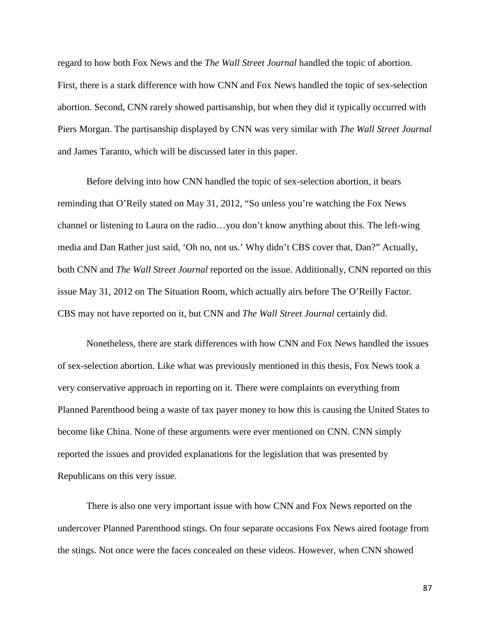regard to how both Fox News and the *The Wall Street Journal* handled the topic of abortion. First, there is a stark difference with how CNN and Fox News handled the topic of sex-selection abortion. Second, CNN rarely showed partisanship, but when they did it typically occurred with Piers Morgan. The partisanship displayed by CNN was very similar with *The Wall Street Journal* and James Taranto, which will be discussed later in this paper.

Before delving into how CNN handled the topic of sex-selection abortion, it bears reminding that O'Reily stated on May 31, 2012, "So unless you're watching the Fox News channel or listening to Laura on the radio…you don't know anything about this. The left-wing media and Dan Rather just said, 'Oh no, not us.' Why didn't CBS cover that, Dan?" Actually, both CNN and *The Wall Street Journal* reported on the issue. Additionally, CNN reported on this issue May 31, 2012 on The Situation Room, which actually airs before The O'Reilly Factor. CBS may not have reported on it, but CNN and *The Wall Street Journal* certainly did.

Nonetheless, there are stark differences with how CNN and Fox News handled the issues of sex-selection abortion. Like what was previously mentioned in this thesis, Fox News took a very conservative approach in reporting on it. There were complaints on everything from Planned Parenthood being a waste of tax payer money to how this is causing the United States to become like China. None of these arguments were ever mentioned on CNN. CNN simply reported the issues and provided explanations for the legislation that was presented by Republicans on this very issue.

There is also one very important issue with how CNN and Fox News reported on the undercover Planned Parenthood stings. On four separate occasions Fox News aired footage from the stings. Not once were the faces concealed on these videos. However, when CNN showed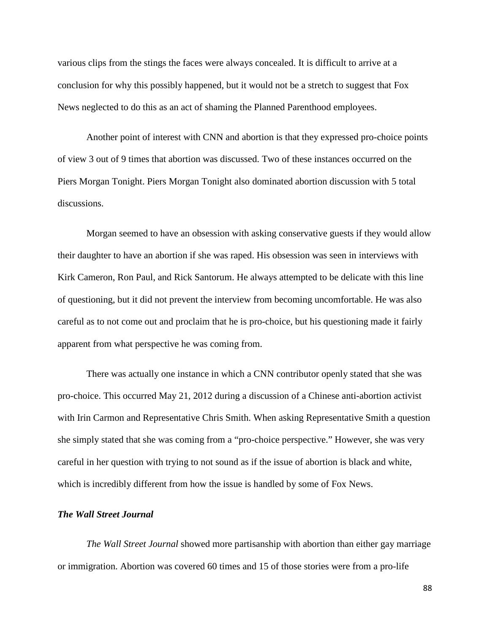various clips from the stings the faces were always concealed. It is difficult to arrive at a conclusion for why this possibly happened, but it would not be a stretch to suggest that Fox News neglected to do this as an act of shaming the Planned Parenthood employees.

Another point of interest with CNN and abortion is that they expressed pro-choice points of view 3 out of 9 times that abortion was discussed. Two of these instances occurred on the Piers Morgan Tonight. Piers Morgan Tonight also dominated abortion discussion with 5 total discussions.

Morgan seemed to have an obsession with asking conservative guests if they would allow their daughter to have an abortion if she was raped. His obsession was seen in interviews with Kirk Cameron, Ron Paul, and Rick Santorum. He always attempted to be delicate with this line of questioning, but it did not prevent the interview from becoming uncomfortable. He was also careful as to not come out and proclaim that he is pro-choice, but his questioning made it fairly apparent from what perspective he was coming from.

There was actually one instance in which a CNN contributor openly stated that she was pro-choice. This occurred May 21, 2012 during a discussion of a Chinese anti-abortion activist with Irin Carmon and Representative Chris Smith. When asking Representative Smith a question she simply stated that she was coming from a "pro-choice perspective." However, she was very careful in her question with trying to not sound as if the issue of abortion is black and white, which is incredibly different from how the issue is handled by some of Fox News.

## *The Wall Street Journal*

*The Wall Street Journal* showed more partisanship with abortion than either gay marriage or immigration. Abortion was covered 60 times and 15 of those stories were from a pro-life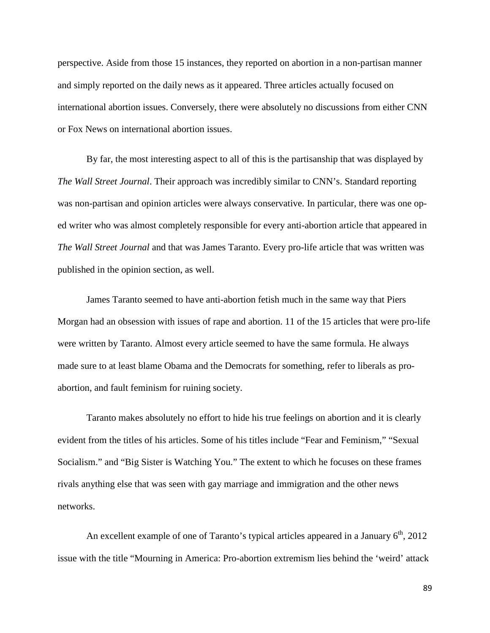perspective. Aside from those 15 instances, they reported on abortion in a non-partisan manner and simply reported on the daily news as it appeared. Three articles actually focused on international abortion issues. Conversely, there were absolutely no discussions from either CNN or Fox News on international abortion issues.

By far, the most interesting aspect to all of this is the partisanship that was displayed by *The Wall Street Journal*. Their approach was incredibly similar to CNN's. Standard reporting was non-partisan and opinion articles were always conservative. In particular, there was one oped writer who was almost completely responsible for every anti-abortion article that appeared in *The Wall Street Journal* and that was James Taranto. Every pro-life article that was written was published in the opinion section, as well.

James Taranto seemed to have anti-abortion fetish much in the same way that Piers Morgan had an obsession with issues of rape and abortion. 11 of the 15 articles that were pro-life were written by Taranto. Almost every article seemed to have the same formula. He always made sure to at least blame Obama and the Democrats for something, refer to liberals as proabortion, and fault feminism for ruining society.

Taranto makes absolutely no effort to hide his true feelings on abortion and it is clearly evident from the titles of his articles. Some of his titles include "Fear and Feminism," "Sexual Socialism." and "Big Sister is Watching You." The extent to which he focuses on these frames rivals anything else that was seen with gay marriage and immigration and the other news networks.

An excellent example of one of Taranto's typical articles appeared in a January  $6<sup>th</sup>$ , 2012 issue with the title "Mourning in America: Pro-abortion extremism lies behind the 'weird' attack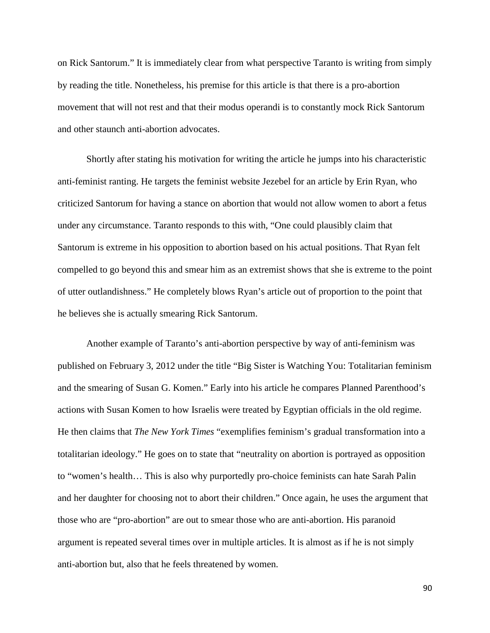on Rick Santorum." It is immediately clear from what perspective Taranto is writing from simply by reading the title. Nonetheless, his premise for this article is that there is a pro-abortion movement that will not rest and that their modus operandi is to constantly mock Rick Santorum and other staunch anti-abortion advocates.

Shortly after stating his motivation for writing the article he jumps into his characteristic anti-feminist ranting. He targets the feminist website Jezebel for an article by Erin Ryan, who criticized Santorum for having a stance on abortion that would not allow women to abort a fetus under any circumstance. Taranto responds to this with, "One could plausibly claim that Santorum is extreme in his opposition to abortion based on his actual positions. That Ryan felt compelled to go beyond this and smear him as an extremist shows that she is extreme to the point of utter outlandishness." He completely blows Ryan's article out of proportion to the point that he believes she is actually smearing Rick Santorum.

Another example of Taranto's anti-abortion perspective by way of anti-feminism was published on February 3, 2012 under the title "Big Sister is Watching You: Totalitarian feminism and the smearing of Susan G. Komen." Early into his article he compares Planned Parenthood's actions with Susan Komen to how Israelis were treated by Egyptian officials in the old regime. He then claims that *The New York Times* "exemplifies feminism's gradual transformation into a totalitarian ideology." He goes on to state that "neutrality on abortion is portrayed as opposition to "women's health… This is also why purportedly pro-choice feminists can hate Sarah Palin and her daughter for choosing not to abort their children." Once again, he uses the argument that those who are "pro-abortion" are out to smear those who are anti-abortion. His paranoid argument is repeated several times over in multiple articles. It is almost as if he is not simply anti-abortion but, also that he feels threatened by women.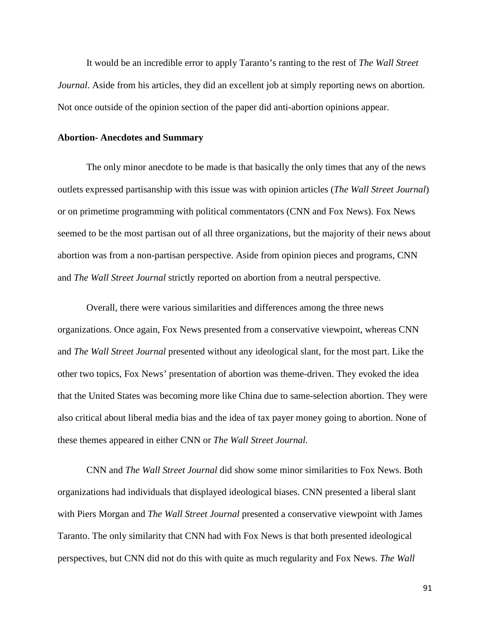It would be an incredible error to apply Taranto's ranting to the rest of *The Wall Street Journal*. Aside from his articles, they did an excellent job at simply reporting news on abortion. Not once outside of the opinion section of the paper did anti-abortion opinions appear.

#### **Abortion- Anecdotes and Summary**

The only minor anecdote to be made is that basically the only times that any of the news outlets expressed partisanship with this issue was with opinion articles (*The Wall Street Journal*) or on primetime programming with political commentators (CNN and Fox News). Fox News seemed to be the most partisan out of all three organizations, but the majority of their news about abortion was from a non-partisan perspective. Aside from opinion pieces and programs, CNN and *The Wall Street Journal* strictly reported on abortion from a neutral perspective.

Overall, there were various similarities and differences among the three news organizations. Once again, Fox News presented from a conservative viewpoint, whereas CNN and *The Wall Street Journal* presented without any ideological slant, for the most part. Like the other two topics, Fox News' presentation of abortion was theme-driven. They evoked the idea that the United States was becoming more like China due to same-selection abortion. They were also critical about liberal media bias and the idea of tax payer money going to abortion. None of these themes appeared in either CNN or *The Wall Street Journal*.

CNN and *The Wall Street Journal* did show some minor similarities to Fox News. Both organizations had individuals that displayed ideological biases. CNN presented a liberal slant with Piers Morgan and *The Wall Street Journal* presented a conservative viewpoint with James Taranto. The only similarity that CNN had with Fox News is that both presented ideological perspectives, but CNN did not do this with quite as much regularity and Fox News. *The Wall*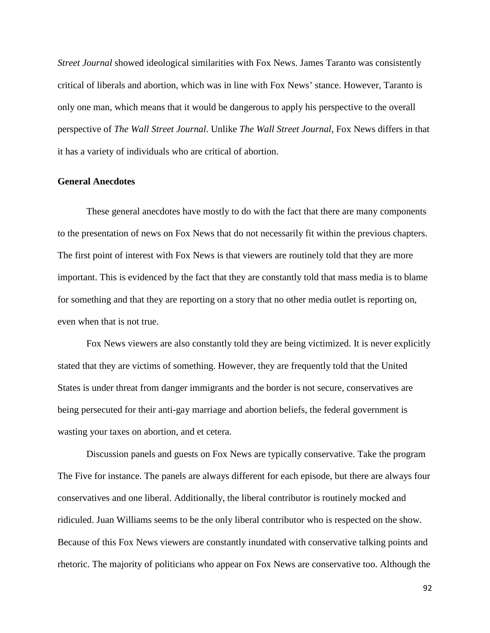*Street Journal* showed ideological similarities with Fox News. James Taranto was consistently critical of liberals and abortion, which was in line with Fox News' stance. However, Taranto is only one man, which means that it would be dangerous to apply his perspective to the overall perspective of *The Wall Street Journal*. Unlike *The Wall Street Journal*, Fox News differs in that it has a variety of individuals who are critical of abortion.

## **General Anecdotes**

These general anecdotes have mostly to do with the fact that there are many components to the presentation of news on Fox News that do not necessarily fit within the previous chapters. The first point of interest with Fox News is that viewers are routinely told that they are more important. This is evidenced by the fact that they are constantly told that mass media is to blame for something and that they are reporting on a story that no other media outlet is reporting on, even when that is not true.

Fox News viewers are also constantly told they are being victimized. It is never explicitly stated that they are victims of something. However, they are frequently told that the United States is under threat from danger immigrants and the border is not secure, conservatives are being persecuted for their anti-gay marriage and abortion beliefs, the federal government is wasting your taxes on abortion, and et cetera.

Discussion panels and guests on Fox News are typically conservative. Take the program The Five for instance. The panels are always different for each episode, but there are always four conservatives and one liberal. Additionally, the liberal contributor is routinely mocked and ridiculed. Juan Williams seems to be the only liberal contributor who is respected on the show. Because of this Fox News viewers are constantly inundated with conservative talking points and rhetoric. The majority of politicians who appear on Fox News are conservative too. Although the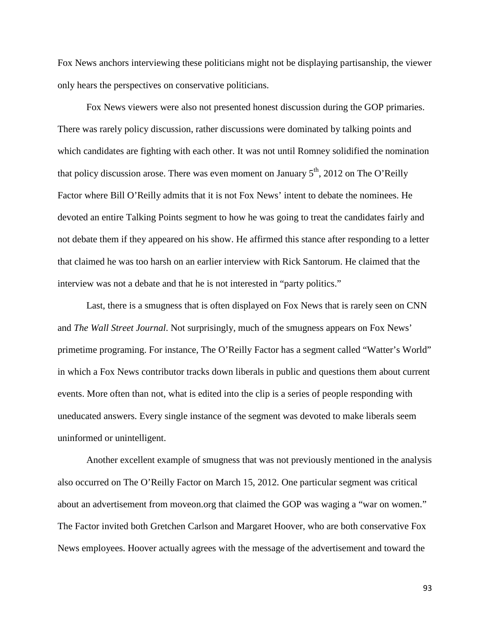Fox News anchors interviewing these politicians might not be displaying partisanship, the viewer only hears the perspectives on conservative politicians.

Fox News viewers were also not presented honest discussion during the GOP primaries. There was rarely policy discussion, rather discussions were dominated by talking points and which candidates are fighting with each other. It was not until Romney solidified the nomination that policy discussion arose. There was even moment on January  $5<sup>th</sup>$ , 2012 on The O'Reilly Factor where Bill O'Reilly admits that it is not Fox News' intent to debate the nominees. He devoted an entire Talking Points segment to how he was going to treat the candidates fairly and not debate them if they appeared on his show. He affirmed this stance after responding to a letter that claimed he was too harsh on an earlier interview with Rick Santorum. He claimed that the interview was not a debate and that he is not interested in "party politics."

Last, there is a smugness that is often displayed on Fox News that is rarely seen on CNN and *The Wall Street Journal*. Not surprisingly, much of the smugness appears on Fox News' primetime programing. For instance, The O'Reilly Factor has a segment called "Watter's World" in which a Fox News contributor tracks down liberals in public and questions them about current events. More often than not, what is edited into the clip is a series of people responding with uneducated answers. Every single instance of the segment was devoted to make liberals seem uninformed or unintelligent.

Another excellent example of smugness that was not previously mentioned in the analysis also occurred on The O'Reilly Factor on March 15, 2012. One particular segment was critical about an advertisement from moveon.org that claimed the GOP was waging a "war on women." The Factor invited both Gretchen Carlson and Margaret Hoover, who are both conservative Fox News employees. Hoover actually agrees with the message of the advertisement and toward the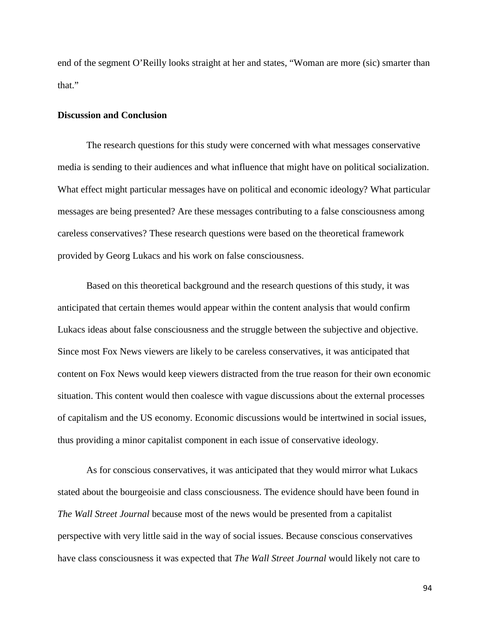end of the segment O'Reilly looks straight at her and states, "Woman are more (sic) smarter than that."

## **Discussion and Conclusion**

The research questions for this study were concerned with what messages conservative media is sending to their audiences and what influence that might have on political socialization. What effect might particular messages have on political and economic ideology? What particular messages are being presented? Are these messages contributing to a false consciousness among careless conservatives? These research questions were based on the theoretical framework provided by Georg Lukacs and his work on false consciousness.

Based on this theoretical background and the research questions of this study, it was anticipated that certain themes would appear within the content analysis that would confirm Lukacs ideas about false consciousness and the struggle between the subjective and objective. Since most Fox News viewers are likely to be careless conservatives, it was anticipated that content on Fox News would keep viewers distracted from the true reason for their own economic situation. This content would then coalesce with vague discussions about the external processes of capitalism and the US economy. Economic discussions would be intertwined in social issues, thus providing a minor capitalist component in each issue of conservative ideology.

As for conscious conservatives, it was anticipated that they would mirror what Lukacs stated about the bourgeoisie and class consciousness. The evidence should have been found in *The Wall Street Journal* because most of the news would be presented from a capitalist perspective with very little said in the way of social issues. Because conscious conservatives have class consciousness it was expected that *The Wall Street Journal* would likely not care to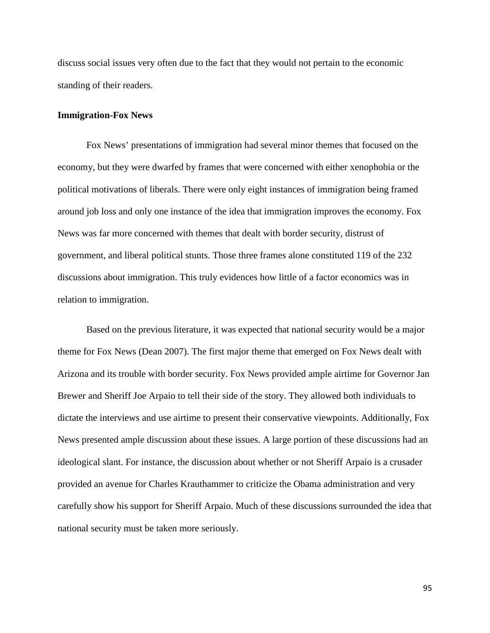discuss social issues very often due to the fact that they would not pertain to the economic standing of their readers.

#### **Immigration-Fox News**

Fox News' presentations of immigration had several minor themes that focused on the economy, but they were dwarfed by frames that were concerned with either xenophobia or the political motivations of liberals. There were only eight instances of immigration being framed around job loss and only one instance of the idea that immigration improves the economy. Fox News was far more concerned with themes that dealt with border security, distrust of government, and liberal political stunts. Those three frames alone constituted 119 of the 232 discussions about immigration. This truly evidences how little of a factor economics was in relation to immigration.

Based on the previous literature, it was expected that national security would be a major theme for Fox News (Dean 2007). The first major theme that emerged on Fox News dealt with Arizona and its trouble with border security. Fox News provided ample airtime for Governor Jan Brewer and Sheriff Joe Arpaio to tell their side of the story. They allowed both individuals to dictate the interviews and use airtime to present their conservative viewpoints. Additionally, Fox News presented ample discussion about these issues. A large portion of these discussions had an ideological slant. For instance, the discussion about whether or not Sheriff Arpaio is a crusader provided an avenue for Charles Krauthammer to criticize the Obama administration and very carefully show his support for Sheriff Arpaio. Much of these discussions surrounded the idea that national security must be taken more seriously.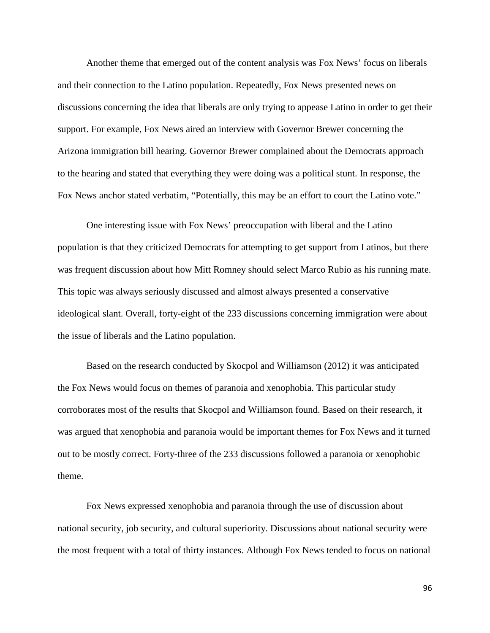Another theme that emerged out of the content analysis was Fox News' focus on liberals and their connection to the Latino population. Repeatedly, Fox News presented news on discussions concerning the idea that liberals are only trying to appease Latino in order to get their support. For example, Fox News aired an interview with Governor Brewer concerning the Arizona immigration bill hearing. Governor Brewer complained about the Democrats approach to the hearing and stated that everything they were doing was a political stunt. In response, the Fox News anchor stated verbatim, "Potentially, this may be an effort to court the Latino vote."

One interesting issue with Fox News' preoccupation with liberal and the Latino population is that they criticized Democrats for attempting to get support from Latinos, but there was frequent discussion about how Mitt Romney should select Marco Rubio as his running mate. This topic was always seriously discussed and almost always presented a conservative ideological slant. Overall, forty-eight of the 233 discussions concerning immigration were about the issue of liberals and the Latino population.

Based on the research conducted by Skocpol and Williamson (2012) it was anticipated the Fox News would focus on themes of paranoia and xenophobia. This particular study corroborates most of the results that Skocpol and Williamson found. Based on their research, it was argued that xenophobia and paranoia would be important themes for Fox News and it turned out to be mostly correct. Forty-three of the 233 discussions followed a paranoia or xenophobic theme.

Fox News expressed xenophobia and paranoia through the use of discussion about national security, job security, and cultural superiority. Discussions about national security were the most frequent with a total of thirty instances. Although Fox News tended to focus on national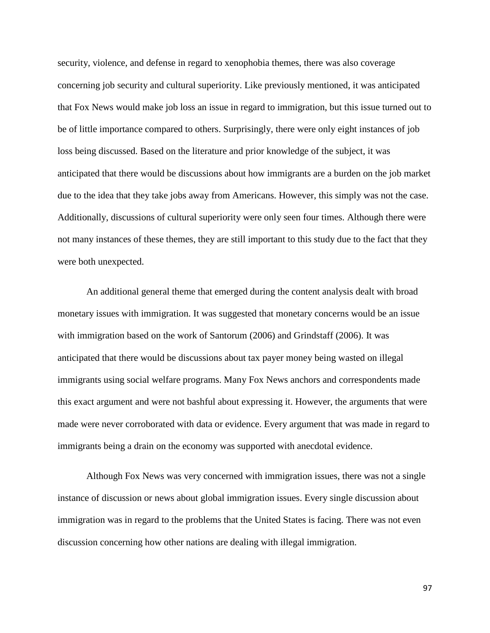security, violence, and defense in regard to xenophobia themes, there was also coverage concerning job security and cultural superiority. Like previously mentioned, it was anticipated that Fox News would make job loss an issue in regard to immigration, but this issue turned out to be of little importance compared to others. Surprisingly, there were only eight instances of job loss being discussed. Based on the literature and prior knowledge of the subject, it was anticipated that there would be discussions about how immigrants are a burden on the job market due to the idea that they take jobs away from Americans. However, this simply was not the case. Additionally, discussions of cultural superiority were only seen four times. Although there were not many instances of these themes, they are still important to this study due to the fact that they were both unexpected.

An additional general theme that emerged during the content analysis dealt with broad monetary issues with immigration. It was suggested that monetary concerns would be an issue with immigration based on the work of Santorum (2006) and Grindstaff (2006). It was anticipated that there would be discussions about tax payer money being wasted on illegal immigrants using social welfare programs. Many Fox News anchors and correspondents made this exact argument and were not bashful about expressing it. However, the arguments that were made were never corroborated with data or evidence. Every argument that was made in regard to immigrants being a drain on the economy was supported with anecdotal evidence.

Although Fox News was very concerned with immigration issues, there was not a single instance of discussion or news about global immigration issues. Every single discussion about immigration was in regard to the problems that the United States is facing. There was not even discussion concerning how other nations are dealing with illegal immigration.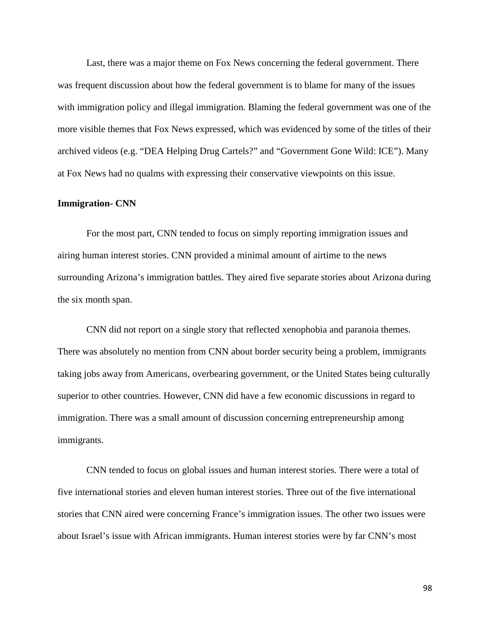Last, there was a major theme on Fox News concerning the federal government. There was frequent discussion about how the federal government is to blame for many of the issues with immigration policy and illegal immigration. Blaming the federal government was one of the more visible themes that Fox News expressed, which was evidenced by some of the titles of their archived videos (e.g. "DEA Helping Drug Cartels?" and "Government Gone Wild: ICE"). Many at Fox News had no qualms with expressing their conservative viewpoints on this issue.

### **Immigration- CNN**

For the most part, CNN tended to focus on simply reporting immigration issues and airing human interest stories. CNN provided a minimal amount of airtime to the news surrounding Arizona's immigration battles. They aired five separate stories about Arizona during the six month span.

CNN did not report on a single story that reflected xenophobia and paranoia themes. There was absolutely no mention from CNN about border security being a problem, immigrants taking jobs away from Americans, overbearing government, or the United States being culturally superior to other countries. However, CNN did have a few economic discussions in regard to immigration. There was a small amount of discussion concerning entrepreneurship among immigrants.

CNN tended to focus on global issues and human interest stories. There were a total of five international stories and eleven human interest stories. Three out of the five international stories that CNN aired were concerning France's immigration issues. The other two issues were about Israel's issue with African immigrants. Human interest stories were by far CNN's most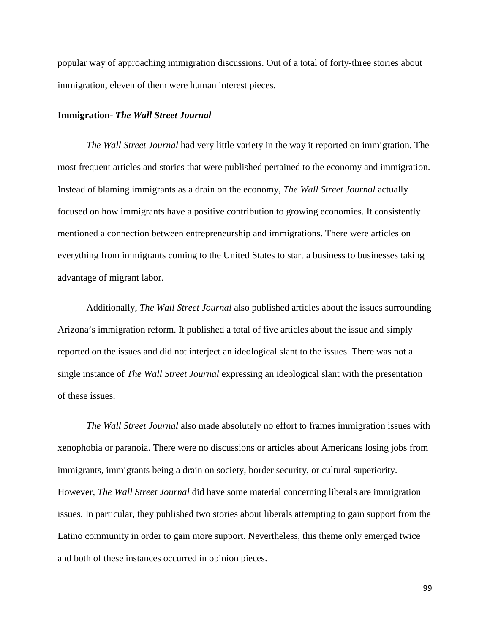popular way of approaching immigration discussions. Out of a total of forty-three stories about immigration, eleven of them were human interest pieces.

#### **Immigration-** *The Wall Street Journal*

*The Wall Street Journal* had very little variety in the way it reported on immigration. The most frequent articles and stories that were published pertained to the economy and immigration. Instead of blaming immigrants as a drain on the economy, *The Wall Street Journal* actually focused on how immigrants have a positive contribution to growing economies. It consistently mentioned a connection between entrepreneurship and immigrations. There were articles on everything from immigrants coming to the United States to start a business to businesses taking advantage of migrant labor.

Additionally, *The Wall Street Journal* also published articles about the issues surrounding Arizona's immigration reform. It published a total of five articles about the issue and simply reported on the issues and did not interject an ideological slant to the issues. There was not a single instance of *The Wall Street Journal* expressing an ideological slant with the presentation of these issues.

*The Wall Street Journal* also made absolutely no effort to frames immigration issues with xenophobia or paranoia. There were no discussions or articles about Americans losing jobs from immigrants, immigrants being a drain on society, border security, or cultural superiority. However, *The Wall Street Journal* did have some material concerning liberals are immigration issues. In particular, they published two stories about liberals attempting to gain support from the Latino community in order to gain more support. Nevertheless, this theme only emerged twice and both of these instances occurred in opinion pieces.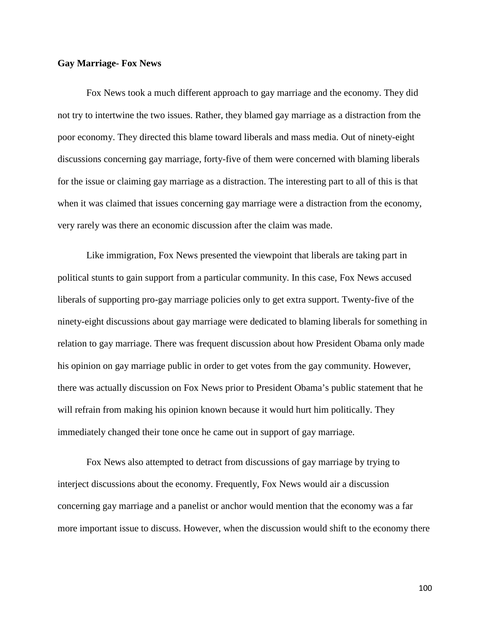### **Gay Marriage- Fox News**

Fox News took a much different approach to gay marriage and the economy. They did not try to intertwine the two issues. Rather, they blamed gay marriage as a distraction from the poor economy. They directed this blame toward liberals and mass media. Out of ninety-eight discussions concerning gay marriage, forty-five of them were concerned with blaming liberals for the issue or claiming gay marriage as a distraction. The interesting part to all of this is that when it was claimed that issues concerning gay marriage were a distraction from the economy, very rarely was there an economic discussion after the claim was made.

Like immigration, Fox News presented the viewpoint that liberals are taking part in political stunts to gain support from a particular community. In this case, Fox News accused liberals of supporting pro-gay marriage policies only to get extra support. Twenty-five of the ninety-eight discussions about gay marriage were dedicated to blaming liberals for something in relation to gay marriage. There was frequent discussion about how President Obama only made his opinion on gay marriage public in order to get votes from the gay community. However, there was actually discussion on Fox News prior to President Obama's public statement that he will refrain from making his opinion known because it would hurt him politically. They immediately changed their tone once he came out in support of gay marriage.

Fox News also attempted to detract from discussions of gay marriage by trying to interject discussions about the economy. Frequently, Fox News would air a discussion concerning gay marriage and a panelist or anchor would mention that the economy was a far more important issue to discuss. However, when the discussion would shift to the economy there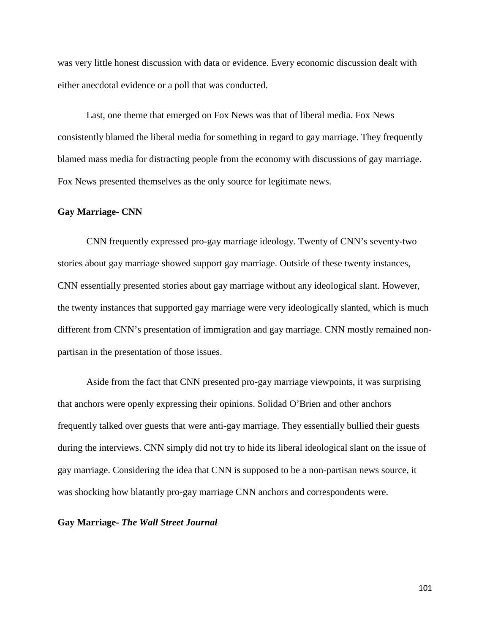was very little honest discussion with data or evidence. Every economic discussion dealt with either anecdotal evidence or a poll that was conducted.

Last, one theme that emerged on Fox News was that of liberal media. Fox News consistently blamed the liberal media for something in regard to gay marriage. They frequently blamed mass media for distracting people from the economy with discussions of gay marriage. Fox News presented themselves as the only source for legitimate news.

### **Gay Marriage- CNN**

CNN frequently expressed pro-gay marriage ideology. Twenty of CNN's seventy-two stories about gay marriage showed support gay marriage. Outside of these twenty instances, CNN essentially presented stories about gay marriage without any ideological slant. However, the twenty instances that supported gay marriage were very ideologically slanted, which is much different from CNN's presentation of immigration and gay marriage. CNN mostly remained nonpartisan in the presentation of those issues.

Aside from the fact that CNN presented pro-gay marriage viewpoints, it was surprising that anchors were openly expressing their opinions. Solidad O'Brien and other anchors frequently talked over guests that were anti-gay marriage. They essentially bullied their guests during the interviews. CNN simply did not try to hide its liberal ideological slant on the issue of gay marriage. Considering the idea that CNN is supposed to be a non-partisan news source, it was shocking how blatantly pro-gay marriage CNN anchors and correspondents were.

**Gay Marriage-** *The Wall Street Journal*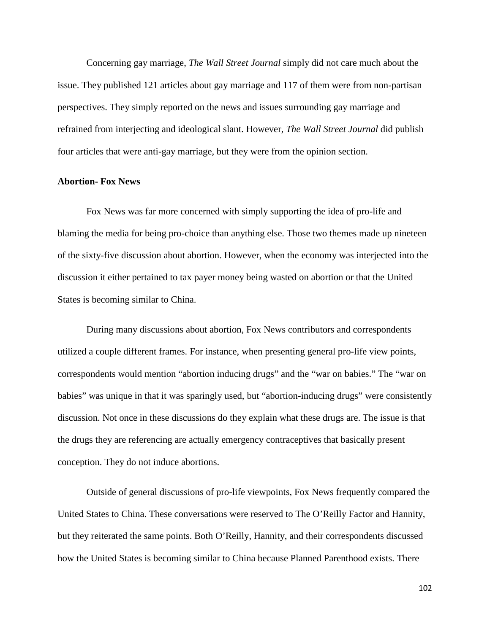Concerning gay marriage, *The Wall Street Journal* simply did not care much about the issue. They published 121 articles about gay marriage and 117 of them were from non-partisan perspectives. They simply reported on the news and issues surrounding gay marriage and refrained from interjecting and ideological slant. However, *The Wall Street Journal* did publish four articles that were anti-gay marriage, but they were from the opinion section.

#### **Abortion- Fox News**

Fox News was far more concerned with simply supporting the idea of pro-life and blaming the media for being pro-choice than anything else. Those two themes made up nineteen of the sixty-five discussion about abortion. However, when the economy was interjected into the discussion it either pertained to tax payer money being wasted on abortion or that the United States is becoming similar to China.

During many discussions about abortion, Fox News contributors and correspondents utilized a couple different frames. For instance, when presenting general pro-life view points, correspondents would mention "abortion inducing drugs" and the "war on babies." The "war on babies" was unique in that it was sparingly used, but "abortion-inducing drugs" were consistently discussion. Not once in these discussions do they explain what these drugs are. The issue is that the drugs they are referencing are actually emergency contraceptives that basically present conception. They do not induce abortions.

Outside of general discussions of pro-life viewpoints, Fox News frequently compared the United States to China. These conversations were reserved to The O'Reilly Factor and Hannity, but they reiterated the same points. Both O'Reilly, Hannity, and their correspondents discussed how the United States is becoming similar to China because Planned Parenthood exists. There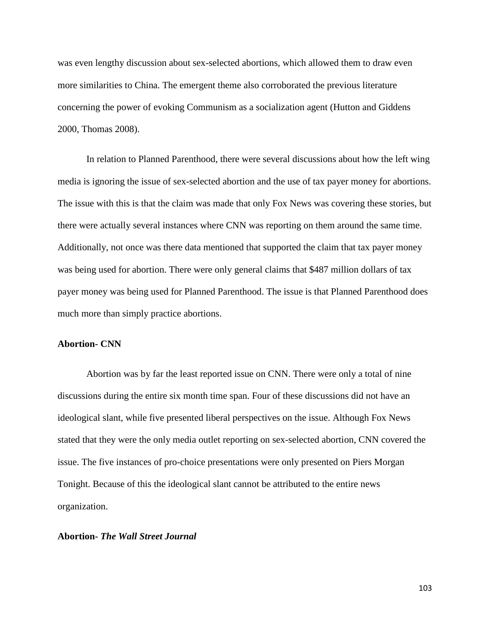was even lengthy discussion about sex-selected abortions, which allowed them to draw even more similarities to China. The emergent theme also corroborated the previous literature concerning the power of evoking Communism as a socialization agent (Hutton and Giddens 2000, Thomas 2008).

In relation to Planned Parenthood, there were several discussions about how the left wing media is ignoring the issue of sex-selected abortion and the use of tax payer money for abortions. The issue with this is that the claim was made that only Fox News was covering these stories, but there were actually several instances where CNN was reporting on them around the same time. Additionally, not once was there data mentioned that supported the claim that tax payer money was being used for abortion. There were only general claims that \$487 million dollars of tax payer money was being used for Planned Parenthood. The issue is that Planned Parenthood does much more than simply practice abortions.

### **Abortion- CNN**

Abortion was by far the least reported issue on CNN. There were only a total of nine discussions during the entire six month time span. Four of these discussions did not have an ideological slant, while five presented liberal perspectives on the issue. Although Fox News stated that they were the only media outlet reporting on sex-selected abortion, CNN covered the issue. The five instances of pro-choice presentations were only presented on Piers Morgan Tonight. Because of this the ideological slant cannot be attributed to the entire news organization.

# **Abortion-** *The Wall Street Journal*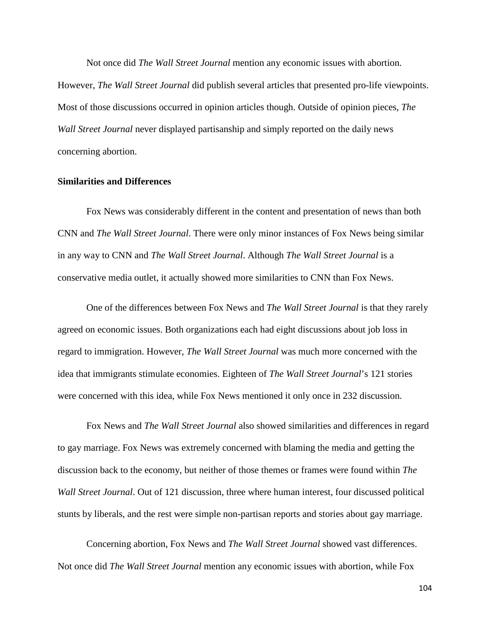Not once did *The Wall Street Journal* mention any economic issues with abortion. However, *The Wall Street Journal* did publish several articles that presented pro-life viewpoints. Most of those discussions occurred in opinion articles though. Outside of opinion pieces, *The Wall Street Journal* never displayed partisanship and simply reported on the daily news concerning abortion.

#### **Similarities and Differences**

Fox News was considerably different in the content and presentation of news than both CNN and *The Wall Street Journal*. There were only minor instances of Fox News being similar in any way to CNN and *The Wall Street Journal*. Although *The Wall Street Journal* is a conservative media outlet, it actually showed more similarities to CNN than Fox News.

One of the differences between Fox News and *The Wall Street Journal* is that they rarely agreed on economic issues. Both organizations each had eight discussions about job loss in regard to immigration. However, *The Wall Street Journal* was much more concerned with the idea that immigrants stimulate economies. Eighteen of *The Wall Street Journal*'s 121 stories were concerned with this idea, while Fox News mentioned it only once in 232 discussion.

Fox News and *The Wall Street Journal* also showed similarities and differences in regard to gay marriage. Fox News was extremely concerned with blaming the media and getting the discussion back to the economy, but neither of those themes or frames were found within *The Wall Street Journal*. Out of 121 discussion, three where human interest, four discussed political stunts by liberals, and the rest were simple non-partisan reports and stories about gay marriage.

Concerning abortion, Fox News and *The Wall Street Journal* showed vast differences. Not once did *The Wall Street Journal* mention any economic issues with abortion, while Fox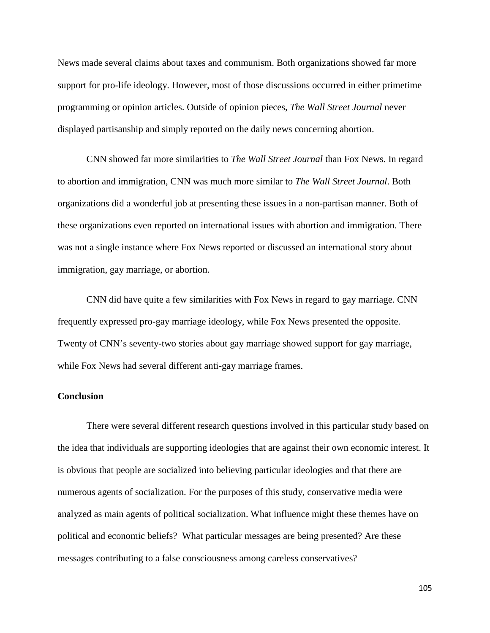News made several claims about taxes and communism. Both organizations showed far more support for pro-life ideology. However, most of those discussions occurred in either primetime programming or opinion articles. Outside of opinion pieces, *The Wall Street Journal* never displayed partisanship and simply reported on the daily news concerning abortion.

CNN showed far more similarities to *The Wall Street Journal* than Fox News. In regard to abortion and immigration, CNN was much more similar to *The Wall Street Journal*. Both organizations did a wonderful job at presenting these issues in a non-partisan manner. Both of these organizations even reported on international issues with abortion and immigration. There was not a single instance where Fox News reported or discussed an international story about immigration, gay marriage, or abortion.

CNN did have quite a few similarities with Fox News in regard to gay marriage. CNN frequently expressed pro-gay marriage ideology, while Fox News presented the opposite. Twenty of CNN's seventy-two stories about gay marriage showed support for gay marriage, while Fox News had several different anti-gay marriage frames.

### **Conclusion**

There were several different research questions involved in this particular study based on the idea that individuals are supporting ideologies that are against their own economic interest. It is obvious that people are socialized into believing particular ideologies and that there are numerous agents of socialization. For the purposes of this study, conservative media were analyzed as main agents of political socialization. What influence might these themes have on political and economic beliefs? What particular messages are being presented? Are these messages contributing to a false consciousness among careless conservatives?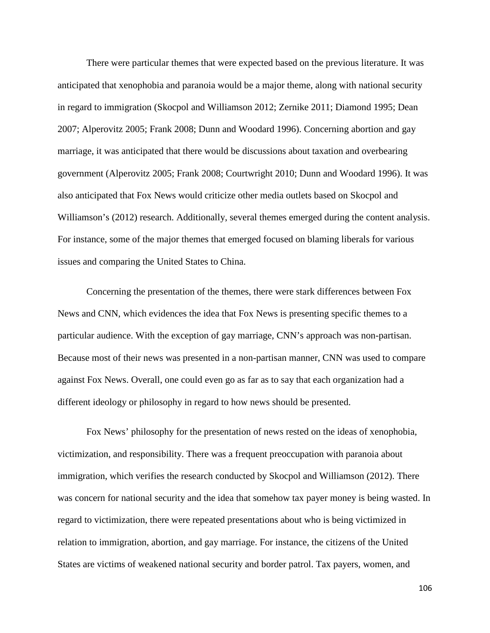There were particular themes that were expected based on the previous literature. It was anticipated that xenophobia and paranoia would be a major theme, along with national security in regard to immigration (Skocpol and Williamson 2012; Zernike 2011; Diamond 1995; Dean 2007; Alperovitz 2005; Frank 2008; Dunn and Woodard 1996). Concerning abortion and gay marriage, it was anticipated that there would be discussions about taxation and overbearing government (Alperovitz 2005; Frank 2008; Courtwright 2010; Dunn and Woodard 1996). It was also anticipated that Fox News would criticize other media outlets based on Skocpol and Williamson's (2012) research. Additionally, several themes emerged during the content analysis. For instance, some of the major themes that emerged focused on blaming liberals for various issues and comparing the United States to China.

Concerning the presentation of the themes, there were stark differences between Fox News and CNN, which evidences the idea that Fox News is presenting specific themes to a particular audience. With the exception of gay marriage, CNN's approach was non-partisan. Because most of their news was presented in a non-partisan manner, CNN was used to compare against Fox News. Overall, one could even go as far as to say that each organization had a different ideology or philosophy in regard to how news should be presented.

Fox News' philosophy for the presentation of news rested on the ideas of xenophobia, victimization, and responsibility. There was a frequent preoccupation with paranoia about immigration, which verifies the research conducted by Skocpol and Williamson (2012). There was concern for national security and the idea that somehow tax payer money is being wasted. In regard to victimization, there were repeated presentations about who is being victimized in relation to immigration, abortion, and gay marriage. For instance, the citizens of the United States are victims of weakened national security and border patrol. Tax payers, women, and

106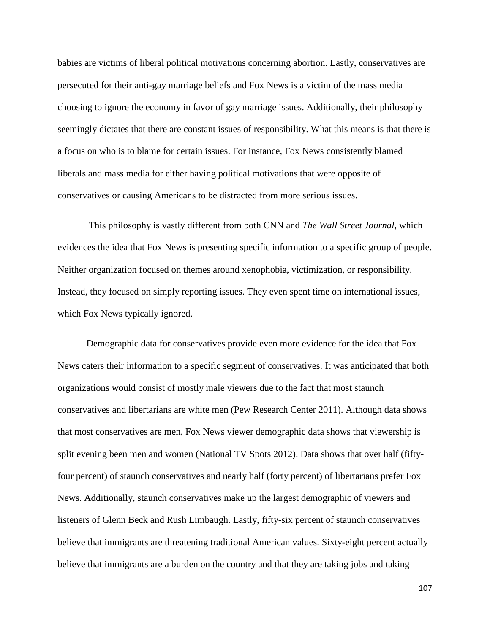babies are victims of liberal political motivations concerning abortion. Lastly, conservatives are persecuted for their anti-gay marriage beliefs and Fox News is a victim of the mass media choosing to ignore the economy in favor of gay marriage issues. Additionally, their philosophy seemingly dictates that there are constant issues of responsibility. What this means is that there is a focus on who is to blame for certain issues. For instance, Fox News consistently blamed liberals and mass media for either having political motivations that were opposite of conservatives or causing Americans to be distracted from more serious issues.

This philosophy is vastly different from both CNN and *The Wall Street Journal*, which evidences the idea that Fox News is presenting specific information to a specific group of people. Neither organization focused on themes around xenophobia, victimization, or responsibility. Instead, they focused on simply reporting issues. They even spent time on international issues, which Fox News typically ignored.

Demographic data for conservatives provide even more evidence for the idea that Fox News caters their information to a specific segment of conservatives. It was anticipated that both organizations would consist of mostly male viewers due to the fact that most staunch conservatives and libertarians are white men (Pew Research Center 2011). Although data shows that most conservatives are men, Fox News viewer demographic data shows that viewership is split evening been men and women (National TV Spots 2012). Data shows that over half (fiftyfour percent) of staunch conservatives and nearly half (forty percent) of libertarians prefer Fox News. Additionally, staunch conservatives make up the largest demographic of viewers and listeners of Glenn Beck and Rush Limbaugh. Lastly, fifty-six percent of staunch conservatives believe that immigrants are threatening traditional American values. Sixty-eight percent actually believe that immigrants are a burden on the country and that they are taking jobs and taking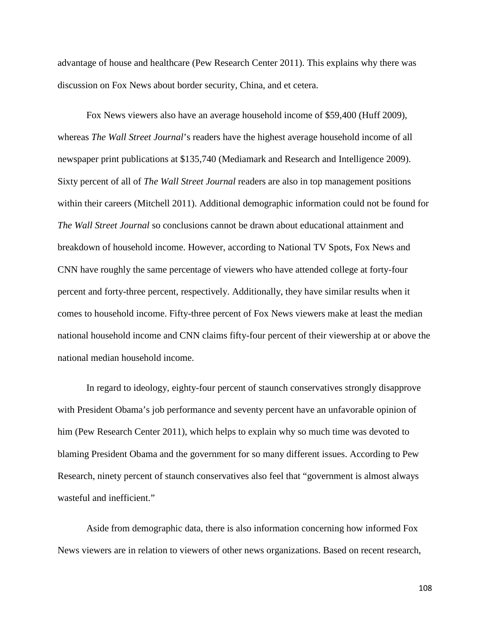advantage of house and healthcare (Pew Research Center 2011). This explains why there was discussion on Fox News about border security, China, and et cetera.

Fox News viewers also have an average household income of \$59,400 (Huff 2009), whereas *The Wall Street Journal*'s readers have the highest average household income of all newspaper print publications at \$135,740 (Mediamark and Research and Intelligence 2009). Sixty percent of all of *The Wall Street Journal* readers are also in top management positions within their careers (Mitchell 2011). Additional demographic information could not be found for *The Wall Street Journal* so conclusions cannot be drawn about educational attainment and breakdown of household income. However, according to National TV Spots, Fox News and CNN have roughly the same percentage of viewers who have attended college at forty-four percent and forty-three percent, respectively. Additionally, they have similar results when it comes to household income. Fifty-three percent of Fox News viewers make at least the median national household income and CNN claims fifty-four percent of their viewership at or above the national median household income.

In regard to ideology, eighty-four percent of staunch conservatives strongly disapprove with President Obama's job performance and seventy percent have an unfavorable opinion of him (Pew Research Center 2011), which helps to explain why so much time was devoted to blaming President Obama and the government for so many different issues. According to Pew Research, ninety percent of staunch conservatives also feel that "government is almost always wasteful and inefficient."

Aside from demographic data, there is also information concerning how informed Fox News viewers are in relation to viewers of other news organizations. Based on recent research,

108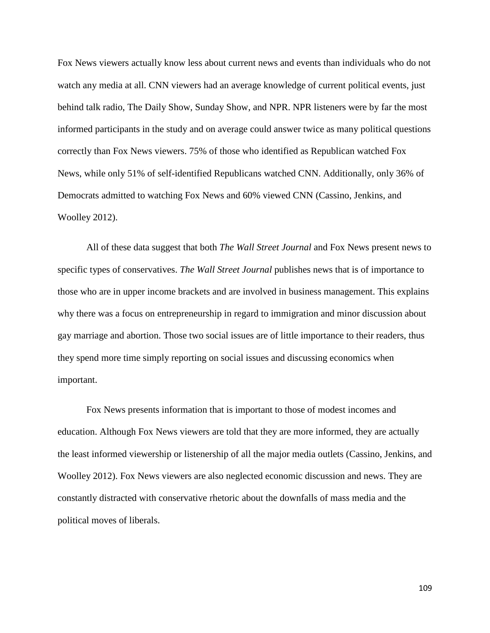Fox News viewers actually know less about current news and events than individuals who do not watch any media at all. CNN viewers had an average knowledge of current political events, just behind talk radio, The Daily Show, Sunday Show, and NPR. NPR listeners were by far the most informed participants in the study and on average could answer twice as many political questions correctly than Fox News viewers. 75% of those who identified as Republican watched Fox News, while only 51% of self-identified Republicans watched CNN. Additionally, only 36% of Democrats admitted to watching Fox News and 60% viewed CNN (Cassino, Jenkins, and Woolley 2012).

All of these data suggest that both *The Wall Street Journal* and Fox News present news to specific types of conservatives. *The Wall Street Journal* publishes news that is of importance to those who are in upper income brackets and are involved in business management. This explains why there was a focus on entrepreneurship in regard to immigration and minor discussion about gay marriage and abortion. Those two social issues are of little importance to their readers, thus they spend more time simply reporting on social issues and discussing economics when important.

Fox News presents information that is important to those of modest incomes and education. Although Fox News viewers are told that they are more informed, they are actually the least informed viewership or listenership of all the major media outlets (Cassino, Jenkins, and Woolley 2012). Fox News viewers are also neglected economic discussion and news. They are constantly distracted with conservative rhetoric about the downfalls of mass media and the political moves of liberals.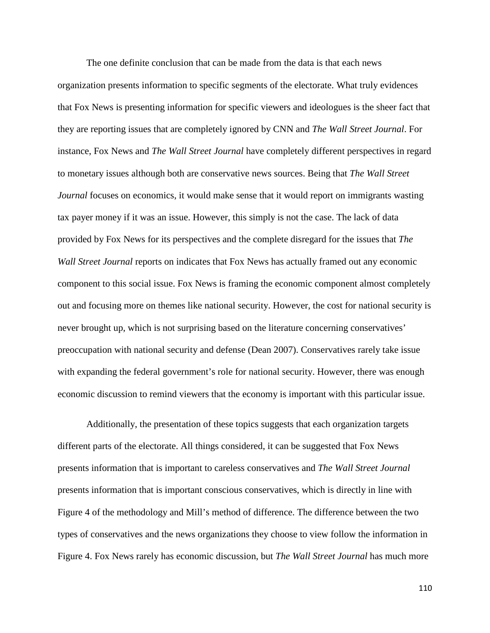The one definite conclusion that can be made from the data is that each news organization presents information to specific segments of the electorate. What truly evidences that Fox News is presenting information for specific viewers and ideologues is the sheer fact that they are reporting issues that are completely ignored by CNN and *The Wall Street Journal*. For instance, Fox News and *The Wall Street Journal* have completely different perspectives in regard to monetary issues although both are conservative news sources. Being that *The Wall Street Journal* focuses on economics, it would make sense that it would report on immigrants wasting tax payer money if it was an issue. However, this simply is not the case. The lack of data provided by Fox News for its perspectives and the complete disregard for the issues that *The Wall Street Journal* reports on indicates that Fox News has actually framed out any economic component to this social issue. Fox News is framing the economic component almost completely out and focusing more on themes like national security. However, the cost for national security is never brought up, which is not surprising based on the literature concerning conservatives' preoccupation with national security and defense (Dean 2007). Conservatives rarely take issue with expanding the federal government's role for national security. However, there was enough economic discussion to remind viewers that the economy is important with this particular issue.

Additionally, the presentation of these topics suggests that each organization targets different parts of the electorate. All things considered, it can be suggested that Fox News presents information that is important to careless conservatives and *The Wall Street Journal* presents information that is important conscious conservatives, which is directly in line with Figure 4 of the methodology and Mill's method of difference. The difference between the two types of conservatives and the news organizations they choose to view follow the information in Figure 4. Fox News rarely has economic discussion, but *The Wall Street Journal* has much more

110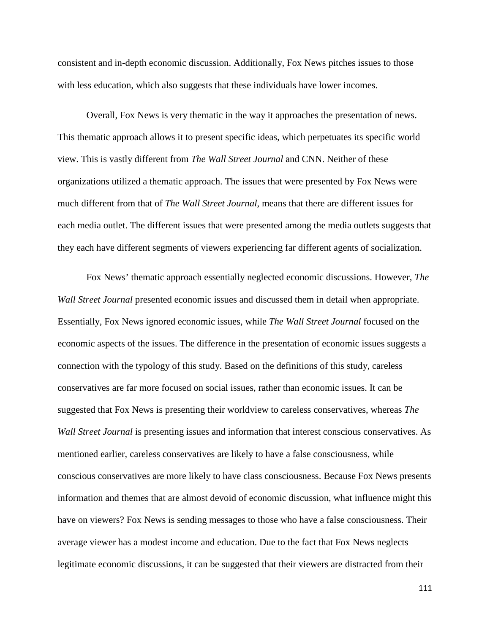consistent and in-depth economic discussion. Additionally, Fox News pitches issues to those with less education, which also suggests that these individuals have lower incomes.

Overall, Fox News is very thematic in the way it approaches the presentation of news. This thematic approach allows it to present specific ideas, which perpetuates its specific world view. This is vastly different from *The Wall Street Journal* and CNN. Neither of these organizations utilized a thematic approach. The issues that were presented by Fox News were much different from that of *The Wall Street Journal*, means that there are different issues for each media outlet. The different issues that were presented among the media outlets suggests that they each have different segments of viewers experiencing far different agents of socialization.

Fox News' thematic approach essentially neglected economic discussions. However, *The Wall Street Journal* presented economic issues and discussed them in detail when appropriate. Essentially, Fox News ignored economic issues, while *The Wall Street Journal* focused on the economic aspects of the issues. The difference in the presentation of economic issues suggests a connection with the typology of this study. Based on the definitions of this study, careless conservatives are far more focused on social issues, rather than economic issues. It can be suggested that Fox News is presenting their worldview to careless conservatives, whereas *The Wall Street Journal* is presenting issues and information that interest conscious conservatives. As mentioned earlier, careless conservatives are likely to have a false consciousness, while conscious conservatives are more likely to have class consciousness. Because Fox News presents information and themes that are almost devoid of economic discussion, what influence might this have on viewers? Fox News is sending messages to those who have a false consciousness. Their average viewer has a modest income and education. Due to the fact that Fox News neglects legitimate economic discussions, it can be suggested that their viewers are distracted from their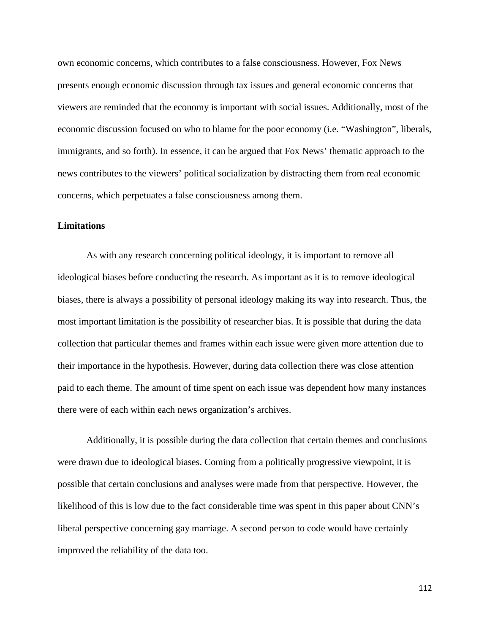own economic concerns, which contributes to a false consciousness. However, Fox News presents enough economic discussion through tax issues and general economic concerns that viewers are reminded that the economy is important with social issues. Additionally, most of the economic discussion focused on who to blame for the poor economy (i.e. "Washington", liberals, immigrants, and so forth). In essence, it can be argued that Fox News' thematic approach to the news contributes to the viewers' political socialization by distracting them from real economic concerns, which perpetuates a false consciousness among them.

### **Limitations**

As with any research concerning political ideology, it is important to remove all ideological biases before conducting the research. As important as it is to remove ideological biases, there is always a possibility of personal ideology making its way into research. Thus, the most important limitation is the possibility of researcher bias. It is possible that during the data collection that particular themes and frames within each issue were given more attention due to their importance in the hypothesis. However, during data collection there was close attention paid to each theme. The amount of time spent on each issue was dependent how many instances there were of each within each news organization's archives.

Additionally, it is possible during the data collection that certain themes and conclusions were drawn due to ideological biases. Coming from a politically progressive viewpoint, it is possible that certain conclusions and analyses were made from that perspective. However, the likelihood of this is low due to the fact considerable time was spent in this paper about CNN's liberal perspective concerning gay marriage. A second person to code would have certainly improved the reliability of the data too.

112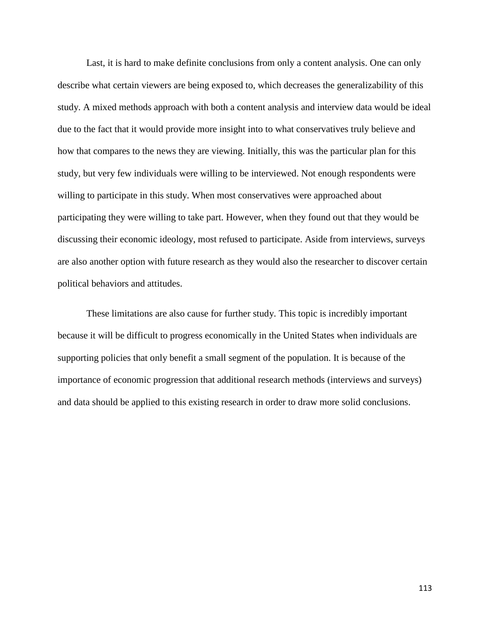Last, it is hard to make definite conclusions from only a content analysis. One can only describe what certain viewers are being exposed to, which decreases the generalizability of this study. A mixed methods approach with both a content analysis and interview data would be ideal due to the fact that it would provide more insight into to what conservatives truly believe and how that compares to the news they are viewing. Initially, this was the particular plan for this study, but very few individuals were willing to be interviewed. Not enough respondents were willing to participate in this study. When most conservatives were approached about participating they were willing to take part. However, when they found out that they would be discussing their economic ideology, most refused to participate. Aside from interviews, surveys are also another option with future research as they would also the researcher to discover certain political behaviors and attitudes.

These limitations are also cause for further study. This topic is incredibly important because it will be difficult to progress economically in the United States when individuals are supporting policies that only benefit a small segment of the population. It is because of the importance of economic progression that additional research methods (interviews and surveys) and data should be applied to this existing research in order to draw more solid conclusions.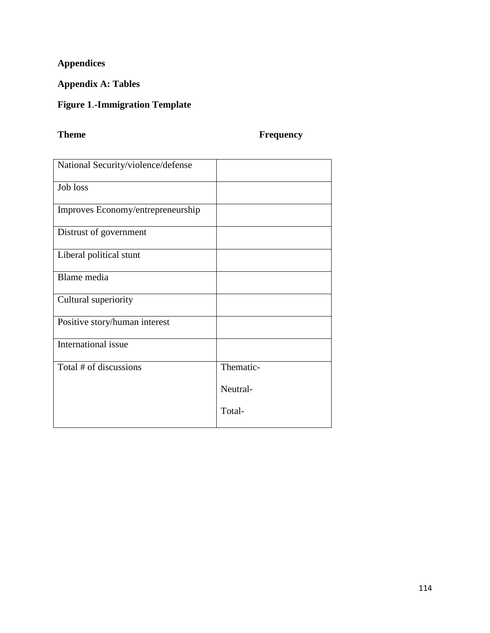# **Appendices**

## **Appendix A: Tables**

## **Figure 1**.**-Immigration Template**

## **Theme Frequency**

| National Security/violence/defense |           |
|------------------------------------|-----------|
| Job loss                           |           |
| Improves Economy/entrepreneurship  |           |
| Distrust of government             |           |
| Liberal political stunt            |           |
| Blame media                        |           |
| Cultural superiority               |           |
| Positive story/human interest      |           |
| International issue                |           |
| Total # of discussions             | Thematic- |
|                                    | Neutral-  |
|                                    | Total-    |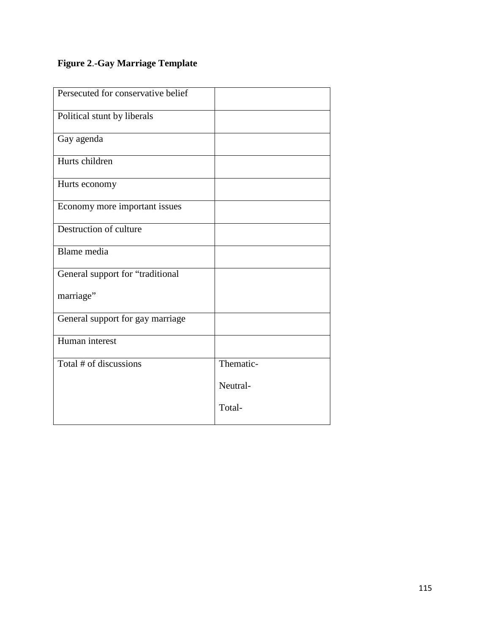# **Figure 2**.**-Gay Marriage Template**

| Persecuted for conservative belief |           |
|------------------------------------|-----------|
| Political stunt by liberals        |           |
| Gay agenda                         |           |
| Hurts children                     |           |
| Hurts economy                      |           |
| Economy more important issues      |           |
| Destruction of culture             |           |
| Blame media                        |           |
| General support for "traditional   |           |
| marriage"                          |           |
| General support for gay marriage   |           |
| Human interest                     |           |
| Total # of discussions             | Thematic- |
|                                    | Neutral-  |
|                                    | Total-    |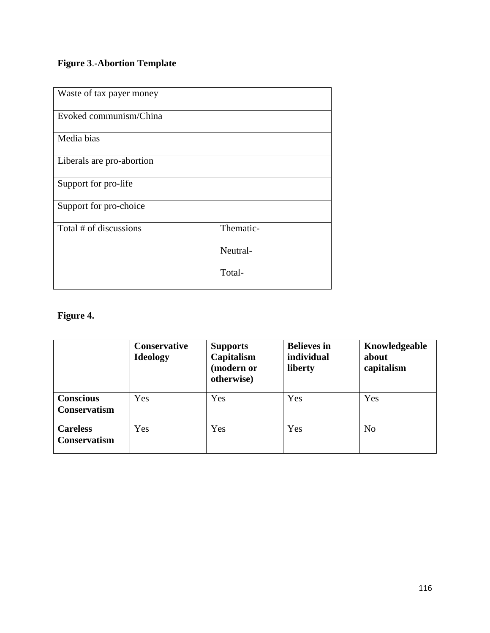## **Figure 3**.**-Abortion Template**

| Waste of tax payer money  |           |
|---------------------------|-----------|
| Evoked communism/China    |           |
| Media bias                |           |
| Liberals are pro-abortion |           |
| Support for pro-life      |           |
| Support for pro-choice    |           |
| Total # of discussions    | Thematic- |
|                           | Neutral-  |
|                           | Total-    |

# **Figure 4.**

|                                         | <b>Conservative</b><br><b>Ideology</b> | <b>Supports</b><br>Capitalism<br>(modern or<br>otherwise) | <b>Believes</b> in<br>individual<br>liberty | Knowledgeable<br>about<br>capitalism |
|-----------------------------------------|----------------------------------------|-----------------------------------------------------------|---------------------------------------------|--------------------------------------|
| <b>Conscious</b><br><b>Conservatism</b> | Yes                                    | Yes                                                       | Yes                                         | Yes                                  |
| <b>Careless</b><br>Conservatism         | Yes                                    | Yes                                                       | Yes                                         | N <sub>o</sub>                       |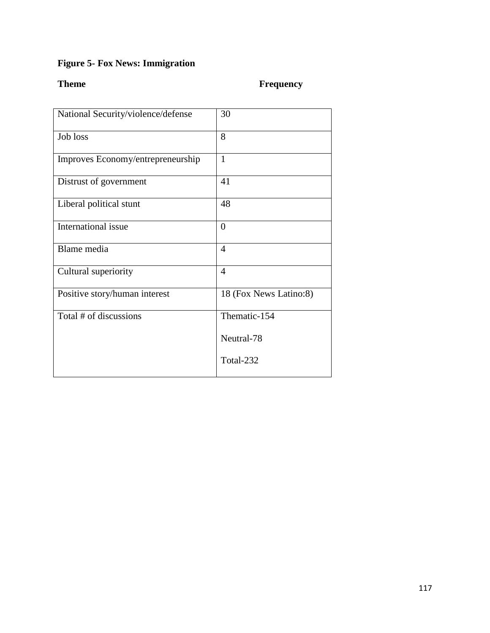# **Figure 5- Fox News: Immigration**

## **Theme Frequency**

| National Security/violence/defense | 30                     |
|------------------------------------|------------------------|
| Job loss                           | 8                      |
| Improves Economy/entrepreneurship  | $\mathbf{1}$           |
| Distrust of government             | 41                     |
| Liberal political stunt            | 48                     |
| International issue                | $\overline{0}$         |
| Blame media                        | $\overline{4}$         |
| Cultural superiority               | $\overline{4}$         |
| Positive story/human interest      | 18 (Fox News Latino:8) |
| Total # of discussions             | Thematic-154           |
|                                    | Neutral-78             |
|                                    | Total-232              |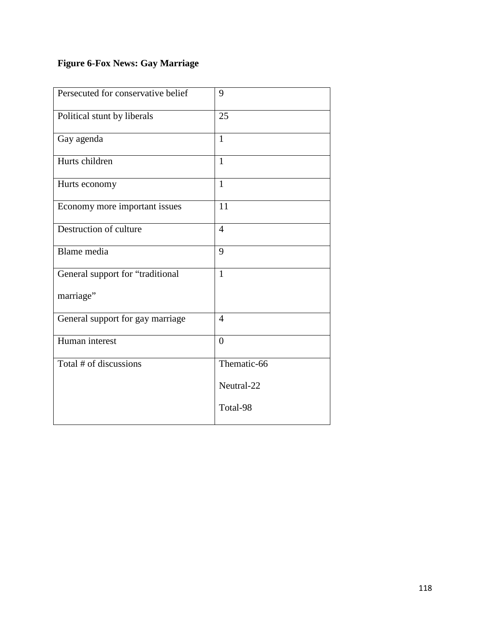# **Figure 6-Fox News: Gay Marriage**

| Persecuted for conservative belief | 9              |
|------------------------------------|----------------|
| Political stunt by liberals        | 25             |
| Gay agenda                         | $\mathbf{1}$   |
| Hurts children                     | $\mathbf{1}$   |
| Hurts economy                      | $\mathbf{1}$   |
| Economy more important issues      | 11             |
| Destruction of culture             | $\overline{4}$ |
| Blame media                        | 9              |
| General support for "traditional   | $\mathbf{1}$   |
| marriage"                          |                |
| General support for gay marriage   | $\overline{4}$ |
| Human interest                     | $\overline{0}$ |
| Total # of discussions             | Thematic-66    |
|                                    | Neutral-22     |
|                                    | Total-98       |
|                                    |                |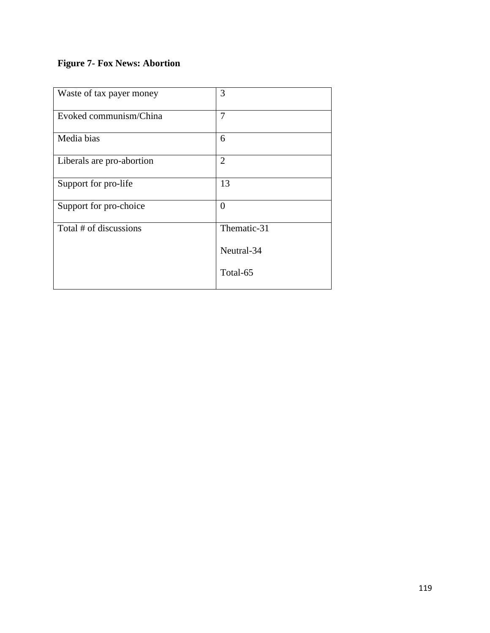# **Figure 7- Fox News: Abortion**

| Waste of tax payer money  | 3              |
|---------------------------|----------------|
| Evoked communism/China    | $\overline{7}$ |
| Media bias                | 6              |
| Liberals are pro-abortion | $\overline{2}$ |
| Support for pro-life      | 13             |
| Support for pro-choice    | $\theta$       |
| Total # of discussions    | Thematic-31    |
|                           | Neutral-34     |
|                           | Total-65       |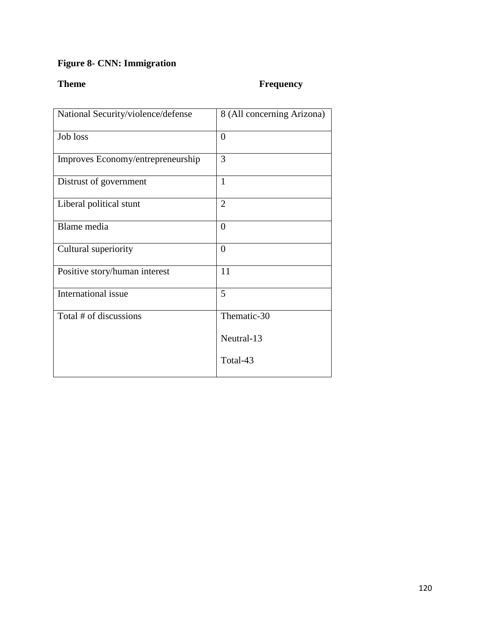## **Figure 8- CNN: Immigration**

## **Theme Frequency**

| National Security/violence/defense | 8 (All concerning Arizona) |
|------------------------------------|----------------------------|
| Job loss                           | $\overline{0}$             |
| Improves Economy/entrepreneurship  | 3                          |
| Distrust of government             | 1                          |
| Liberal political stunt            | $\overline{2}$             |
| Blame media                        | $\overline{0}$             |
| Cultural superiority               | $\overline{0}$             |
| Positive story/human interest      | 11                         |
| International issue                | 5                          |
| Total # of discussions             | Thematic-30                |
|                                    | Neutral-13                 |
|                                    | Total-43                   |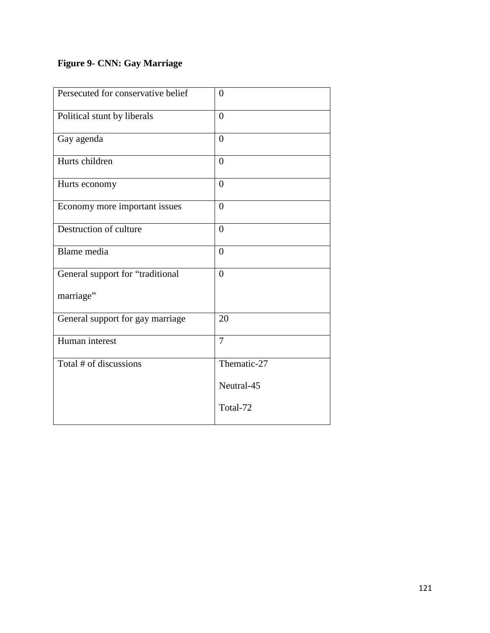## **Figure 9- CNN: Gay Marriage**

| Persecuted for conservative belief | $\overline{0}$ |
|------------------------------------|----------------|
| Political stunt by liberals        | $\theta$       |
| Gay agenda                         | $\theta$       |
| Hurts children                     | $\theta$       |
| Hurts economy                      | $\theta$       |
| Economy more important issues      | $\overline{0}$ |
| Destruction of culture             | $\overline{0}$ |
| Blame media                        | $\overline{0}$ |
| General support for "traditional   | $\overline{0}$ |
| marriage"                          |                |
| General support for gay marriage   | 20             |
| Human interest                     | $\overline{7}$ |
| Total # of discussions             | Thematic-27    |
|                                    | Neutral-45     |
|                                    | Total-72       |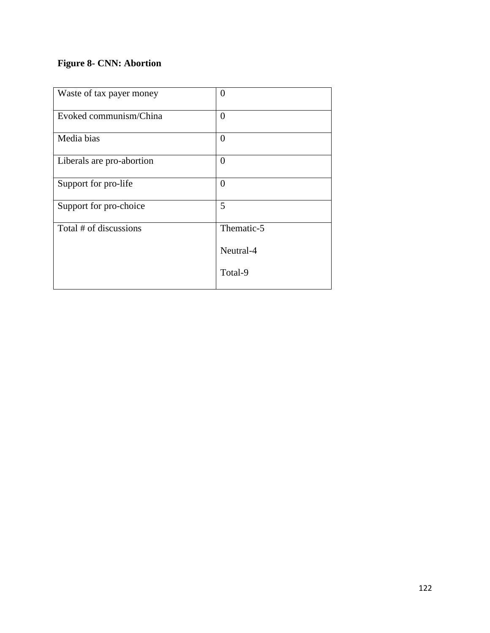## **Figure 8- CNN: Abortion**

| Waste of tax payer money  | 0              |
|---------------------------|----------------|
| Evoked communism/China    | $\overline{0}$ |
| Media bias                | $\overline{0}$ |
| Liberals are pro-abortion | $\overline{0}$ |
| Support for pro-life      | $\theta$       |
| Support for pro-choice    | 5              |
| Total # of discussions    | Thematic-5     |
|                           | Neutral-4      |
|                           | Total-9        |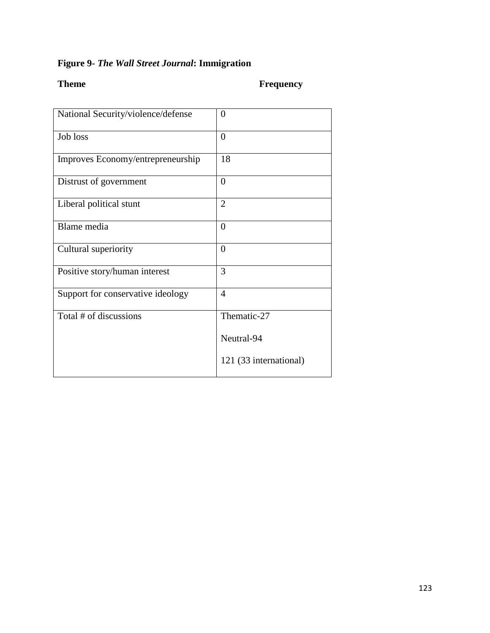## **Figure 9-** *The Wall Street Journal***: Immigration**

## **Theme Frequency**

| National Security/violence/defense | $\theta$               |
|------------------------------------|------------------------|
| Job loss                           | $\overline{0}$         |
| Improves Economy/entrepreneurship  | 18                     |
| Distrust of government             | $\overline{0}$         |
| Liberal political stunt            | $\overline{2}$         |
| Blame media                        | 0                      |
| Cultural superiority               | $\overline{0}$         |
| Positive story/human interest      | 3                      |
| Support for conservative ideology  | 4                      |
| Total # of discussions             | Thematic-27            |
|                                    | Neutral-94             |
|                                    | 121 (33 international) |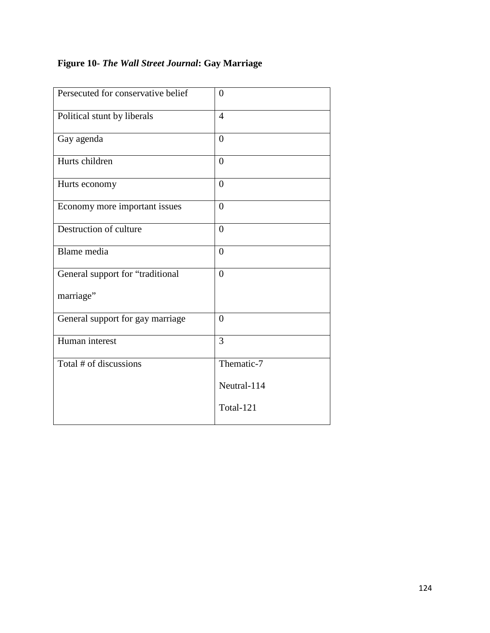## **Figure 10-** *The Wall Street Journal***: Gay Marriage**

| Persecuted for conservative belief | $\theta$       |
|------------------------------------|----------------|
| Political stunt by liberals        | $\overline{4}$ |
| Gay agenda                         | $\overline{0}$ |
| Hurts children                     | $\overline{0}$ |
| Hurts economy                      | $\overline{0}$ |
| Economy more important issues      | $\overline{0}$ |
| Destruction of culture             | $\overline{0}$ |
| Blame media                        | $\overline{0}$ |
| General support for "traditional   | $\theta$       |
| marriage"                          |                |
| General support for gay marriage   | $\overline{0}$ |
| Human interest                     | $\overline{3}$ |
| Total # of discussions             | Thematic-7     |
|                                    | Neutral-114    |
|                                    | Total-121      |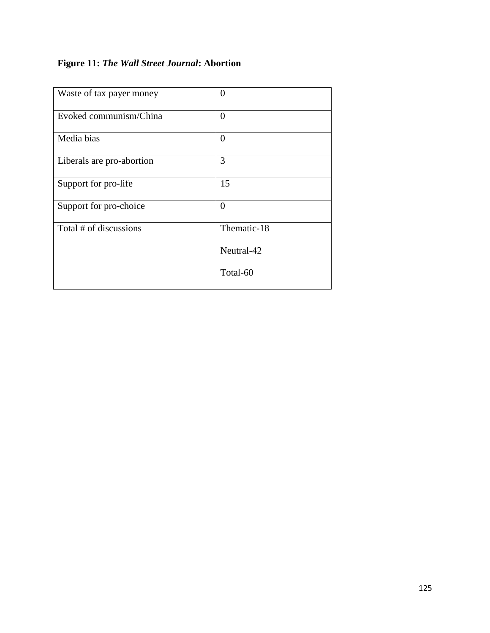## **Figure 11:** *The Wall Street Journal***: Abortion**

| Waste of tax payer money  | 0              |
|---------------------------|----------------|
| Evoked communism/China    | $\overline{0}$ |
| Media bias                | $\overline{0}$ |
| Liberals are pro-abortion | 3              |
| Support for pro-life      | 15             |
| Support for pro-choice    | $\overline{0}$ |
| Total # of discussions    | Thematic-18    |
|                           | Neutral-42     |
|                           | Total-60       |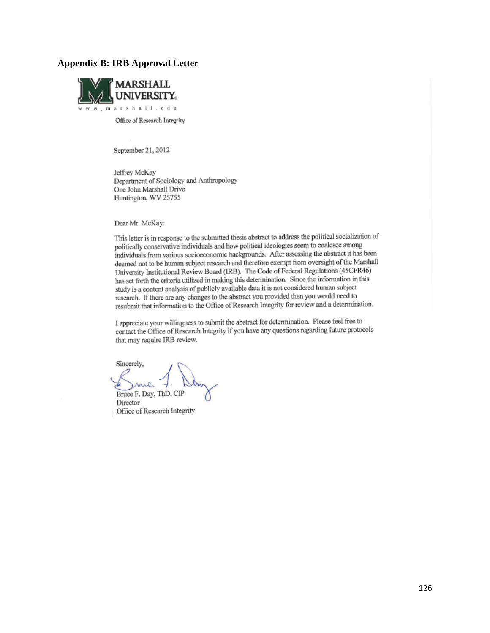#### **Appendix B: IRB Approval Letter**



Office of Research Integrity

September 21, 2012

Jeffrey McKay Department of Sociology and Anthropology One John Marshall Drive Huntington, WV 25755

Dear Mr. McKay:

This letter is in response to the submitted thesis abstract to address the political socialization of politically conservative individuals and how political ideologies seem to coalesce among individuals from various socioeconomic backgrounds. After assessing the abstract it has been deemed not to be human subject research and therefore exempt from oversight of the Marshall University Institutional Review Board (IRB). The Code of Federal Regulations (45CFR46) has set forth the criteria utilized in making this determination. Since the information in this study is a content analysis of publicly available data it is not considered human subject research. If there are any changes to the abstract you provided then you would need to resubmit that information to the Office of Research Integrity for review and a determination.

I appreciate your willingness to submit the abstract for determination. Please feel free to contact the Office of Research Integrity if you have any questions regarding future protocols that may require IRB review.

Sincerely, Bruce F. Day, ThD, CIP Director Office of Research Integrity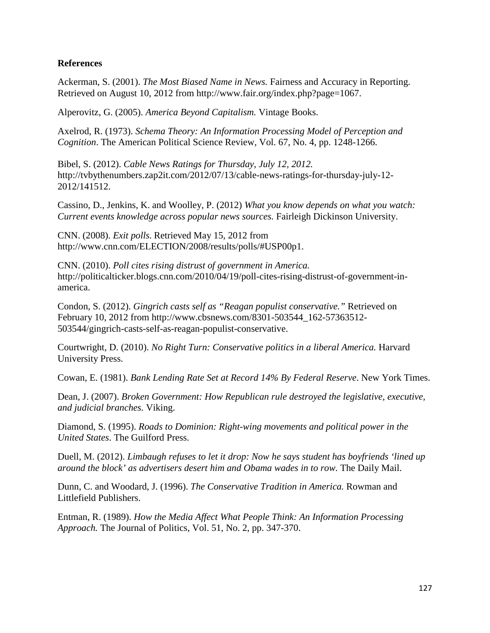### **References**

Ackerman, S. (2001). *The Most Biased Name in News.* Fairness and Accuracy in Reporting. Retrieved on August 10, 2012 from http://www.fair.org/index.php?page=1067.

Alperovitz, G. (2005). *America Beyond Capitalism.* Vintage Books.

Axelrod, R. (1973). *Schema Theory: An Information Processing Model of Perception and Cognition*. The American Political Science Review, Vol. 67, No. 4, pp. 1248-1266.

Bibel, S. (2012). *Cable News Ratings for Thursday, July 12, 2012.*  http://tvbythenumbers.zap2it.com/2012/07/13/cable-news-ratings-for-thursday-july-12- 2012/141512.

Cassino, D., Jenkins, K. and Woolley, P. (2012) *What you know depends on what you watch: Current events knowledge across popular news sources.* Fairleigh Dickinson University.

CNN. (2008). *Exit polls.* Retrieved May 15, 2012 from http://www.cnn.com/ELECTION/2008/results/polls/#USP00p1.

CNN. (2010). *Poll cites rising distrust of government in America.*  http://politicalticker.blogs.cnn.com/2010/04/19/poll-cites-rising-distrust-of-government-inamerica.

Condon, S. (2012). *Gingrich casts self as "Reagan populist conservative."* Retrieved on February 10, 2012 from http://www.cbsnews.com/8301-503544\_162-57363512- 503544/gingrich-casts-self-as-reagan-populist-conservative.

Courtwright, D. (2010). *No Right Turn: Conservative politics in a liberal America.* Harvard University Press.

Cowan, E. (1981). *Bank Lending Rate Set at Record 14% By Federal Reserve*. New York Times.

Dean, J. (2007). *Broken Government: How Republican rule destroyed the legislative, executive, and judicial branches.* Viking.

Diamond, S. (1995). *Roads to Dominion: Right-wing movements and political power in the United States*. The Guilford Press.

Duell, M. (2012). *Limbaugh refuses to let it drop: Now he says student has boyfriends 'lined up around the block' as advertisers desert him and Obama wades in to row.* The Daily Mail.

Dunn, C. and Woodard, J. (1996). *The Conservative Tradition in America.* Rowman and Littlefield Publishers.

Entman, R. (1989). *How the Media Affect What People Think: An Information Processing Approach.* The Journal of Politics, Vol. 51, No. 2, pp. 347-370.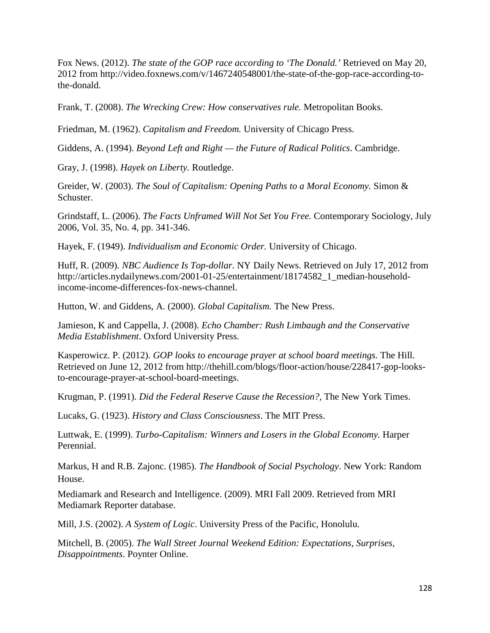Fox News. (2012). *The state of the GOP race according to 'The Donald.'* Retrieved on May 20, 2012 from http://video.foxnews.com/v/1467240548001/the-state-of-the-gop-race-according-tothe-donald.

Frank, T. (2008). *The Wrecking Crew: How conservatives rule.* Metropolitan Books.

Friedman, M. (1962). *Capitalism and Freedom.* University of Chicago Press.

Giddens, A. (1994). *Beyond Left and Right — the Future of Radical Politics*. Cambridge.

Gray, J. (1998). *Hayek on Liberty.* Routledge.

Greider, W. (2003). *The Soul of Capitalism: Opening Paths to a Moral Economy.* Simon & Schuster.

Grindstaff, L. (2006). *The Facts Unframed Will Not Set You Free.* Contemporary Sociology, July 2006, Vol. 35, No. 4, pp. 341-346.

Hayek, F. (1949). *Individualism and Economic Order.* University of Chicago.

Huff, R. (2009). *NBC Audience Is Top-dollar.* NY Daily News. Retrieved on July 17, 2012 from http://articles.nydailynews.com/2001-01-25/entertainment/18174582\_1\_median-householdincome-income-differences-fox-news-channel.

Hutton, W. and Giddens, A. (2000). *Global Capitalism.* The New Press.

Jamieson, K and Cappella, J. (2008). *Echo Chamber: Rush Limbaugh and the Conservative Media Establishment*. Oxford University Press.

Kasperowicz. P. (2012). *GOP looks to encourage prayer at school board meetings.* The Hill. Retrieved on June 12, 2012 from http://thehill.com/blogs/floor-action/house/228417-gop-looksto-encourage-prayer-at-school-board-meetings.

Krugman, P. (1991). *Did the Federal Reserve Cause the Recession?,* The New York Times.

Lucaks, G. (1923). *History and Class Consciousness*. The MIT Press.

Luttwak, E. (1999). *Turbo-Capitalism: Winners and Losers in the Global Economy*. Harper Perennial.

Markus, H and R.B. Zajonc. (1985). *The Handbook of Social Psychology*. New York: Random House.

Mediamark and Research and Intelligence. (2009). MRI Fall 2009. Retrieved from MRI Mediamark Reporter database.

Mill, J.S. (2002). *A System of Logic*. University Press of the Pacific, Honolulu.

Mitchell, B. (2005). *The Wall Street Journal Weekend Edition: Expectations, Surprises, Disappointments*. Poynter Online.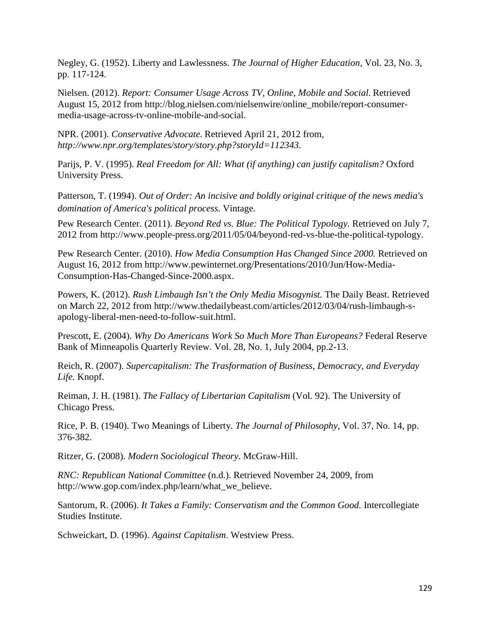Negley, G. (1952). Liberty and Lawlessness. *The Journal of Higher Education*, Vol. 23, No. 3, pp. 117-124.

Nielsen. (2012). *Report: Consumer Usage Across TV, Online, Mobile and Social.* Retrieved August 15, 2012 from http://blog.nielsen.com/nielsenwire/online\_mobile/report-consumermedia-usage-across-tv-online-mobile-and-social.

NPR. (2001). *Conservative Advocate.* Retrieved April 21, 2012 from, *http://www.npr.org/templates/story/story.php?storyId=112343.*

Parijs, P. V. (1995). *Real Freedom for All: What (if anything) can justify capitalism?* Oxford University Press.

Patterson, T. (1994). *Out of Order: An incisive and boldly original critique of the news media's domination of America's political process*. Vintage.

Pew Research Center. (2011). *Beyond Red vs. Blue: The Political Typology.* Retrieved on July 7, 2012 from http://www.people-press.org/2011/05/04/beyond-red-vs-blue-the-political-typology.

Pew Research Center. (2010). *How Media Consumption Has Changed Since 2000.* Retrieved on August 16, 2012 from http://www.pewinternet.org/Presentations/2010/Jun/How-Media-Consumption-Has-Changed-Since-2000.aspx.

Powers, K. (2012). *Rush Limbaugh Isn't the Only Media Misogynist.* The Daily Beast. Retrieved on March 22, 2012 from http://www.thedailybeast.com/articles/2012/03/04/rush-limbaugh-sapology-liberal-men-need-to-follow-suit.html.

Prescott, E. (2004). *Why Do Americans Work So Much More Than Europeans?* Federal Reserve Bank of Minneapolis Quarterly Review. Vol. 28, No. 1, July 2004, pp.2-13.

Reich, R. (2007). *Supercapitalism: The Trasformation of Business, Democracy, and Everyday Life.* Knopf.

Reiman, J. H. (1981). *The Fallacy of Libertarian Capitalism* (Vol. 92). The University of Chicago Press.

Rice, P. B. (1940). Two Meanings of Liberty. *The Journal of Philosophy*, Vol. 37, No. 14, pp. 376-382.

Ritzer, G. (2008). *Modern Sociological Theory*. McGraw-Hill.

*RNC: Republican National Committee* (n.d.). Retrieved November 24, 2009, from http://www.gop.com/index.php/learn/what\_we\_believe.

Santorum, R. (2006). *It Takes a Family: Conservatism and the Common Good*. Intercollegiate Studies Institute.

Schweickart, D. (1996). *Against Capitalism*. Westview Press.